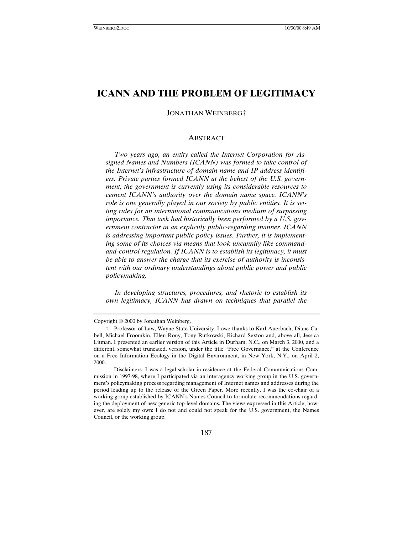# **ICANN AND THE PROBLEM OF LEGITIMACY**

JONATHAN WEINBERG†

#### ABSTRACT

*Two years ago, an entity called the Internet Corporation for Assigned Names and Numbers (ICANN) was formed to take control of the Internet's infrastructure of domain name and IP address identifiers. Private parties formed ICANN at the behest of the U.S. government; the government is currently using its considerable resources to cement ICANN's authority over the domain name space. ICANN's role is one generally played in our society by public entities. It is setting rules for an international communications medium of surpassing importance. That task had historically been performed by a U.S. government contractor in an explicitly public-regarding manner. ICANN is addressing important public policy issues. Further, it is implementing some of its choices via means that look uncannily like commandand-control regulation. If ICANN is to establish its legitimacy, it must be able to answer the charge that its exercise of authority is inconsistent with our ordinary understandings about public power and public policymaking.*

*In developing structures, procedures, and rhetoric to establish its own legitimacy, ICANN has drawn on techniques that parallel the*

187

Copyright © 2000 by Jonathan Weinberg.

<sup>†</sup> Professor of Law, Wayne State University. I owe thanks to Karl Auerbach, Diane Cabell, Michael Froomkin, Ellen Rony, Tony Rutkowski, Richard Sexton and, above all, Jessica Litman. I presented an earlier version of this Article in Durham, N.C., on March 3, 2000, and a different, somewhat truncated, version, under the title "Free Governance," at the Conference on a Free Information Ecology in the Digital Environment, in New York, N.Y., on April 2, 2000.

Disclaimers: I was a legal-scholar-in-residence at the Federal Communications Commission in 1997-98, where I participated via an interagency working group in the U.S. government's policymaking process regarding management of Internet names and addresses during the period leading up to the release of the Green Paper. More recently, I was the co-chair of a working group established by ICANN's Names Council to formulate recommendations regarding the deployment of new generic top-level domains. The views expressed in this Article, however, are solely my own: I do not and could not speak for the U.S. government, the Names Council, or the working group.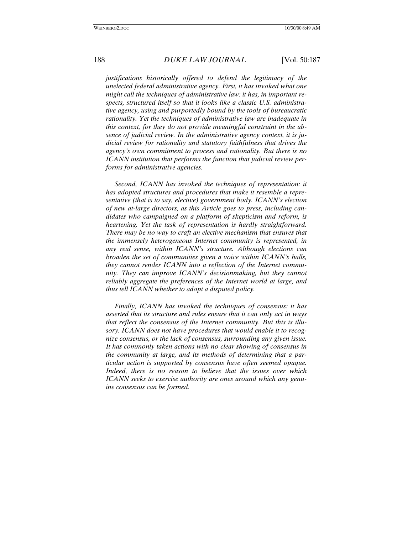*justifications historically offered to defend the legitimacy of the unelected federal administrative agency. First, it has invoked what one might call the techniques of administrative law: it has, in important respects, structured itself so that it looks like a classic U.S. administrative agency, using and purportedly bound by the tools of bureaucratic rationality. Yet the techniques of administrative law are inadequate in this context, for they do not provide meaningful constraint in the absence of judicial review. In the administrative agency context, it is judicial review for rationality and statutory faithfulness that drives the agency's own commitment to process and rationality. But there is no ICANN institution that performs the function that judicial review performs for administrative agencies.*

*Second, ICANN has invoked the techniques of representation: it has adopted structures and procedures that make it resemble a representative (that is to say, elective) government body. ICANN's election of new at-large directors, as this Article goes to press, including candidates who campaigned on a platform of skepticism and reform, is heartening. Yet the task of representation is hardly straightforward. There may be no way to craft an elective mechanism that ensures that the immensely heterogeneous Internet community is represented, in any real sense, within ICANN's structure. Although elections can broaden the set of communities given a voice within ICANN's halls, they cannot render ICANN into a reflection of the Internet community. They can improve ICANN's decisionmaking, but they cannot reliably aggregate the preferences of the Internet world at large, and thus tell ICANN whether to adopt a disputed policy.*

*Finally, ICANN has invoked the techniques of consensus: it has asserted that its structure and rules ensure that it can only act in ways that reflect the consensus of the Internet community. But this is illusory. ICANN does not have procedures that would enable it to recognize consensus, or the lack of consensus, surrounding any given issue. It has commonly taken actions with no clear showing of consensus in the community at large, and its methods of determining that a particular action is supported by consensus have often seemed opaque. Indeed, there is no reason to believe that the issues over which ICANN seeks to exercise authority are ones around which any genuine consensus can be formed.*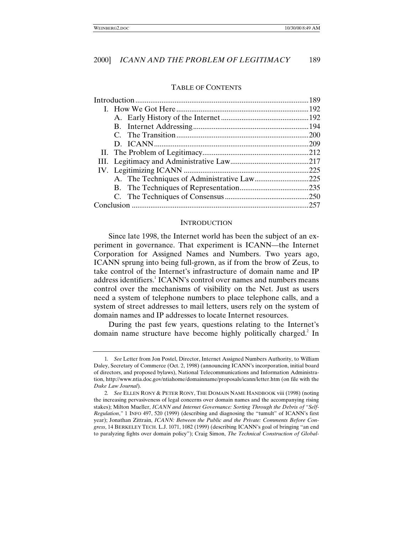#### TABLE OF CONTENTS

|  |  | .257 |
|--|--|------|
|  |  |      |

### **INTRODUCTION**

Since late 1998, the Internet world has been the subject of an experiment in governance. That experiment is ICANN—the Internet Corporation for Assigned Names and Numbers. Two years ago, ICANN sprung into being full-grown, as if from the brow of Zeus, to take control of the Internet's infrastructure of domain name and IP address identifiers.<sup>1</sup> ICANN's control over names and numbers means control over the mechanisms of visibility on the Net. Just as users need a system of telephone numbers to place telephone calls, and a system of street addresses to mail letters, users rely on the system of domain names and IP addresses to locate Internet resources.

During the past few years, questions relating to the Internet's domain name structure have become highly politically charged.<sup>2</sup> In

<sup>1</sup>*. See* Letter from Jon Postel, Director, Internet Assigned Numbers Authority, to William Daley, Secretary of Commerce (Oct. 2, 1998) (announcing ICANN's incorporation, initial board of directors, and proposed bylaws), National Telecommunications and Information Administration, http://www.ntia.doc.gov/ntiahome/domainname/proposals/icann/letter.htm (on file with the *Duke Law Journal*).

<sup>2</sup>*. See* ELLEN RONY & PETER RONY, THE DOMAIN NAME HANDBOOK viii (1998) (noting the increasing pervasiveness of legal concerns over domain names and the accompanying rising stakes); Milton Mueller, *ICANN and Internet Governance: Sorting Through the Debris of "Self-Regulation*,*"* 1 INFO 497, 520 (1999) (describing and diagnosing the "tumult" of ICANN's first year); Jonathan Zittrain, *ICANN: Between the Public and the Private: Comments Before Congress*, 14 BERKELEY TECH. L.J. 1071, 1082 (1999) (describing ICANN's goal of bringing "an end to paralyzing fights over domain policy"); Craig Simon, *The Technical Construction of Global-*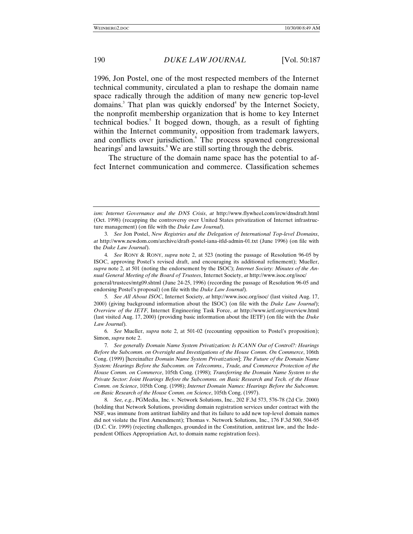1996, Jon Postel, one of the most respected members of the Internet technical community, circulated a plan to reshape the domain name space radically through the addition of many new generic top-level domains.<sup>3</sup> That plan was quickly endorsed<sup>4</sup> by the Internet Society, the nonprofit membership organization that is home to key Internet technical bodies.<sup>5</sup> It bogged down, though, as a result of fighting within the Internet community, opposition from trademark lawyers, and conflicts over jurisdiction. The process spawned congressional hearings<sup>7</sup> and lawsuits.<sup>8</sup> We are still sorting through the debris.

The structure of the domain name space has the potential to affect Internet communication and commerce. Classification schemes

endorsing Postel's proposal) (on file with the *Duke Law Journal*).

*ism: Internet Governance and the DNS Crisis*, *at* http://www.flywheel.com/ircw/dnsdraft.html (Oct. 1998) (recapping the controversy over United States privatization of Internet infrastructure management) (on file with the *Duke Law Journal*).

<sup>3</sup>*. See* Jon Postel, *New Registries and the Delegation of International Top-level Domains*, *at* http://www.newdom.com/archive/draft-postel-iana-itld-admin-01.txt (June 1996) (on file with the *Duke Law Journal*).

<sup>4</sup>*. See* RONY & RONY, *supra* note 2, at 523 (noting the passage of Resolution 96-05 by ISOC, approving Postel's revised draft, and encouraging its additional refinement); Mueller, *supra* note 2, at 501 (noting the endorsement by the ISOC); *Internet Society: Minutes of the Annual General Meeting of the Board of Trustees*, Internet Society, *at* http://www.isoc.org/isoc/ general/trustees/mtg09.shtml (June 24-25, 1996) (recording the passage of Resolution 96-05 and

<sup>5</sup>*. See All About ISOC*, Internet Society, *at* http://www.isoc.org/isoc/ (last visited Aug. 17, 2000) (giving background information about the ISOC) (on file with the *Duke Law Journal*); *Overview of the IETF*, Internet Engineering Task Force, *at* http://www.ietf.org/overview.html (last visited Aug. 17, 2000) (providing basic information about the IETF) (on file with the *Duke Law Journal*).

<sup>6</sup>*. See* Mueller, *supra* note 2, at 501-02 (recounting opposition to Postel's proposition); Simon, *supra* note 2.

<sup>7</sup>*. See generally Domain Name System Privatization: Is ICANN Out of Control?: Hearings Before the Subcomm. on Oversight and Investigations of the House Comm. On Commerce*, 106th Cong. (1999) [hereinafter *Domain Name System Privatization*]; *The Future of the Domain Name System: Hearings Before the Subcomm. on Telecomms., Trade, and Commerce Protection of the House Comm. on Commerce*, 105th Cong. (1998); *Transferring the Domain Name System to the Private Sector: Joint Hearings Before the Subcomms. on Basic Research and Tech. of the House Comm. on Science*, 105th Cong. (1998); *Internet Domain Names: Hearings Before the Subcomm. on Basic Research of the House Comm. on Science*, 105th Cong. (1997).

<sup>8</sup>*. See, e.g.*, PGMedia, Inc. v. Network Solutions, Inc., 202 F.3d 573, 576-78 (2d Cir. 2000) (holding that Network Solutions, providing domain registration services under contract with the NSF, was immune from antitrust liability and that its failure to add new top-level domain names did not violate the First Amendment); Thomas v. Network Solutions, Inc., 176 F.3d 500, 504-05 (D.C. Cir. 1999) (rejecting challenges, grounded in the Constitution, antitrust law, and the Independent Offices Appropriation Act, to domain name registration fees).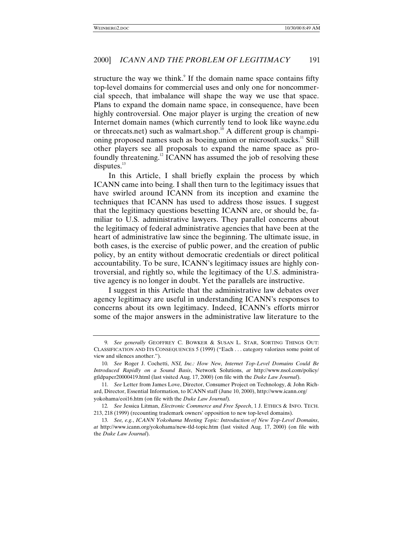structure the way we think.<sup>9</sup> If the domain name space contains fifty top-level domains for commercial uses and only one for noncommercial speech, that imbalance will shape the way we use that space. Plans to expand the domain name space, in consequence, have been highly controversial. One major player is urging the creation of new Internet domain names (which currently tend to look like wayne.edu or threecats.net) such as walmart.shop.<sup>10</sup> A different group is championing proposed names such as boeing union or microsoft sucks.<sup>11</sup> Still other players see all proposals to expand the name space as profoundly threatening.12 ICANN has assumed the job of resolving these disputes. $^{13}$ 

In this Article, I shall briefly explain the process by which ICANN came into being. I shall then turn to the legitimacy issues that have swirled around ICANN from its inception and examine the techniques that ICANN has used to address those issues. I suggest that the legitimacy questions besetting ICANN are, or should be, familiar to U.S. administrative lawyers. They parallel concerns about the legitimacy of federal administrative agencies that have been at the heart of administrative law since the beginning. The ultimate issue, in both cases, is the exercise of public power, and the creation of public policy, by an entity without democratic credentials or direct political accountability. To be sure, ICANN's legitimacy issues are highly controversial, and rightly so, while the legitimacy of the U.S. administrative agency is no longer in doubt. Yet the parallels are instructive.

I suggest in this Article that the administrative law debates over agency legitimacy are useful in understanding ICANN's responses to concerns about its own legitimacy. Indeed, ICANN's efforts mirror some of the major answers in the administrative law literature to the

<sup>9</sup>*. See generally* GEOFFREY C. BOWKER & SUSAN L. STAR, SORTING THINGS OUT: CLASSIFICATION AND ITS CONSEQUENCES 5 (1999) ("Each . . . category valorizes some point of view and silences another.").

<sup>10</sup>*. See* Roger J. Cochetti, *NSI, Inc.: How New, Internet Top-Level Domains Could Be Introduced Rapidly on a Sound Basis*, Network Solutions, *at* http://www.nsol.com/policy/ gtldpaper20000419.html (last visited Aug. 17, 2000) (on file with the *Duke Law Journal*).

<sup>11</sup>*. See* Letter from James Love, Director, Consumer Project on Technology, & John Richard, Director, Essential Information, to ICANN staff (June 10, 2000), http://www.icann.org/ yokohama/eoi16.htm (on file with the *Duke Law Journal*).

<sup>12</sup>*. See* Jessica Litman, *Electronic Commerce and Free Speech*, 1 J. ETHICS & INFO. TECH. 213, 218 (1999) (recounting trademark owners' opposition to new top-level domains).

<sup>13</sup>*. See, e.g.*, *ICANN Yokohama Meeting Topic: Introduction of New Top-Level Domains*, *at* http://www.icann.org/yokohama/new-tld-topic.htm (last visited Aug. 17, 2000) (on file with the *Duke Law Journal*).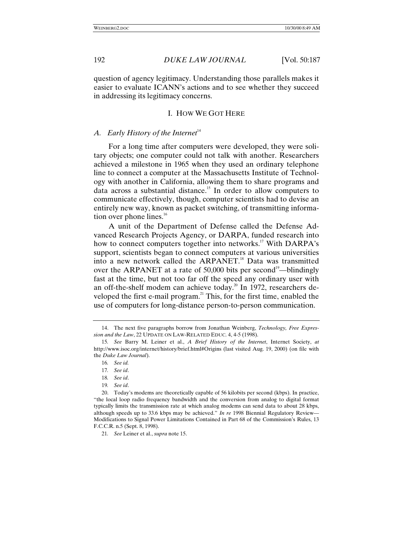question of agency legitimacy. Understanding those parallels makes it easier to evaluate ICANN's actions and to see whether they succeed in addressing its legitimacy concerns.

# I. HOW WE GOT HERE

# *A. Early History of the Internet*<sup>14</sup>

For a long time after computers were developed, they were solitary objects; one computer could not talk with another. Researchers achieved a milestone in 1965 when they used an ordinary telephone line to connect a computer at the Massachusetts Institute of Technology with another in California, allowing them to share programs and data across a substantial distance.15 In order to allow computers to communicate effectively, though, computer scientists had to devise an entirely new way, known as packet switching, of transmitting information over phone lines. $^{16}$ 

A unit of the Department of Defense called the Defense Advanced Research Projects Agency, or DARPA, funded research into how to connect computers together into networks.<sup>17</sup> With DARPA's support, scientists began to connect computers at various universities into a new network called the ARPANET.<sup>18</sup> Data was transmitted over the ARPANET at a rate of 50,000 bits per second<sup>19</sup>—blindingly fast at the time, but not too far off the speed any ordinary user with an off-the-shelf modem can achieve today.20 In 1972, researchers developed the first e-mail program.<sup>21</sup> This, for the first time, enabled the use of computers for long-distance person-to-person communication.

18*. See id*.

19*. See id*.

21*. See* Leiner et al., *supra* note 15.

<sup>14.</sup> The next five paragraphs borrow from Jonathan Weinberg, *Technology, Free Expression and the Law*, 22 UPDATE ON LAW-RELATED EDUC. 4, 4-5 (1998).

<sup>15</sup>*. See* Barry M. Leiner et al., *A Brief History of the Internet*, Internet Society, *at* http://www.isoc.org/internet/history/brief.html#Origins (last visited Aug. 19, 2000) (on file with the *Duke Law Journal*).

<sup>16</sup>*. See id.*

<sup>17</sup>*. See id*.

<sup>20.</sup> Today's modems are theoretically capable of 56 kilobits per second (kbps). In practice, "the local loop radio frequency bandwidth and the conversion from analog to digital format typically limits the transmission rate at which analog modems can send data to about 28 kbps, although speeds up to 33.6 kbps may be achieved." *In re* 1998 Biennial Regulatory Review— Modifications to Signal Power Limitations Contained in Part 68 of the Commission's Rules, 13 F.C.C.R. n.5 (Sept. 8, 1998).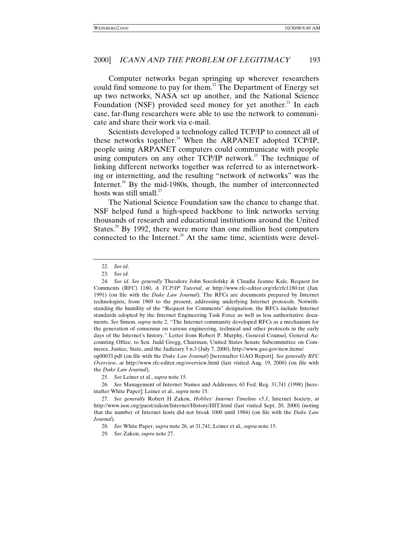Computer networks began springing up wherever researchers could find someone to pay for them.<sup>22</sup> The Department of Energy set up two networks, NASA set up another, and the National Science Foundation (NSF) provided seed money for yet another.<sup>23</sup> In each case, far-flung researchers were able to use the network to communicate and share their work via e-mail.

Scientists developed a technology called TCP/IP to connect all of these networks together.<sup>24</sup> When the ARPANET adopted TCP/IP, people using ARPANET computers could communicate with people using computers on any other TCP/IP network.<sup>25</sup> The technique of linking different networks together was referred to as internetworking or internetting, and the resulting "network of networks" was the Internet. $^{26}$  By the mid-1980s, though, the number of interconnected hosts was still small. $^{27}$ 

The National Science Foundation saw the chance to change that. NSF helped fund a high-speed backbone to link networks serving thousands of research and educational institutions around the United States. $^{28}$  By 1992, there were more than one million host computers connected to the Internet.<sup>29</sup> At the same time, scientists were devel-

og00033.pdf (on file with the *Duke Law Journal*) [hereinafter GAO Report]. *See generally RFC Overview*, *at* http://www.rfc-editor.org/overview.html (last visited Aug. 19, 2000) (on file with the *Duke Law Journal*).

<sup>22</sup>*. See id*.

<sup>23</sup>*. See id.*

<sup>24</sup>*. See id*. *See generally* Theodore John Socolofsky & Claudia Jeanne Kale, Request for Comments (RFC) 1180, *A TCP/IP Tutorial*, *at* http://www.rfc-editor.org/rfc/rfc1180.txt (Jan. 1991) (on file with the *Duke Law Journal*). The RFCs are documents prepared by Internet technologists, from 1969 to the present, addressing underlying Internet protocols. Notwithstanding the humility of the "Request for Comments" designation, the RFCs include Internet standards adopted by the Internet Engineering Task Force as well as less authoritative documents. *See* Simon, *supra* note 2. "The Internet community developed RFCs as a mechanism for the generation of consensus on various engineering, technical and other protocols in the early days of the Internet's history." Letter from Robert P. Murphy, General Counsel, General Accounting Office, to Sen. Judd Gregg, Chairman, United States Senate Subcommittee on Commerce, Justice, State, and the Judiciary 5 n.3 (July 7, 2000), http://www.gao.gov/new.items/

<sup>25</sup>*. See* Leiner et al., *supra* note 15.

<sup>26</sup>*. See* Management of Internet Names and Addresses, 63 Fed. Reg. 31,741 (1998) [hereinafter White Paper]; Leiner et al., *supra* note 15.

<sup>27</sup>*. See generally* Robert H Zakon, *Hobbes' Internet Timeline v5.1*, Internet Society, *at* http://www.isoc.org/guest/zakon/Internet/History/HIT.html (last visited Sept. 20, 2000) (noting that the number of Internet hosts did not break 1000 until 1984) (on file with the *Duke Law Journal*).

<sup>28</sup>*. See* White Paper, *supra* note 26, at 31,741; Leiner et al., *supra* note 15.

<sup>29</sup>*. See* Zakon, *supra* note 27.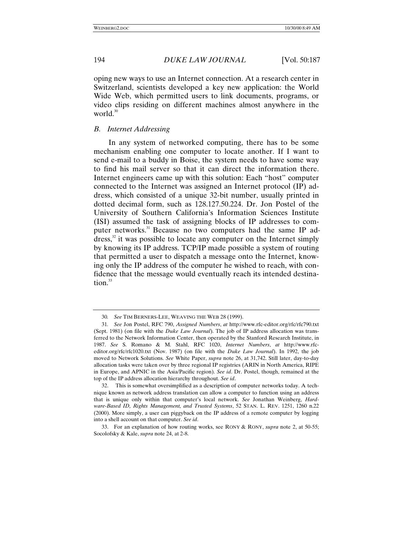oping new ways to use an Internet connection. At a research center in Switzerland, scientists developed a key new application: the World Wide Web, which permitted users to link documents, programs, or video clips residing on different machines almost anywhere in the world. $30$ 

# *B. Internet Addressing*

In any system of networked computing, there has to be some mechanism enabling one computer to locate another. If I want to send e-mail to a buddy in Boise, the system needs to have some way to find his mail server so that it can direct the information there. Internet engineers came up with this solution: Each "host" computer connected to the Internet was assigned an Internet protocol (IP) address, which consisted of a unique 32-bit number, usually printed in dotted decimal form, such as 128.127.50.224. Dr. Jon Postel of the University of Southern California's Information Sciences Institute (ISI) assumed the task of assigning blocks of IP addresses to computer networks.<sup>31</sup> Because no two computers had the same IP address, $32$  it was possible to locate any computer on the Internet simply by knowing its IP address. TCP/IP made possible a system of routing that permitted a user to dispatch a message onto the Internet, knowing only the IP address of the computer he wished to reach, with confidence that the message would eventually reach its intended destina $tion<sup>33</sup>$ 

<sup>30</sup>*. See* TIM BERNERS-LEE, WEAVING THE WEB 28 (1999).

<sup>31</sup>*. See* Jon Postel, RFC 790, *Assigned Numbers*, *at* http://www.rfc-editor.org/rfc/rfc790.txt (Sept. 1981) (on file with the *Duke Law Journal*). The job of IP address allocation was transferred to the Network Information Center, then operated by the Stanford Research Institute, in 1987. *See* S. Romano & M. Stahl, RFC 1020, *Internet Numbers*, *at* http://www.rfceditor.org/rfc/rfc1020.txt (Nov. 1987) (on file with the *Duke Law Journal*). In 1992, the job moved to Network Solutions. *See* White Paper, *supra* note 26, at 31,742. Still later, day-to-day allocation tasks were taken over by three regional IP registries (ARIN in North America, RIPE in Europe, and APNIC in the Asia/Pacific region). *See id*. Dr. Postel, though, remained at the top of the IP address allocation hierarchy throughout. *See id*.

<sup>32.</sup> This is somewhat oversimplified as a description of computer networks today. A technique known as network address translation can allow a computer to function using an address that is unique only within that computer's local network. *See* Jonathan Weinberg, *Hardware-Based ID, Rights Management, and Trusted Systems*, 52 STAN. L. REV. 1251, 1260 n.22 (2000). More simply, a user can piggyback on the IP address of a remote computer by logging into a shell account on that computer. *See id*.

<sup>33.</sup> For an explanation of how routing works, see RONY & RONY, *supra* note 2, at 50-55; Socolofsky & Kale, *supra* note 24, at 2-8.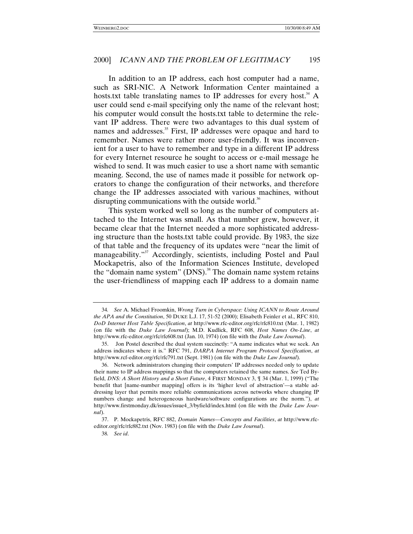In addition to an IP address, each host computer had a name, such as SRI-NIC. A Network Information Center maintained a hosts.txt table translating names to IP addresses for every host.<sup>34</sup> A user could send e-mail specifying only the name of the relevant host; his computer would consult the hosts.txt table to determine the relevant IP address. There were two advantages to this dual system of names and addresses.<sup>35</sup> First, IP addresses were opaque and hard to remember. Names were rather more user-friendly. It was inconvenient for a user to have to remember and type in a different IP address for every Internet resource he sought to access or e-mail message he wished to send. It was much easier to use a short name with semantic meaning. Second, the use of names made it possible for network operators to change the configuration of their networks, and therefore change the IP addresses associated with various machines, without disrupting communications with the outside world.<sup>36</sup>

This system worked well so long as the number of computers attached to the Internet was small. As that number grew, however, it became clear that the Internet needed a more sophisticated addressing structure than the hosts.txt table could provide. By 1983, the size of that table and the frequency of its updates were "near the limit of manageability."<sup>37</sup> Accordingly, scientists, including Postel and Paul Mockapetris, also of the Information Sciences Institute, developed the "domain name system"  $(DNS)$ .<sup>38</sup> The domain name system retains the user-friendliness of mapping each IP address to a domain name

<sup>34</sup>*. See* A. Michael Froomkin, *Wrong Turn in Cyberspace: Using ICANN to Route Around the APA and the Constitution*, 50 DUKE L.J. 17, 51-52 (2000); Elisabeth Feinler et al., RFC 810, *DoD Internet Host Table Specification*, *at* http://www.rfc-editor.org/rfc/rfc810.txt (Mar. 1, 1982) (on file with the *Duke Law Journal*); M.D. Kudlick, RFC 608, *Host Names On-Line*, *at* http://www.rfc-editor.org/rfc/rfc608.txt (Jan. 10, 1974) (on file with the *Duke Law Journal*).

<sup>35.</sup> Jon Postel described the dual system succinctly: "A name indicates what we seek. An address indicates where it is." RFC 791, *DARPA Internet Program Protocol Specification*, *at* http://www.rcf-editor.org/rfc/rfc791.txt (Sept. 1981) (on file with the *Duke Law Journal*).

<sup>36.</sup> Network administrators changing their computers' IP addresses needed only to update their name to IP address mappings so that the computers retained the same names. *See* Ted Byfield, *DNS: A Short History and a Short Future*, 4 FIRST MONDAY 3, ¶ 34 (Mar. 1, 1999) ("The benefit that [name-number mapping] offers is its 'higher level of abstraction'—a stable addressing layer that permits more reliable communications across networks where changing IP numbers change and heterogeneous hardware/software configurations are the norm."), *at* http://www.firstmonday.dk/issues/issue4\_3/byfield/index.html (on file with the *Duke Law Journal*).

<sup>37.</sup> P. Mockapetris, RFC 882, *Domain Names—Concepts and Facilities*, *at* http://www.rfceditor.org/rfc/rfc882.txt (Nov. 1983) (on file with the *Duke Law Journal*).

<sup>38</sup>*. See id*.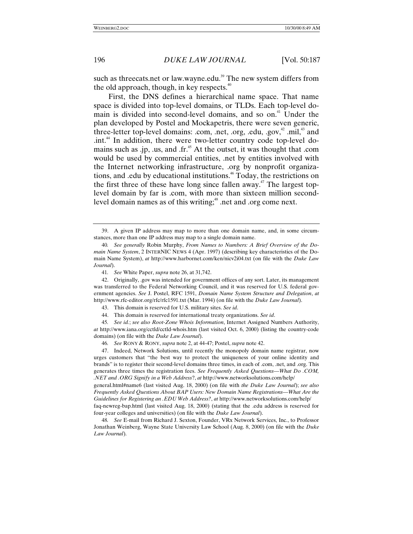such as threecats.net or law.wayne.edu.<sup>39</sup> The new system differs from the old approach, though, in key respects. $40$ 

First, the DNS defines a hierarchical name space. That name space is divided into top-level domains, or TLDs. Each top-level domain is divided into second-level domains, and so on.<sup>41</sup> Under the plan developed by Postel and Mockapetris, there were seven generic, three-letter top-level domains: .com, .net, .org, .edu, .gov, $^{42}$  .mil, $^{43}$  and .int.<sup>44</sup> In addition, there were two-letter country code top-level domains such as .jp, .us, and .fr. $45$  At the outset, it was thought that .com would be used by commercial entities, .net by entities involved with the Internet networking infrastructure, .org by nonprofit organizations, and .edu by educational institutions.46 Today, the restrictions on the first three of these have long since fallen away.<sup>47</sup> The largest toplevel domain by far is .com, with more than sixteen million secondlevel domain names as of this writing;<sup>48</sup> .net and .org come next.

41*. See* White Paper, *supra* note 26, at 31,742.

42. Originally, .gov was intended for government offices of any sort. Later, its management was transferred to the Federal Networking Council, and it was reserved for U.S. federal government agencies. *See* J. Postel, RFC 1591, *Domain Name System Structure and Delegation*, *at* http://www.rfc-editor.org/rfc/rfc1591.txt (Mar. 1994) (on file with the *Duke Law Journal*).

43. This domain is reserved for U.S. military sites. *See id*.

44. This domain is reserved for international treaty organizations. *See id*.

45*. See id.*; *see also Root-Zone Whois Information*, Internet Assigned Numbers Authority, *at* http://www.iana.org/cctld/cctld-whois.htm (last visited Oct. 6, 2000) (listing the country-code domains) (on file with the *Duke Law Journal*).

46*. See* RONY & RONY, *supra* note 2, at 44-47; Postel, *supra* note 42.

47. Indeed, Network Solutions, until recently the monopoly domain name registrar, now urges customers that "the best way to protect the uniqueness of your online identity and brands" is to register their second-level domains three times, in each of .com, .net, and .org. This generates three times the registration fees. *See Frequently Asked Questions—What Do .COM, .NET and .ORG Signify in a Web Address*?, *at* http://www.networksolutions.com/help/

general.html#name6 (last visited Aug. 18, 2000) (on file with *the Duke Law Journal*); *see also Frequently Asked Questions About BAP Users: New Domain Name Registrations—What Are the Guidelines for Registering an .EDU Web Address?*, *at* http://www.networksolutions.com/help/

faq-newreg-bap.html (last visited Aug. 18, 2000) (stating that the .edu address is reserved for four-year colleges and universities) (on file with the *Duke Law Journal*).

48*. See* E-mail from Richard J. Sexton, Founder, VRx Network Services, Inc., to Professor Jonathan Weinberg, Wayne State University Law School (Aug. 8, 2000) (on file with the *Duke Law Journal*).

<sup>39.</sup> A given IP address may map to more than one domain name, and, in some circumstances, more than one IP address may map to a single domain name.

<sup>40</sup>*. See generally* Robin Murphy, *From Names to Numbers: A Brief Overview of the Domain Name System*, 2 INTERNIC NEWS 4 (Apr. 1997) (describing key characteristics of the Domain Name System), *at* http://www.harbornet.com/ken/nicv2i04.txt (on file with the *Duke Law Journal*).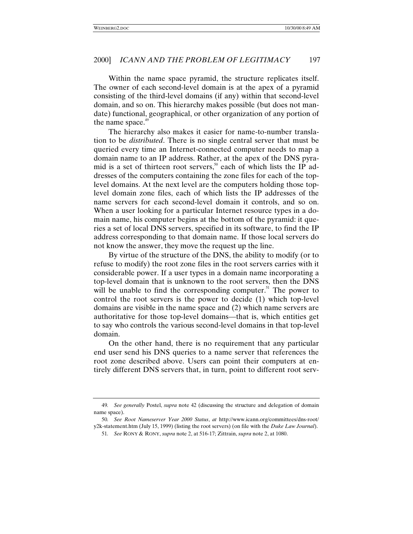Within the name space pyramid, the structure replicates itself. The owner of each second-level domain is at the apex of a pyramid consisting of the third-level domains (if any) within that second-level domain, and so on. This hierarchy makes possible (but does not mandate) functional, geographical, or other organization of any portion of the name space.<sup>49</sup>

The hierarchy also makes it easier for name-to-number translation to be *distributed*. There is no single central server that must be queried every time an Internet-connected computer needs to map a domain name to an IP address. Rather, at the apex of the DNS pyramid is a set of thirteen root servers,<sup>50</sup> each of which lists the IP addresses of the computers containing the zone files for each of the toplevel domains. At the next level are the computers holding those toplevel domain zone files, each of which lists the IP addresses of the name servers for each second-level domain it controls, and so on. When a user looking for a particular Internet resource types in a domain name, his computer begins at the bottom of the pyramid: it queries a set of local DNS servers, specified in its software, to find the IP address corresponding to that domain name. If those local servers do not know the answer, they move the request up the line.

By virtue of the structure of the DNS, the ability to modify (or to refuse to modify) the root zone files in the root servers carries with it considerable power. If a user types in a domain name incorporating a top-level domain that is unknown to the root servers, then the DNS will be unable to find the corresponding computer.<sup>51</sup> The power to control the root servers is the power to decide (1) which top-level domains are visible in the name space and (2) which name servers are authoritative for those top-level domains—that is, which entities get to say who controls the various second-level domains in that top-level domain.

On the other hand, there is no requirement that any particular end user send his DNS queries to a name server that references the root zone described above. Users can point their computers at entirely different DNS servers that, in turn, point to different root serv-

<sup>49</sup>*. See generally* Postel, *supra* note 42 (discussing the structure and delegation of domain name space).

<sup>50</sup>*. See Root Nameserver Year 2000 Status*, *at* http://www.icann.org/committees/dns-root/ y2k-statement.htm (July 15, 1999) (listing the root servers) (on file with the *Duke Law Journal*).

<sup>51</sup>*. See* RONY & RONY, *supra* note 2, at 516-17; Zittrain, *supra* note 2, at 1080.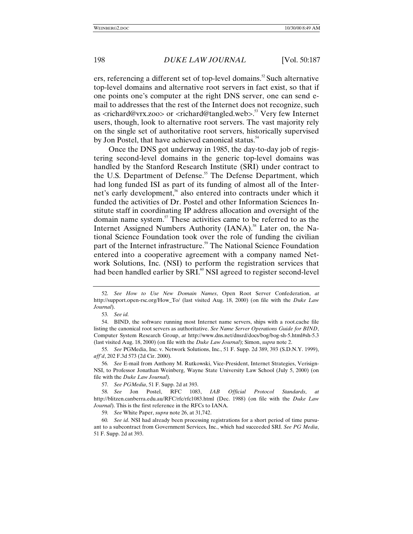ers, referencing a different set of top-level domains.<sup>52</sup> Such alternative top-level domains and alternative root servers in fact exist, so that if one points one's computer at the right DNS server, one can send email to addresses that the rest of the Internet does not recognize, such as <richard@vrx.zoo> or <richard@tangled.web>.53 Very few Internet users, though, look to alternative root servers. The vast majority rely on the single set of authoritative root servers, historically supervised by Jon Postel, that have achieved canonical status.<sup>54</sup>

Once the DNS got underway in 1985, the day-to-day job of registering second-level domains in the generic top-level domains was handled by the Stanford Research Institute (SRI) under contract to the U.S. Department of Defense.<sup>55</sup> The Defense Department, which had long funded ISI as part of its funding of almost all of the Internet's early development,<sup>56</sup> also entered into contracts under which it funded the activities of Dr. Postel and other Information Sciences Institute staff in coordinating IP address allocation and oversight of the domain name system. $57$  These activities came to be referred to as the Internet Assigned Numbers Authority (IANA).<sup>58</sup> Later on, the National Science Foundation took over the role of funding the civilian part of the Internet infrastructure.<sup>59</sup> The National Science Foundation entered into a cooperative agreement with a company named Network Solutions, Inc. (NSI) to perform the registration services that had been handled earlier by SRI.<sup>60</sup> NSI agreed to register second-level

<sup>52</sup>*. See How to Use New Domain Names*, Open Root Server Confederation, *at* http://support.open-rsc.org/How\_To/ (last visited Aug. 18, 2000) (on file with the *Duke Law Journal*).

<sup>53</sup>*. See id.*

<sup>54.</sup> BIND, the software running most Internet name servers, ships with a root.cache file listing the canonical root servers as authoritative. *See Name Server Operations Guide for BIND*, Computer System Research Group, *at* http://www.dns.net/dnsrd/docs/bog/bog-sh-5.html#sh-5.3 (last visited Aug. 18, 2000) (on file with the *Duke Law Journal*); Simon, *supra* note 2.

<sup>55</sup>*. See* PGMedia, Inc. v. Network Solutions, Inc., 51 F. Supp. 2d 389, 393 (S.D.N.Y. 1999), *aff'd*, 202 F.3d 573 (2d Cir. 2000).

<sup>56</sup>*. See* E-mail from Anthony M. Rutkowski, Vice-President, Internet Strategies, Verisign-NSI, to Professor Jonathan Weinberg, Wayne State University Law School (July 5, 2000) (on file with the *Duke Law Journal*).

<sup>57</sup>*. See PGMedia*, 51 F. Supp. 2d at 393.

<sup>58</sup>*. See* Jon Postel, RFC 1083, *IAB Official Protocol Standards*, *at* http://blitzen.canberra.edu.au/RFC/rfc/rfc1083.html (Dec. 1988) (on file with the *Duke Law Journal*). This is the first reference in the RFCs to IANA.

<sup>59</sup>*. See* White Paper, *supra* note 26, at 31,742.

<sup>60</sup>*. See id*. NSI had already been processing registrations for a short period of time pursuant to a subcontract from Government Services, Inc., which had succeeded SRI. *See PG Media*, 51 F. Supp. 2d at 393.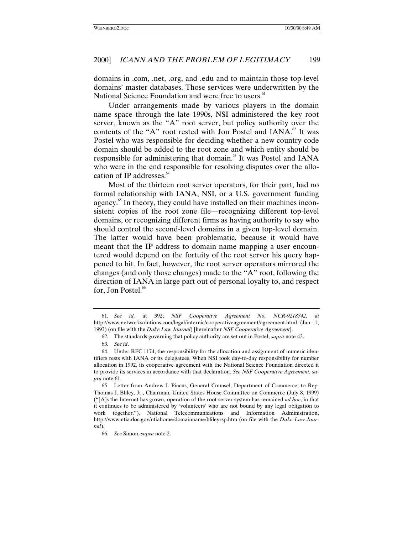domains in .com, .net, .org, and .edu and to maintain those top-level domains' master databases. Those services were underwritten by the National Science Foundation and were free to users.<sup>61</sup>

Under arrangements made by various players in the domain name space through the late 1990s, NSI administered the key root server, known as the "A" root server, but policy authority over the contents of the "A" root rested with Jon Postel and  $IANA$ . It was Postel who was responsible for deciding whether a new country code domain should be added to the root zone and which entity should be responsible for administering that domain.<sup>63</sup> It was Postel and IANA who were in the end responsible for resolving disputes over the allocation of IP addresses. $64$ 

Most of the thirteen root server operators, for their part, had no formal relationship with IANA, NSI, or a U.S. government funding agency.<sup>65</sup> In theory, they could have installed on their machines inconsistent copies of the root zone file—recognizing different top-level domains, or recognizing different firms as having authority to say who should control the second-level domains in a given top-level domain. The latter would have been problematic, because it would have meant that the IP address to domain name mapping a user encountered would depend on the fortuity of the root server his query happened to hit. In fact, however, the root server operators mirrored the changes (and only those changes) made to the "A" root, following the direction of IANA in large part out of personal loyalty to, and respect for, Jon Postel.<sup>66</sup>

<sup>61</sup>*. See id.* at 392; *NSF Cooperative Agreement No. NCR-9218742*, *at* http://www.networksolutions.com/legal/internic/cooperativeagreement/agreement.html (Jan. 1, 1993) (on file with the *Duke Law Journal*) [hereinafter *NSF Cooperative Agreement*].

<sup>62.</sup> The standards governing that policy authority are set out in Postel, *supra* note 42.

<sup>63</sup>*. See id*.

<sup>64.</sup> Under RFC 1174, the responsibility for the allocation and assignment of numeric identifiers rests with IANA or its delegatees. When NSI took day-to-day responsibility for number allocation in 1992, its cooperative agreement with the National Science Foundation directed it to provide its services in accordance with that declaration. *See NSF Cooperative Agreement*, s*upra* note 61.

<sup>65.</sup> Letter from Andrew J. Pincus, General Counsel, Department of Commerce, to Rep. Thomas J. Bliley, Jr., Chairman, United States House Committee on Commerce (July 8, 1999) ("[A]s the Internet has grown, operation of the root server system has remained *ad hoc*, in that it continues to be administered by 'volunteers' who are not bound by any legal obligation to work together."), National Telecommunications and Information Administration, http://www.ntia.doc.gov/ntiahome/domainname/blileyrsp.htm (on file with the *Duke Law Journal*).

<sup>66</sup>*. See* Simon, *supra* note 2.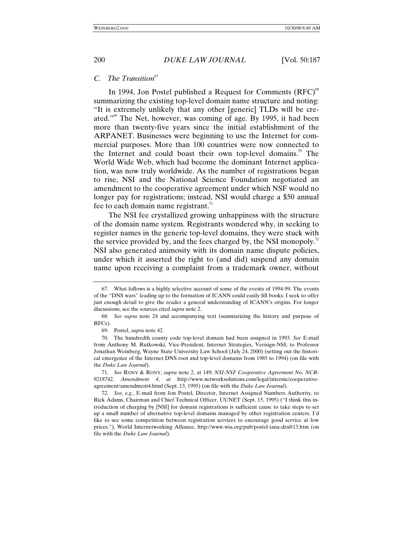#### *C. The Transition*<sup>67</sup>

In 1994, Jon Postel published a Request for Comments  $(RFC)^{68}$ summarizing the existing top-level domain name structure and noting: "It is extremely unlikely that any other [generic] TLDs will be created."<sup>69</sup> The Net, however, was coming of age. By 1995, it had been more than twenty-five years since the initial establishment of the ARPANET. Businesses were beginning to use the Internet for commercial purposes. More than 100 countries were now connected to the Internet and could boast their own top-level domains.<sup>70</sup> The World Wide Web, which had become the dominant Internet application, was now truly worldwide. As the number of registrations began to rise, NSI and the National Science Foundation negotiated an amendment to the cooperative agreement under which NSF would no longer pay for registrations; instead, NSI would charge a \$50 annual fee to each domain name registrant.<sup>71</sup>

The NSI fee crystallized growing unhappiness with the structure of the domain name system. Registrants wondered why, in seeking to register names in the generic top-level domains, they were stuck with the service provided by, and the fees charged by, the NSI monopoly.<sup>72</sup> NSI also generated animosity with its domain name dispute policies, under which it asserted the right to (and did) suspend any domain name upon receiving a complaint from a trademark owner, without

<sup>67.</sup> What follows is a highly selective account of some of the events of 1994-99. The events of the "DNS wars" leading up to the formation of ICANN could easily fill books. I seek to offer just enough detail to give the reader a general understanding of ICANN's origins. For longer discussions, see the sources cited *supra* note 2.

<sup>68</sup>*. See supra* note 24 and accompanying text (summarizing the history and purpose of RFCs).

<sup>69.</sup> Postel, *supra* note 42.

<sup>70.</sup> The hundredth county code top-level domain had been assigned in 1993. *See* E-mail from Anthony M. Rutkowski, Vice-President, Internet Strategies, Verisign-NSI, to Professor Jonathan Weinberg, Wayne State University Law School (July 24, 2000) (setting out the historical emergence of the Internet DNS root and top-level domains from 1985 to 1994) (on file with the *Duke Law Journal*).

<sup>71</sup>*. See* RONY & RONY, *supra* note 2, at 149; *NSI-NSF Cooperative Agreement No. NCR-9218742, Amendment 4*, *at* http://www.networksolutions.com/legal/internic/cooperativeagreement/amendment4.html (Sept. 13, 1995) (on file with the *Duke Law Journal*).

<sup>72</sup>*. See, e.g.*, E-mail from Jon Postel, Director, Internet Assigned Numbers Authority, to Rick Adams, Chairman and Chief Technical Officer, UUNET (Sept. 15, 1995) ("I think this introduction of charging by [NSI] for domain registrations is sufficient cause to take steps to set up a small number of alternative top-level domains managed by other registration centers. I'd like to see some competition between registration services to encourage good service at low prices."), World Internetworking Alliance, http://www.wia.org/pub/postel-iana-draft13.htm (on file with the *Duke Law Journal*).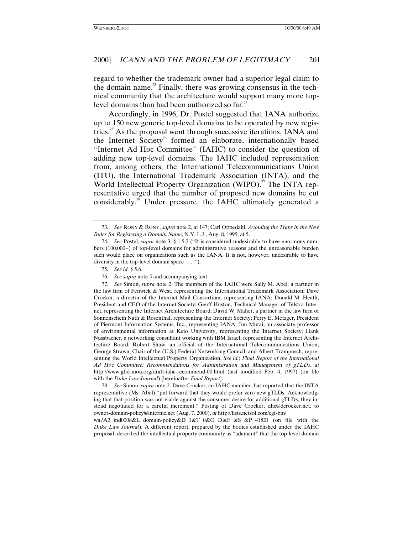regard to whether the trademark owner had a superior legal claim to the domain name.<sup>73</sup> Finally, there was growing consensus in the technical community that the architecture would support many more toplevel domains than had been authorized so far.<sup>74</sup>

Accordingly, in 1996, Dr. Postel suggested that IANA authorize up to 150 new generic top-level domains to be operated by new registries.<sup>75</sup> As the proposal went through successive iterations, IANA and the Internet Society<sup>76</sup> formed an elaborate, internationally based "Internet Ad Hoc Committee" (IAHC) to consider the question of adding new top-level domains. The IAHC included representation from, among others, the International Telecommunications Union (ITU), the International Trademark Association (INTA), and the World Intellectual Property Organization (WIPO).<sup>77</sup> The INTA representative urged that the number of proposed new domains be cut considerably.78 Under pressure, the IAHC ultimately generated a

77*. See* Simon, *supra* note 2. The members of the IAHC were Sally M. Abel, a partner in the law firm of Fenwick & West, representing the International Trademark Association; Dave Crocker, a director of the Internet Mail Consortium, representing IANA; Donald M. Heath, President and CEO of the Internet Society; Geoff Huston, Technical Manager of Telstra Internet, representing the Internet Architecture Board; David W. Maher, a partner in the law firm of Sonnenschein Nath & Rosenthal, representing the Internet Society; Perry E. Metzger, President of Piermont Information Systems, Inc., representing IANA; Jun Murai, an associate professor of environmental information at Keio University, representing the Internet Society; Hank Nussbacher, a networking consultant working with IBM Israel, representing the Internet Architecture Board; Robert Shaw, an official of the International Telecommunications Union; George Strawn, Chair of the (U.S.) Federal Networking Council; and Albert Tramposch, representing the World Intellectual Property Organization. *See id.*; *Final Report of the International Ad Hoc Committee: Recommendations for Administration and Management of gTLDs*, *at* http://www.gtld-mou.org/draft-iahc-recommend-00.html (last modified Feb. 4, 1997) (on file with the *Duke Law Journal*) [hereinafter *Final Report*].

78*. See* Simon, *supra* note 2. Dave Crocker, an IAHC member, has reported that the INTA representative (Ms. Abel) "put forward that they would prefer zero new gTLDs. Acknowledging that that position was not viable against the consumer desire for additional gTLDs, they instead negotiated for a careful increment." Posting of Dave Crocker, dhc@dcrocker.net, to owner-domain-policy@internic.net (Aug. 7, 2000), *at* http://lists.netsol.com/cgi-bin/

wa?A2=ind0008&L=domain-policy&D=1&T=0&O=D&F=&S=&P=41821 (on file with the *Duke Law Journal*). A different report, prepared by the bodies established under the IAHC proposal, described the intellectual property community as "adamant" that the top-level domain

<sup>73</sup>*. See* RONY & RONY, *supra* note 2, at 147; Carl Oppedahl, *Avoiding the Traps in the New Rules for Registering a Domain Name*, N.Y. L.J., Aug. 8, 1995, at 5.

<sup>74</sup>*. See* Postel, *supra* note 3, § 1.5.2 ("It is considered undesirable to have enormous numbers (100,000+) of top-level domains for administrative reasons and the unreasonable burden such would place on organizations such as the IANA. It is not, however, undesirable to have diversity in the top-level domain space . . . .").

<sup>75</sup>*. See id.* § 5.6.

<sup>76</sup>*. See supra* note 5 and accompanying text.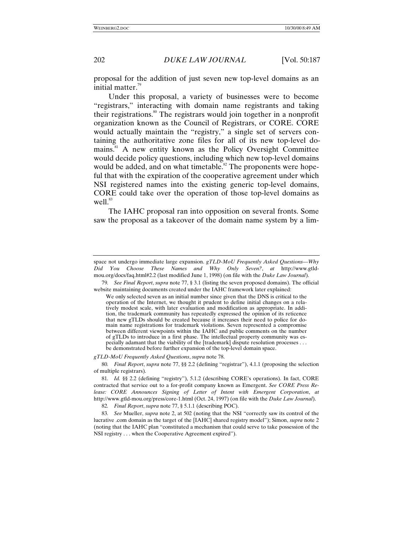proposal for the addition of just seven new top-level domains as an initial matter. $79$ 

Under this proposal, a variety of businesses were to become "registrars," interacting with domain name registrants and taking their registrations.<sup>80</sup> The registrars would join together in a nonprofit organization known as the Council of Registrars, or CORE. CORE would actually maintain the "registry," a single set of servers containing the authoritative zone files for all of its new top-level domains.<sup>81</sup> A new entity known as the Policy Oversight Committee would decide policy questions, including which new top-level domains would be added, and on what timetable.<sup>82</sup> The proponents were hopeful that with the expiration of the cooperative agreement under which NSI registered names into the existing generic top-level domains, CORE could take over the operation of those top-level domains as well. $83$ 

The IAHC proposal ran into opposition on several fronts. Some saw the proposal as a takeover of the domain name system by a lim-

*gTLD-MoU Frequently Asked Questions*, *supra* note 78.

80*. Final Report*, *supra* note 77, §§ 2.2 (defining "registrar"), 4.1.1 (proposing the selection of multiple registrars).

82*. Final Report*, *supra* note 77, § 5.1.1 (describing POC).

83*. See* Mueller, *supra* note 2, at 502 (noting that the NSI "correctly saw its control of the lucrative .com domain as the target of the [IAHC] shared registry model"); Simon, *supra* note 2 (noting that the IAHC plan "constituted a mechanism that could serve to take possession of the NSI registry . . . when the Cooperative Agreement expired").

space not undergo immediate large expansion. *gTLD-MoU Frequently Asked Questions—Why Did You Choose These Names and Why Only Seven?*, *at* http://www.gtldmou.org/docs/faq.html#2.2 (last modified June 1, 1998) (on file with the *Duke Law Journal*).

<sup>79</sup>*. See Final Report*, *supra* note 77, § 3.1 (listing the seven proposed domains). The official website maintaining documents created under the IAHC framework later explained:

We only selected seven as an initial number since given that the DNS is critical to the operation of the Internet, we thought it prudent to define initial changes on a relatively modest scale, with later evaluation and modification as appropriate. In addition, the trademark community has repeatedly expressed the opinion of its reticence that new gTLDs should be created because it increases their need to police for domain name registrations for trademark violations. Seven represented a compromise between different viewpoints within the IAHC and public comments on the number of gTLDs to introduce in a first phase. The intellectual property community was especially adamant that the viability of the [trademark] dispute resolution processes . . . be demonstrated before further expansion of the top-level domain space.

<sup>81</sup>*. Id.* §§ 2.2 (defining "registry"), 5.1.2 (describing CORE's operations). In fact, CORE contracted that service out to a for-profit company known as Emergent. *See CORE Press Release: CORE Announces Signing of Letter of Intent with Emergent Corporation*, *at* http://www.gtld-mou.org/press/core-1.html (Oct. 24, 1997) (on file with the *Duke Law Journal*).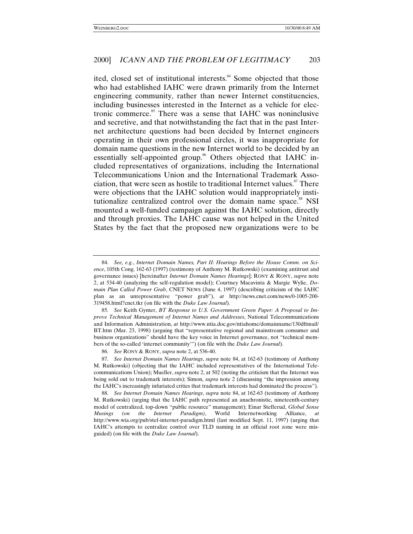ited, closed set of institutional interests.<sup>84</sup> Some objected that those who had established IAHC were drawn primarily from the Internet engineering community, rather than newer Internet constituencies, including businesses interested in the Internet as a vehicle for electronic commerce.<sup>85</sup> There was a sense that IAHC was noninclusive and secretive, and that notwithstanding the fact that in the past Internet architecture questions had been decided by Internet engineers operating in their own professional circles, it was inappropriate for domain name questions in the new Internet world to be decided by an essentially self-appointed group.<sup>86</sup> Others objected that IAHC included representatives of organizations, including the International Telecommunications Union and the International Trademark Association, that were seen as hostile to traditional Internet values.<sup>87</sup> There were objections that the IAHC solution would inappropriately institutionalize centralized control over the domain name space.<sup>88</sup> NSI mounted a well-funded campaign against the IAHC solution, directly and through proxies. The IAHC cause was not helped in the United States by the fact that the proposed new organizations were to be

<sup>84</sup>*. See, e.g.*, *Internet Domain Names, Part II: Hearings Before the House Comm. on Science*, 105th Cong. 162-63 (1997) (testimony of Anthony M. Rutkowski) (examining antitrust and governance issues) [hereinafter *Internet Domain Names Hearings*]; RONY & RONY, *supra* note 2, at 534-40 (analyzing the self-regulation model); Courtney Macavinta & Margie Wylie, *Domain Plan Called Power Grab*, CNET NEWS (June 4, 1997) (describing criticism of the IAHC plan as an unrepresentative "power grab"), *at* http://news.cnet.com/news/0-1005-200- 319458.html?cnet.tkr (on file with the *Duke Law Journal*).

<sup>85</sup>*. See* Keith Gymer, *BT Response to U.S. Government Green Paper: A Proposal to Improve Technical Management of Internet Names and Addresses*, National Telecommunications and Information Administration, *at* http://www.ntia.doc.gov/ntiahome/domainname/130dftmail/ BT.htm (Mar. 23, 1998) (arguing that "representative regional and mainstream consumer and business organizations" should have the key voice in Internet governance, not "technical members of the so-called 'internet community'") (on file with the *Duke Law Journal*).

<sup>86</sup>*. See* RONY & RONY, *supra* note 2, at 536-40.

<sup>87</sup>*. See Internet Domain Names Hearings*, *supra* note 84, at 162-63 (testimony of Anthony M. Rutkowski) (objecting that the IAHC included representatives of the International Telecommunications Union); Mueller, *supra* note 2, at 502 (noting the criticism that the Internet was being sold out to trademark interests); Simon, *supra* note 2 (discussing "the impression among the IAHC's increasingly infuriated critics that trademark interests had dominated the process").

<sup>88</sup>*. See Internet Domain Names Hearings*, *supra* note 84, at 162-63 (testimony of Anthony M. Rutkowski) (urging that the IAHC path represented an anachronistic, nineteenth-century model of centralized, top-down "public resource" management); Einar Stefferud, *Global Sense Musings (on the Internet Paradigm)*, World Internetworking Alliance, *at* http://www.wia.org/pub/stef-internet-paradigm.html (last modified Sept. 11, 1997) (urging that IAHC's attempts to centralize control over TLD naming in an official root zone were misguided) (on file with the *Duke Law Journal*).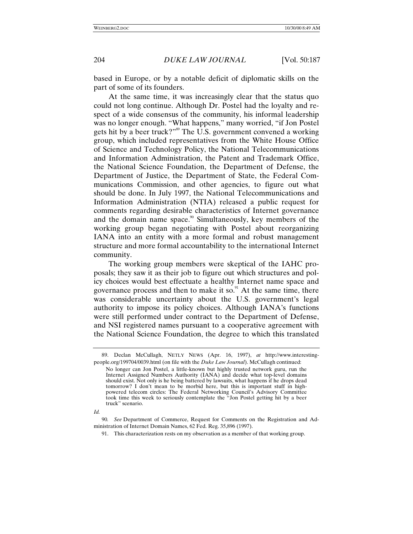based in Europe, or by a notable deficit of diplomatic skills on the part of some of its founders.

At the same time, it was increasingly clear that the status quo could not long continue. Although Dr. Postel had the loyalty and respect of a wide consensus of the community, his informal leadership was no longer enough. "What happens," many worried, "if Jon Postel gets hit by a beer truck?"<sup>89</sup> The U.S. government convened a working group, which included representatives from the White House Office of Science and Technology Policy, the National Telecommunications and Information Administration, the Patent and Trademark Office, the National Science Foundation, the Department of Defense, the Department of Justice, the Department of State, the Federal Communications Commission, and other agencies, to figure out what should be done. In July 1997, the National Telecommunications and Information Administration (NTIA) released a public request for comments regarding desirable characteristics of Internet governance and the domain name space.<sup>90</sup> Simultaneously, key members of the working group began negotiating with Postel about reorganizing IANA into an entity with a more formal and robust management structure and more formal accountability to the international Internet community.

The working group members were skeptical of the IAHC proposals; they saw it as their job to figure out which structures and policy choices would best effectuate a healthy Internet name space and governance process and then to make it so. $91$  At the same time, there was considerable uncertainty about the U.S. government's legal authority to impose its policy choices. Although IANA's functions were still performed under contract to the Department of Defense, and NSI registered names pursuant to a cooperative agreement with the National Science Foundation, the degree to which this translated

<sup>89.</sup> Declan McCullagh, NETLY NEWS (Apr. 16, 1997), *at* http://www.interestingpeople.org/199704/0039.html (on file with the *Duke Law Journal*). McCullagh continued:

No longer can Jon Postel, a little-known but highly trusted network guru, run the Internet Assigned Numbers Authority (IANA) and decide what top-level domains should exist. Not only is he being battered by lawsuits, what happens if he drops dead tomorrow? I don't mean to be morbid here, but this is important stuff in highpowered telecom circles: The Federal Networking Council's Advisory Committee took time this week to seriously contemplate the "Jon Postel getting hit by a beer truck" scenario.

*Id.*

<sup>90</sup>*. See* Department of Commerce, Request for Comments on the Registration and Administration of Internet Domain Names, 62 Fed. Reg. 35,896 (1997).

<sup>91.</sup> This characterization rests on my observation as a member of that working group.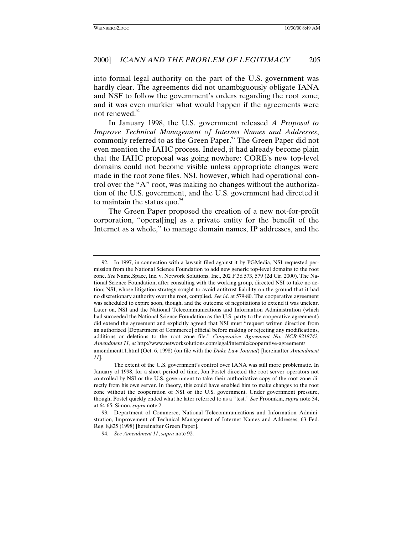into formal legal authority on the part of the U.S. government was hardly clear. The agreements did not unambiguously obligate IANA and NSF to follow the government's orders regarding the root zone; and it was even murkier what would happen if the agreements were not renewed. $^{92}$ 

In January 1998, the U.S. government released *A Proposal to Improve Technical Management of Internet Names and Addresses*, commonly referred to as the Green Paper.<sup>93</sup> The Green Paper did not even mention the IAHC process. Indeed, it had already become plain that the IAHC proposal was going nowhere: CORE's new top-level domains could not become visible unless appropriate changes were made in the root zone files. NSI, however, which had operational control over the "A" root, was making no changes without the authorization of the U.S. government, and the U.S. government had directed it to maintain the status quo. $94$ 

The Green Paper proposed the creation of a new not-for-profit corporation, "operat[ing] as a private entity for the benefit of the Internet as a whole," to manage domain names, IP addresses, and the

<sup>92.</sup> In 1997, in connection with a lawsuit filed against it by PGMedia, NSI requested permission from the National Science Foundation to add new generic top-level domains to the root zone. *See* Name.Space, Inc. v. Network Solutions, Inc., 202 F.3d 573, 579 (2d Cir. 2000). The National Science Foundation, after consulting with the working group, directed NSI to take no action; NSI, whose litigation strategy sought to avoid antitrust liability on the ground that it had no discretionary authority over the root, complied. *See id*. at 579-80. The cooperative agreement was scheduled to expire soon, though, and the outcome of negotiations to extend it was unclear. Later on, NSI and the National Telecommunications and Information Administration (which had succeeded the National Science Foundation as the U.S. party to the cooperative agreement) did extend the agreement and explicitly agreed that NSI must "request written direction from an authorized [Department of Commerce] official before making or rejecting any modifications, additions or deletions to the root zone file." *Cooperative Agreement No. NCR-9218742, Amendment 11*, *at* http://www.networksolutions.com/legal/internic/cooperative-agreement/ amendment11.html (Oct. 6, 1998) (on file with the *Duke Law Journal*) [hereinafter *Amendment 11*].

The extent of the U.S. government's control over IANA was still more problematic. In January of 1998, for a short period of time, Jon Postel directed the root server operators not controlled by NSI or the U.S. government to take their authoritative copy of the root zone directly from his own server. In theory, this could have enabled him to make changes to the root zone without the cooperation of NSI or the U.S. government. Under government pressure, though, Postel quickly ended what he later referred to as a "test." *See* Froomkin, *supra* note 34, at 64-65; Simon, *supra* note 2.

<sup>93.</sup> Department of Commerce, National Telecommunications and Information Administration, Improvement of Technical Management of Internet Names and Addresses, 63 Fed. Reg. 8,825 (1998) [hereinafter Green Paper].

<sup>94</sup>*. See Amendment 11*, *supra* note 92.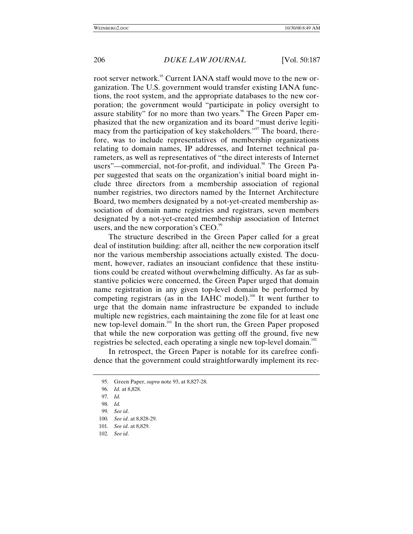root server network.<sup>95</sup> Current IANA staff would move to the new organization. The U.S. government would transfer existing IANA functions, the root system, and the appropriate databases to the new corporation; the government would "participate in policy oversight to assure stability" for no more than two years.<sup>96</sup> The Green Paper emphasized that the new organization and its board "must derive legitimacy from the participation of key stakeholders." 97 The board, therefore, was to include representatives of membership organizations relating to domain names, IP addresses, and Internet technical parameters, as well as representatives of "the direct interests of Internet users"—commercial, not-for-profit, and individual.<sup>98</sup> The Green Paper suggested that seats on the organization's initial board might include three directors from a membership association of regional number registries, two directors named by the Internet Architecture Board, two members designated by a not-yet-created membership association of domain name registries and registrars, seven members designated by a not-yet-created membership association of Internet users, and the new corporation's CEO.<sup>99</sup>

The structure described in the Green Paper called for a great deal of institution building: after all, neither the new corporation itself nor the various membership associations actually existed. The document, however, radiates an insouciant confidence that these institutions could be created without overwhelming difficulty. As far as substantive policies were concerned, the Green Paper urged that domain name registration in any given top-level domain be performed by competing registrars (as in the IAHC model).<sup>100</sup> It went further to urge that the domain name infrastructure be expanded to include multiple new registries, each maintaining the zone file for at least one new top-level domain.101 In the short run, the Green Paper proposed that while the new corporation was getting off the ground, five new registries be selected, each operating a single new top-level domain.<sup>102</sup>

In retrospect, the Green Paper is notable for its carefree confidence that the government could straightforwardly implement its rec-

<sup>95.</sup> Green Paper, *supra* note 93, at 8,827-28.

<sup>96</sup>*. Id*. at 8,828.

<sup>97</sup>*. Id*.

<sup>98</sup>*. Id*.

<sup>99</sup>*. See id*.

<sup>100</sup>*. See id*. at 8,828-29.

<sup>101</sup>*. See id*. at 8,829.

<sup>102</sup>*. See id*.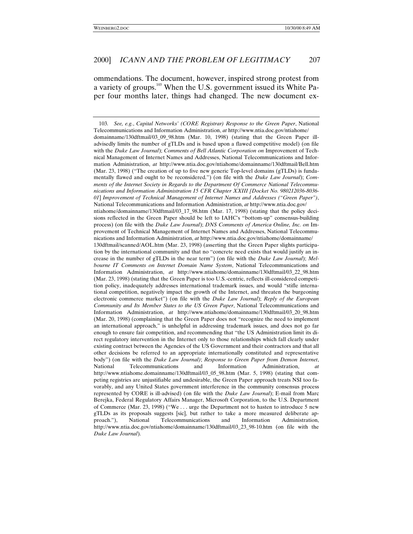ommendations. The document, however, inspired strong protest from a variety of groups.<sup>103</sup> When the U.S. government issued its White Paper four months later, things had changed. The new document ex-

<sup>103</sup>*. See, e.g.*, *Capital Networks' (CORE Registrar) Response to the Green Paper*, National Telecommunications and Information Administration, *at* http://www.ntia.doc.gov/ntiahome/ domainname/130dftmail/03\_09\_98.htm (Mar. 10, 1998) (stating that the Green Paper illadvisedly limits the number of gTLDs and is based upon a flawed competitive model) (on file with the *Duke Law Journal*); *Comments of Bell Atlantic Corporation on* Improvement of Technical Management of Internet Names and Addresses, National Telecommunications and Information Administration, *at* http://www.ntia.doc.gov/ntiahome/domainname/130dftmail/Bell.htm (Mar. 23, 1998) ("The creation of up to five new generic Top-level domains (gTLDs) is fundamentally flawed and ought to be reconsidered.") (on file with the *Duke Law Journal*); *Comments of the Internet Society in Regards to the Department Of Commerce National Telecommunications and Information Administration 15 CFR Chapter XXIII [Docket No. 980212036-8036- 01*] *Improvement of Technical Management of Internet Names and Addresses ("Green Paper")*, National Telecommunications and Information Administration, *at* http://www.ntia.doc.gov/ ntiahome/domainname/130dftmail/03\_17\_98.htm (Mar. 17, 1998) (stating that the policy decisions reflected in the Green Paper should be left to IAHC's "bottom-up" consensus-building process) (on file with the *Duke Law Journal*); *DNS Comments of America Online, Inc. on* Improvement of Technical Management of Internet Names and Addresses, National Telecommunications and Information Administration, *at* http://www.ntia.doc.gov/ntiahome/domainname/ 130dftmail/scanned/AOL.htm (Mar. 23, 1998) (asserting that the Green Paper slights participation by the international community and that no "concrete need exists that would justify an increase in the number of gTLDs in the near term") (on file with the *Duke Law Journal*); *Melbourne IT Comments on Internet Domain Name System*, National Telecommunications and Information Administration, *at* http://www.ntiahome/domainname/130dftmail/03\_22\_98.htm (Mar. 23, 1998) (stating that the Green Paper is too U.S.-centric, reflects ill-considered competition policy, inadequately addresses international trademark issues, and would "stifle international competition, negatively impact the growth of the Internet, and threaten the burgeoning electronic commerce market") (on file with the *Duke Law Journal*); *Reply of the European Community and Its Member States to the US Green Paper*, National Telecommunications and Information Administration, *at* http://www.ntiahome/domainname/130dftmail/03\_20\_98.htm (Mar. 20, 1998) (complaining that the Green Paper does not "recognize the need to implement an international approach," is unhelpful in addressing trademark issues, and does not go far enough to ensure fair competition, and recommending that "the US Administration limit its direct regulatory intervention in the Internet only to those relationships which fall clearly under existing contract between the Agencies of the US Government and their contractors and that all other decisions be referred to an appropriate internationally constituted and representative body") (on file with the *Duke Law Journal)*; *Response to Green Paper from Demon Internet*, National Telecommunications and Information Administration, *at* http://www.ntiahome.domainname/130dftmail/03\_05\_98.htm (Mar. 5, 1998) (stating that competing registries are unjustifiable and undesirable, the Green Paper approach treats NSI too favorably, and any United States government interference in the community consensus process represented by CORE is ill-advised) (on file with the *Duke Law Journal*); E-mail from Marc Berejka, Federal Regulatory Affairs Manager, Microsoft Corporation, to the U.S. Department of Commerce (Mar. 23, 1998) ("We . . . urge the Department not to hasten to introduce 5 new gTLDs as its proposals suggests [sic], but rather to take a more measured deliberate approach."), National Telecommunications and Information Administration, http://www.ntia.doc.gov/ntiahome/domainname/130dftmail/03\_23\_98-10.htm (on file with the *Duke Law Journal*).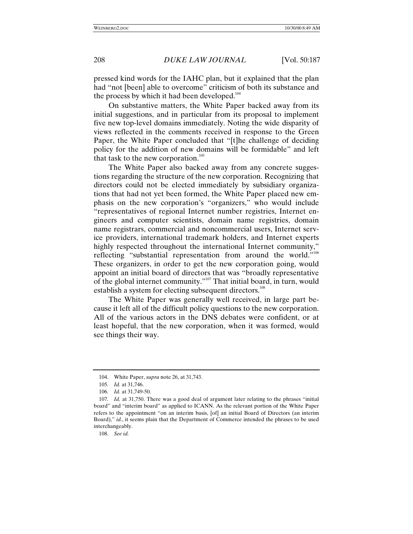pressed kind words for the IAHC plan, but it explained that the plan had "not [been] able to overcome" criticism of both its substance and the process by which it had been developed. $104$ 

On substantive matters, the White Paper backed away from its initial suggestions, and in particular from its proposal to implement five new top-level domains immediately. Noting the wide disparity of views reflected in the comments received in response to the Green Paper, the White Paper concluded that "[t]he challenge of deciding policy for the addition of new domains will be formidable" and left that task to the new corporation. $105$ 

The White Paper also backed away from any concrete suggestions regarding the structure of the new corporation. Recognizing that directors could not be elected immediately by subsidiary organizations that had not yet been formed, the White Paper placed new emphasis on the new corporation's "organizers," who would include "representatives of regional Internet number registries, Internet engineers and computer scientists, domain name registries, domain name registrars, commercial and noncommercial users, Internet service providers, international trademark holders, and Internet experts highly respected throughout the international Internet community," reflecting "substantial representation from around the world."<sup>106</sup> These organizers, in order to get the new corporation going, would appoint an initial board of directors that was "broadly representative of the global internet community."<sup>107</sup> That initial board, in turn, would establish a system for electing subsequent directors.<sup>108</sup>

The White Paper was generally well received, in large part because it left all of the difficult policy questions to the new corporation. All of the various actors in the DNS debates were confident, or at least hopeful, that the new corporation, when it was formed, would see things their way.

108*. See id.*

<sup>104.</sup> White Paper, *supra* note 26, at 31,743.

<sup>105</sup>*. Id.* at 31,746.

<sup>106</sup>*. Id.* at 31,749-50.

<sup>107</sup>*. Id.* at 31,750. There was a good deal of argument later relating to the phrases "initial board" and "interim board" as applied to ICANN. As the relevant portion of the White Paper refers to the appointment "on an interim basis, [of] an initial Board of Directors (an interim Board)," *id.*, it seems plain that the Department of Commerce intended the phrases to be used interchangeably.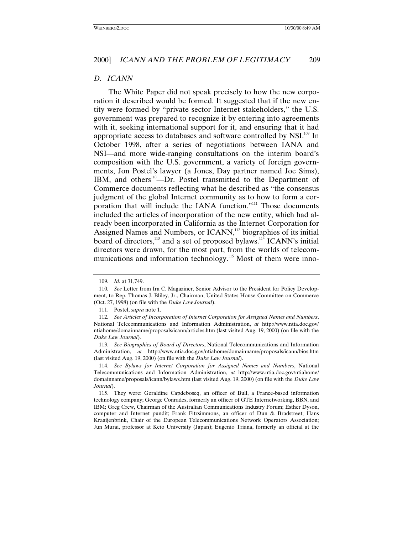### *D. ICANN*

The White Paper did not speak precisely to how the new corporation it described would be formed. It suggested that if the new entity were formed by "private sector Internet stakeholders," the U.S. government was prepared to recognize it by entering into agreements with it, seeking international support for it, and ensuring that it had appropriate access to databases and software controlled by NSI.<sup>109</sup> In October 1998, after a series of negotiations between IANA and NSI—and more wide-ranging consultations on the interim board's composition with the U.S. government, a variety of foreign governments, Jon Postel's lawyer (a Jones, Day partner named Joe Sims), IBM, and others<sup>110</sup>—Dr. Postel transmitted to the Department of Commerce documents reflecting what he described as "the consensus judgment of the global Internet community as to how to form a corporation that will include the IANA function."<sup>111</sup> Those documents included the articles of incorporation of the new entity, which had already been incorporated in California as the Internet Corporation for Assigned Names and Numbers, or ICANN,<sup>112</sup> biographies of its initial board of directors,<sup>113</sup> and a set of proposed bylaws.<sup>114</sup> ICANN's initial directors were drawn, for the most part, from the worlds of telecommunications and information technology.<sup>115</sup> Most of them were inno-

<sup>109</sup>*. Id.* at 31,749.

<sup>110</sup>*. See* Letter from Ira C. Magaziner, Senior Advisor to the President for Policy Development, to Rep. Thomas J. Bliley, Jr., Chairman, United States House Committee on Commerce (Oct. 27, 1998) (on file with the *Duke Law Journal*).

<sup>111.</sup> Postel, *supra* note 1.

<sup>112</sup>*. See Articles of Incorporation of Internet Corporation for Assigned Names and Numbers*, National Telecommunications and Information Administration, *at* http://www.ntia.doc.gov/ ntiahome/domainname/proposals/icann/articles.htm (last visited Aug. 19, 2000) (on file with the *Duke Law Journal*).

<sup>113</sup>*. See Biographies of Board of Directors*, National Telecommunications and Information Administration, *at* http://www.ntia.doc.gov/ntiahome/domainname/proposals/icann/bios.htm (last visited Aug. 19, 2000) (on file with the *Duke Law Journal*).

<sup>114</sup>*. See Bylaws for Internet Corporation for Assigned Names and Numbers*, National Telecommunications and Information Administration, *at* http://www.ntia.doc.gov/ntiahome/ domainname/proposals/icann/bylaws.htm (last visited Aug. 19, 2000) (on file with the *Duke Law Journal*).

<sup>115.</sup> They were: Geraldine Capdeboscq, an officer of Bull, a France-based information technology company; George Conrades, formerly an officer of GTE Internetworking, BBN, and IBM; Greg Crew, Chairman of the Australian Communications Industry Forum; Esther Dyson, computer and Internet pundit; Frank Fitzsimmons, an officer of Dun & Bradstreet; Hans Kraaijenbrink, Chair of the European Telecommunications Network Operators Association; Jun Murai, professor at Keio University (Japan); Eugenio Triana, formerly an official at the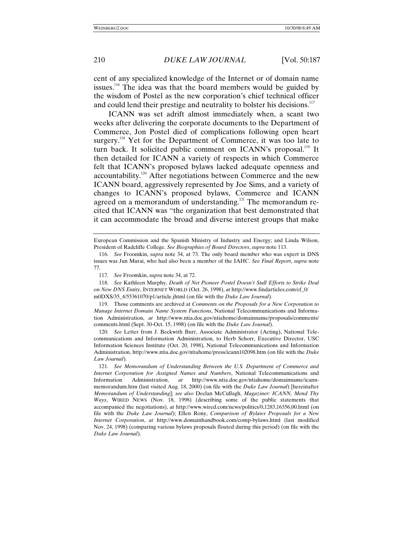cent of any specialized knowledge of the Internet or of domain name issues.<sup>116</sup> The idea was that the board members would be guided by the wisdom of Postel as the new corporation's chief technical officer and could lend their prestige and neutrality to bolster his decisions.<sup>117</sup>

ICANN was set adrift almost immediately when, a scant two weeks after delivering the corporate documents to the Department of Commerce, Jon Postel died of complications following open heart surgery.<sup>118</sup> Yet for the Department of Commerce, it was too late to turn back. It solicited public comment on ICANN's proposal.<sup>119</sup> It then detailed for ICANN a variety of respects in which Commerce felt that ICANN's proposed bylaws lacked adequate openness and accountability.120 After negotiations between Commerce and the new ICANN board, aggressively represented by Joe Sims, and a variety of changes to ICANN's proposed bylaws, Commerce and ICANN agreed on a memorandum of understanding.<sup>121</sup> The memorandum recited that ICANN was "the organization that best demonstrated that it can accommodate the broad and diverse interest groups that make

European Commission and the Spanish Ministry of Industry and Energy; and Linda Wilson, President of Radcliffe College. *See Biographies of Board Directors*, *supra* note 113.

<sup>116</sup>*. See* Froomkin, *supra* note 34, at 73. The only board member who was expert in DNS issues was Jun Murai, who had also been a member of the IAHC. *See Final Report*, *supra* note 77.

<sup>117</sup>*. See* Froomkin, *supra* note 34, at 72.

<sup>118</sup>*. See* Kathleen Murphy, *Death of Net Pioneer Postel Doesn't Stall Efforts to Strike Deal on New DNS Entity*, INTERNET WORLD (Oct. 26, 1998), *at* http://www.findarticles.com/cf\_0/ m0DXS/35\_4/55361070/p1/article.jhtml (on file with the *Duke Law Journal*).

<sup>119.</sup> Those comments are archived at *Comments on the Proposals for a New Corporation to Manage Internet Domain Name System Functions*, National Telecommunications and Information Administration, *at* http://www.ntia.doc.gov/ntiahome/domainname/proposals/comments/ comments.html (Sept. 30-Oct. 15, 1998) (on file with the *Duke Law Journal*).

<sup>120</sup>*. See* Letter from J. Beckwith Burr, Associate Administrator (Acting), National Telecommunications and Information Administration, to Herb Schorr, Executive Director, USC Information Sciences Institute (Oct. 20, 1998), National Telecommunications and Information Administration, http://www.ntia.doc.gov/ntiahome/press/icann102098.htm (on file with the *Duke Law Journal*).

<sup>121</sup>*. See Memorandum of Understanding Between the U.S. Department of Commerce and Internet Corporation for Assigned Names and Numbers*, National Telecommunications and Information Administration, *at* http://www.ntia.doc.gov/ntiahome/domainname/icannmemorandum.htm (last visited Aug. 18, 2000) (on file with the *Duke Law Journal*) [hereinafter *Memorandum of Understanding*]; *see also* Declan McCullagh, *Magaziner: ICANN, Mend Thy Ways*, WIRED NEWS (Nov. 18, 1998) (describing some of the public statements that accompanied the negotiations), *at* http://www.wired.com/news/politics/0,1283,16356,00.html (on file with the *Duke Law Journal*); Ellen Rony, *Comparison of Bylaws Proposals for a New Internet Corporation*, *at* http://www.domainhandbook.com/comp-bylaws.html (last modified Nov. 24, 1998) (comparing various bylaws proposals floated during this period) (on file with the *Duke Law Journal*).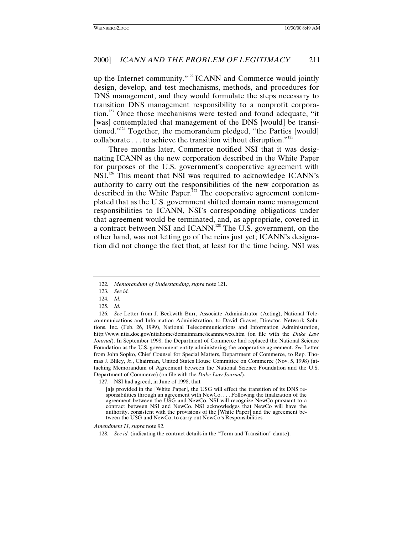up the Internet community."<sup>122</sup> ICANN and Commerce would jointly design, develop, and test mechanisms, methods, and procedures for DNS management, and they would formulate the steps necessary to transition DNS management responsibility to a nonprofit corporation.123 Once those mechanisms were tested and found adequate, "it [was] contemplated that management of the DNS [would] be transitioned."<sup>124</sup> Together, the memorandum pledged, "the Parties [would] collaborate  $\dots$  to achieve the transition without disruption."<sup>125</sup>

Three months later, Commerce notified NSI that it was designating ICANN as the new corporation described in the White Paper for purposes of the U.S. government's cooperative agreement with NSI.<sup>126</sup> This meant that NSI was required to acknowledge ICANN's authority to carry out the responsibilities of the new corporation as described in the White Paper.<sup>127</sup> The cooperative agreement contemplated that as the U.S. government shifted domain name management responsibilities to ICANN, NSI's corresponding obligations under that agreement would be terminated, and, as appropriate, covered in a contract between NSI and ICANN.128 The U.S. government, on the other hand, was not letting go of the reins just yet; ICANN's designation did not change the fact that, at least for the time being, NSI was

125*. Id.*

*Amendment 11*, *supra* note 92.

<sup>122</sup>*. Memorandum of Understanding*, *supra* note 121.

<sup>123</sup>*. See id.*

<sup>124</sup>*. Id.*

<sup>126</sup>*. See* Letter from J. Beckwith Burr, Associate Administrator (Acting), National Telecommunications and Information Administration, to David Graves, Director, Network Solutions, Inc. (Feb. 26, 1999), National Telecommunications and Information Administration, http://www.ntia.doc.gov/ntiahome/domainname/icannnewco.htm (on file with the *Duke Law Journal*). In September 1998, the Department of Commerce had replaced the National Science Foundation as the U.S. government entity administering the cooperative agreement. *See* Letter from John Sopko, Chief Counsel for Special Matters, Department of Commerce, to Rep. Thomas J. Bliley, Jr., Chairman, United States House Committee on Commerce (Nov. 5, 1998) (attaching Memorandum of Agreement between the National Science Foundation and the U.S. Department of Commerce) (on file with the *Duke Law Journal*).

<sup>127.</sup> NSI had agreed, in June of 1998, that

<sup>[</sup>a]s provided in the [White Paper], the USG will effect the transition of its DNS responsibilities through an agreement with NewCo. . . . Following the finalization of the agreement between the USG and NewCo, NSI will recognize NewCo pursuant to a contract between NSI and NewCo. NSI acknowledges that NewCo will have the authority, consistent with the provisions of the [White Paper] and the agreement between the USG and NewCo, to carry out NewCo's Responsibilities.

<sup>128</sup>*. See id.* (indicating the contract details in the "Term and Transition" clause).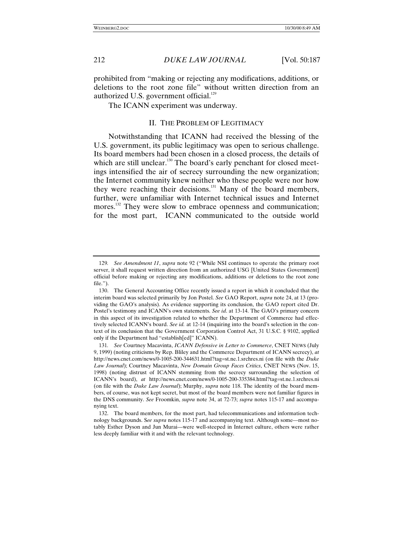prohibited from "making or rejecting any modifications, additions, or deletions to the root zone file" without written direction from an authorized U.S. government official.<sup>129</sup>

The ICANN experiment was underway.

## II. THE PROBLEM OF LEGITIMACY

Notwithstanding that ICANN had received the blessing of the U.S. government, its public legitimacy was open to serious challenge. Its board members had been chosen in a closed process, the details of which are still unclear.<sup>130</sup> The board's early penchant for closed meetings intensified the air of secrecy surrounding the new organization; the Internet community knew neither who these people were nor how they were reaching their decisions.<sup>131</sup> Many of the board members, further, were unfamiliar with Internet technical issues and Internet mores.<sup>132</sup> They were slow to embrace openness and communication; for the most part, ICANN communicated to the outside world

<sup>129</sup>*. See Amendment 11*, *supra* note 92 ("While NSI continues to operate the primary root server, it shall request written direction from an authorized USG [United States Government] official before making or rejecting any modifications, additions or deletions to the root zone file.").

<sup>130.</sup> The General Accounting Office recently issued a report in which it concluded that the interim board was selected primarily by Jon Postel. *See* GAO Report, *supra* note 24, at 13 (providing the GAO's analysis). As evidence supporting its conclusion, the GAO report cited Dr. Postel's testimony and ICANN's own statements. *See id*. at 13-14. The GAO's primary concern in this aspect of its investigation related to whether the Department of Commerce had effectively selected ICANN's board. *See id.* at 12-14 (inquiring into the board's selection in the context of its conclusion that the Government Corporation Control Act, 31 U.S.C. § 9102, applied only if the Department had "establish[ed]" ICANN).

<sup>131</sup>*. See* Courtney Macavinta, *ICANN Defensive in Letter to Commerce*, CNET NEWS (July 9, 1999) (noting criticisms by Rep. Bliley and the Commerce Department of ICANN secrecy), *at* http://news.cnet.com/news/0-1005-200-344631.html?tag=st.ne.1.srchres.ni (on file with the *Duke Law Journal*); Courtney Macavinta, *New Domain Group Faces Critics*, CNET NEWS (Nov. 15, 1998) (noting distrust of ICANN stemming from the secrecy surrounding the selection of ICANN's board), *at* http://news.cnet.com/news/0-1005-200-335384.html?tag=st.ne.1.srchres.ni (on file with the *Duke Law Journal*); Murphy, *supra* note 118. The identity of the board members, of course, was not kept secret, but most of the board members were not familiar figures in the DNS community. *See* Froomkin, *supra* note 34, at 72-73; *supra* notes 115-17 and accompanying text.

<sup>132.</sup> The board members, for the most part, had telecommunications and information technology backgrounds. S*ee supra* notes 115-17 and accompanying text. Although some—most notably Esther Dyson and Jun Murai—were well-steeped in Internet culture, others were rather less deeply familiar with it and with the relevant technology.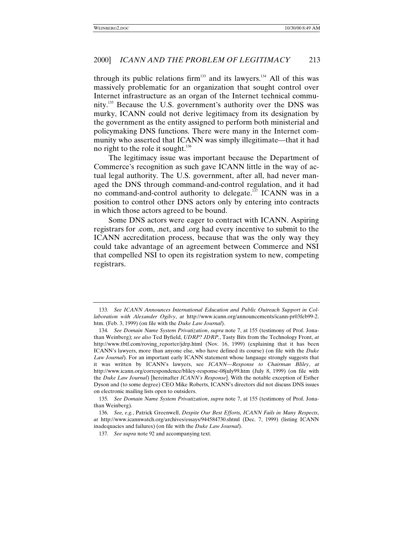through its public relations firm<sup>133</sup> and its lawyers.<sup>134</sup> All of this was massively problematic for an organization that sought control over Internet infrastructure as an organ of the Internet technical community.<sup>135</sup> Because the U.S. government's authority over the DNS was murky, ICANN could not derive legitimacy from its designation by the government as the entity assigned to perform both ministerial and policymaking DNS functions. There were many in the Internet community who asserted that ICANN was simply illegitimate—that it had no right to the role it sought. $136$ 

The legitimacy issue was important because the Department of Commerce's recognition as such gave ICANN little in the way of actual legal authority. The U.S. government, after all, had never managed the DNS through command-and-control regulation, and it had no command-and-control authority to delegate.<sup>137</sup> ICANN was in a position to control other DNS actors only by entering into contracts in which those actors agreed to be bound.

Some DNS actors were eager to contract with ICANN. Aspiring registrars for .com, .net, and .org had every incentive to submit to the ICANN accreditation process, because that was the only way they could take advantage of an agreement between Commerce and NSI that compelled NSI to open its registration system to new, competing registrars.

<sup>133</sup>*. See ICANN Announces International Education and Public Outreach Support in Collaboration with Alexander Ogilvy*, *at* http://www.icann.org/announcements/icann-pr03feb99-2. htm. (Feb. 3, 1999) (on file with the *Duke Law Journal*).

<sup>134</sup>*. See Domain Name System Privatization*, *supra* note 7, at 155 (testimony of Prof. Jonathan Weinberg); *see also* Ted Byfield, *UDRP? JDRP.*, Tasty Bits from the Technology Front, *at* http://www.tbtf.com/roving\_reporter/jdrp.html (Nov. 16, 1999) (explaining that it has been ICANN's lawyers, more than anyone else, who have defined its course) (on file with the *Duke Law Journal*). For an important early ICANN statement whose language strongly suggests that it was written by ICANN's lawyers, see *ICANN—Response to Chairman Bliley*, *at* http://www.icann.org/correspondence/bliley-response-08july99.htm (July 8, 1999) (on file with the *Duke Law Journal*) [hereinafter *ICANN's Response*]. With the notable exception of Esther Dyson and (to some degree) CEO Mike Roberts, ICANN's directors did not discuss DNS issues on electronic mailing lists open to outsiders.

<sup>135</sup>*. See Domain Name System Privatization*, *supra* note 7, at 155 (testimony of Prof. Jonathan Weinberg).

<sup>136</sup>*. See, e.g.*, Patrick Greenwell, *Despite Our Best Efforts, ICANN Fails in Many Respects*, *at* http://www.icannwatch.org/archives/essays/944584730.shtml (Dec. 7, 1999) (listing ICANN inadequacies and failures) (on file with the *Duke Law Journal*).

<sup>137</sup>*. See supra* note 92 and accompanying text.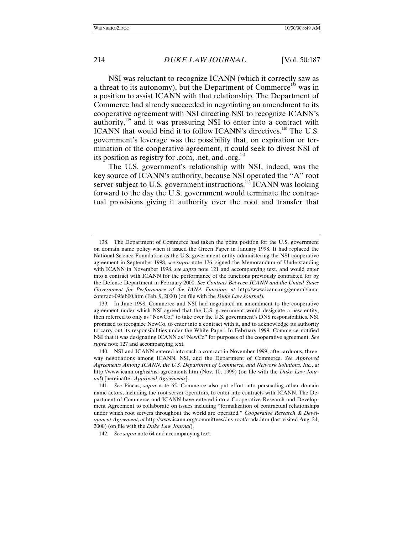NSI was reluctant to recognize ICANN (which it correctly saw as a threat to its autonomy), but the Department of Commerce<sup>138</sup> was in a position to assist ICANN with that relationship. The Department of Commerce had already succeeded in negotiating an amendment to its cooperative agreement with NSI directing NSI to recognize ICANN's authority, $139$  and it was pressuring NSI to enter into a contract with ICANN that would bind it to follow ICANN's directives.<sup>140</sup> The U.S. government's leverage was the possibility that, on expiration or termination of the cooperative agreement, it could seek to divest NSI of its position as registry for .com, .net, and .org.<sup>141</sup>

The U.S. government's relationship with NSI, indeed, was the key source of ICANN's authority, because NSI operated the "A" root server subject to U.S. government instructions.<sup>142</sup> ICANN was looking forward to the day the U.S. government would terminate the contractual provisions giving it authority over the root and transfer that

<sup>138.</sup> The Department of Commerce had taken the point position for the U.S. government on domain name policy when it issued the Green Paper in January 1998. It had replaced the National Science Foundation as the U.S. government entity administering the NSI cooperative agreement in September 1998, *see supra* note 126, signed the Memorandum of Understanding with ICANN in November 1998, *see supra* note 121 and accompanying text, and would enter into a contract with ICANN for the performance of the functions previously contracted for by the Defense Department in February 2000. *See Contract Between ICANN and the United States Government for Performance of the IANA Function*, *at* http://www.icann.org/general/ianacontract-09feb00.htm (Feb. 9, 2000) (on file with the *Duke Law Journal*).

<sup>139.</sup> In June 1998, Commerce and NSI had negotiated an amendment to the cooperative agreement under which NSI agreed that the U.S. government would designate a new entity, then referred to only as "NewCo," to take over the U.S. government's DNS responsibilities. NSI promised to recognize NewCo, to enter into a contract with it, and to acknowledge its authority to carry out its responsibilities under the White Paper. In February 1999, Commerce notified NSI that it was designating ICANN as "NewCo" for purposes of the cooperative agreement. *See supra* note 127 and accompanying text.

<sup>140.</sup> NSI and ICANN entered into such a contract in November 1999, after arduous, threeway negotiations among ICANN, NSI, and the Department of Commerce. *See Approved Agreements Among ICANN, the U.S. Department of Commerce, and Network Solutions, Inc.*, *at* http://www.icann.org/nsi/nsi-agreements.htm (Nov. 10, 1999) (on file with the *Duke Law Journal*) [hereinafter *Approved Agreements*].

<sup>141</sup>*. See* Pincus, *supra* note 65. Commerce also put effort into persuading other domain name actors, including the root server operators, to enter into contracts with ICANN. The Department of Commerce and ICANN have entered into a Cooperative Research and Development Agreement to collaborate on issues including "formalization of contractual relationships under which root servers throughout the world are operated." *Cooperative Research & Development Agreement*, *at* http://www.icann.org/committees/dns-root/crada.htm (last visited Aug. 24, 2000) (on file with the *Duke Law Journal*).

<sup>142</sup>*. See supra* note 64 and accompanying text.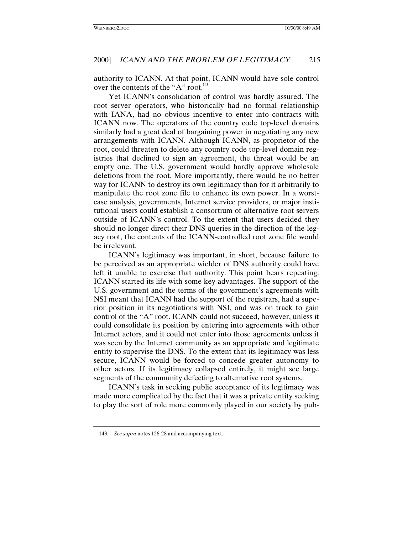authority to ICANN. At that point, ICANN would have sole control over the contents of the "A" root.<sup>143</sup>

Yet ICANN's consolidation of control was hardly assured. The root server operators, who historically had no formal relationship with IANA, had no obvious incentive to enter into contracts with ICANN now. The operators of the country code top-level domains similarly had a great deal of bargaining power in negotiating any new arrangements with ICANN. Although ICANN, as proprietor of the root, could threaten to delete any country code top-level domain registries that declined to sign an agreement, the threat would be an empty one. The U.S. government would hardly approve wholesale deletions from the root. More importantly, there would be no better way for ICANN to destroy its own legitimacy than for it arbitrarily to manipulate the root zone file to enhance its own power. In a worstcase analysis, governments, Internet service providers, or major institutional users could establish a consortium of alternative root servers outside of ICANN's control. To the extent that users decided they should no longer direct their DNS queries in the direction of the legacy root, the contents of the ICANN-controlled root zone file would be irrelevant.

ICANN's legitimacy was important, in short, because failure to be perceived as an appropriate wielder of DNS authority could have left it unable to exercise that authority. This point bears repeating: ICANN started its life with some key advantages. The support of the U.S. government and the terms of the government's agreements with NSI meant that ICANN had the support of the registrars, had a superior position in its negotiations with NSI, and was on track to gain control of the "A" root. ICANN could not succeed, however, unless it could consolidate its position by entering into agreements with other Internet actors, and it could not enter into those agreements unless it was seen by the Internet community as an appropriate and legitimate entity to supervise the DNS. To the extent that its legitimacy was less secure, ICANN would be forced to concede greater autonomy to other actors. If its legitimacy collapsed entirely, it might see large segments of the community defecting to alternative root systems.

ICANN's task in seeking public acceptance of its legitimacy was made more complicated by the fact that it was a private entity seeking to play the sort of role more commonly played in our society by pub-

<sup>143</sup>*. See supra* notes 126-28 and accompanying text.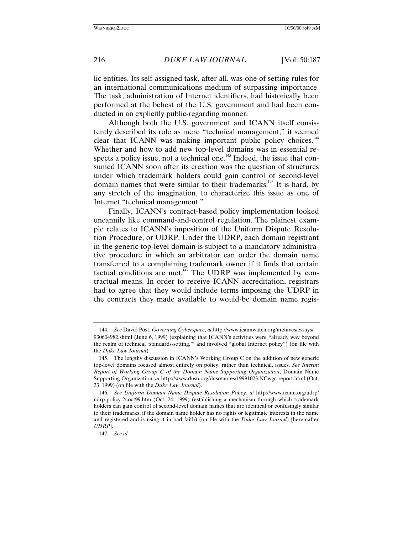lic entities. Its self-assigned task, after all, was one of setting rules for an international communications medium of surpassing importance. The task, administration of Internet identifiers, had historically been performed at the behest of the U.S. government and had been conducted in an explicitly public-regarding manner.

Although both the U.S. government and ICANN itself consistently described its role as mere "technical management," it seemed clear that ICANN was making important public policy choices.<sup>144</sup> Whether and how to add new top-level domains was in essential respects a policy issue, not a technical one.<sup>145</sup> Indeed, the issue that consumed ICANN soon after its creation was the question of structures under which trademark holders could gain control of second-level domain names that were similar to their trademarks.<sup>146</sup> It is hard, by any stretch of the imagination, to characterize this issue as one of Internet "technical management."

Finally, ICANN's contract-based policy implementation looked uncannily like command-and-control regulation. The plainest example relates to ICANN's imposition of the Uniform Dispute Resolution Procedure, or UDRP. Under the UDRP, each domain registrant in the generic top-level domain is subject to a mandatory administrative procedure in which an arbitrator can order the domain name transferred to a complaining trademark owner if it finds that certain factual conditions are met. $147$  The UDRP was implemented by contractual means. In order to receive ICANN accreditation, registrars had to agree that they would include terms imposing the UDRP in the contracts they made available to would-be domain name regis-

<sup>144</sup>*. See* David Post, *Governing Cyberspace*, *at* http://www.icannwatch.org/archives/essays/ 930604982.shtml (June 6, 1999) (explaining that ICANN's activities were "already way beyond the realm of technical 'standards-setting,'" and involved "global Internet policy") (on file with the *Duke Law Journal*).

<sup>145.</sup> The lengthy discussion in ICANN's Working Group C on the addition of new generic top-level domains focused almost entirely on policy, rather than technical, issues. *See Interim Report of Working Group C of the Domain Name Supporting Organization*, Domain Name Supporting Organization, *at* http://www.dnso.org/dnso/notes/19991023.NCwgc-report.html (Oct. 23, 1999) (on file with the *Duke Law Journal*).

<sup>146</sup>*. See Uniform Domain Name Dispute Resolution Policy*, *at* http://www.icann.org/udrp/ udrp-policy-24oct99.htm (Oct. 24, 1999) (establishing a mechanism through which trademark holders can gain control of second-level domain names that are identical or confusingly similar to their trademarks, if the domain name holder has no rights or legitimate interests in the name and registered and is using it in bad faith) (on file with the *Duke Law Journal*) [hereinafter *UDRP*].

<sup>147</sup>*. See id.*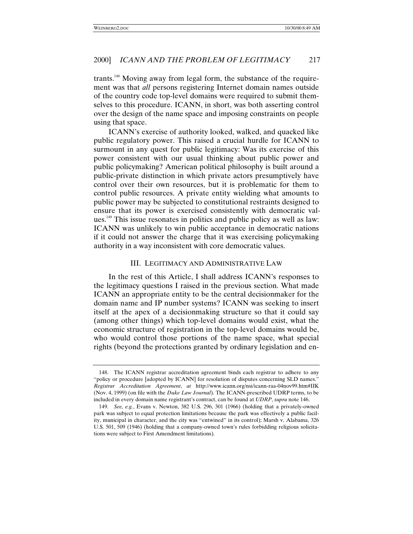trants.<sup>148</sup> Moving away from legal form, the substance of the requirement was that *all* persons registering Internet domain names outside of the country code top-level domains were required to submit themselves to this procedure. ICANN, in short, was both asserting control over the design of the name space and imposing constraints on people using that space.

ICANN's exercise of authority looked, walked, and quacked like public regulatory power. This raised a crucial hurdle for ICANN to surmount in any quest for public legitimacy: Was its exercise of this power consistent with our usual thinking about public power and public policymaking? American political philosophy is built around a public-private distinction in which private actors presumptively have control over their own resources, but it is problematic for them to control public resources. A private entity wielding what amounts to public power may be subjected to constitutional restraints designed to ensure that its power is exercised consistently with democratic values.149 This issue resonates in politics and public policy as well as law: ICANN was unlikely to win public acceptance in democratic nations if it could not answer the charge that it was exercising policymaking authority in a way inconsistent with core democratic values.

## III. LEGITIMACY AND ADMINISTRATIVE LAW

In the rest of this Article, I shall address ICANN's responses to the legitimacy questions I raised in the previous section. What made ICANN an appropriate entity to be the central decisionmaker for the domain name and IP number systems? ICANN was seeking to insert itself at the apex of a decisionmaking structure so that it could say (among other things) which top-level domains would exist, what the economic structure of registration in the top-level domains would be, who would control those portions of the name space, what special rights (beyond the protections granted by ordinary legislation and en-

<sup>148.</sup> The ICANN registrar accreditation agreement binds each registrar to adhere to any "policy or procedure [adopted by ICANN] for resolution of disputes concerning SLD names." *Registrar Accreditation Agreement*, *at* http://www.icann.org/nsi/icann-raa-04nov99.htm#IIK (Nov. 4, 1999) (on file with the *Duke Law Journal*). The ICANN-prescribed UDRP terms, to be included in every domain name registrant's contract, can be found at *UDRP*, *supra* note 146.

<sup>149</sup>*. See, e.g.*, Evans v. Newton, 382 U.S. 296, 301 (1966) (holding that a privately-owned park was subject to equal protection limitations because the park was effectively a public facility, municipal in character, and the city was "entwined" in its control); Marsh v. Alabama, 326 U.S. 501, 509 (1946) (holding that a company-owned town's rules forbidding religious solicitations were subject to First Amendment limitations).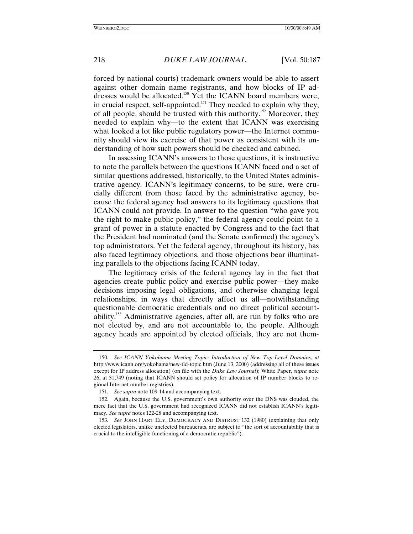forced by national courts) trademark owners would be able to assert against other domain name registrants, and how blocks of IP addresses would be allocated.<sup>150</sup> Yet the ICANN board members were, in crucial respect, self-appointed.<sup>151</sup> They needed to explain why they, of all people, should be trusted with this authority.152 Moreover, they needed to explain why—to the extent that ICANN was exercising what looked a lot like public regulatory power—the Internet community should view its exercise of that power as consistent with its understanding of how such powers should be checked and cabined.

In assessing ICANN's answers to those questions, it is instructive to note the parallels between the questions ICANN faced and a set of similar questions addressed, historically, to the United States administrative agency. ICANN's legitimacy concerns, to be sure, were crucially different from those faced by the administrative agency, because the federal agency had answers to its legitimacy questions that ICANN could not provide. In answer to the question "who gave you the right to make public policy," the federal agency could point to a grant of power in a statute enacted by Congress and to the fact that the President had nominated (and the Senate confirmed) the agency's top administrators. Yet the federal agency, throughout its history, has also faced legitimacy objections, and those objections bear illuminating parallels to the objections facing ICANN today.

The legitimacy crisis of the federal agency lay in the fact that agencies create public policy and exercise public power—they make decisions imposing legal obligations, and otherwise changing legal relationships, in ways that directly affect us all—notwithstanding questionable democratic credentials and no direct political accountability.153 Administrative agencies, after all, are run by folks who are not elected by, and are not accountable to, the people. Although agency heads are appointed by elected officials, they are not them-

<sup>150</sup>*. See ICANN Yokohama Meeting Topic: Introduction of New Top-Level Domains*, *at* http://www.icann.org/yokohama/new-tld-topic.htm (June 13, 2000) (addressing all of these issues except for IP address allocation) (on file with the *Duke Law Journal*); White Paper, *supra* note 26, at 31,749 (noting that ICANN should set policy for allocation of IP number blocks to regional Internet number registries).

<sup>151</sup>*. See supra* note 109-14 and accompanying text.

<sup>152.</sup> Again, because the U.S. government's own authority over the DNS was clouded, the mere fact that the U.S. government had recognized ICANN did not establish ICANN's legitimacy. *See supra* notes 122-28 and accompanying text.

<sup>153</sup>*. See* JOHN HART ELY, DEMOCRACY AND DISTRUST 132 (1980) (explaining that only elected legislators, unlike unelected bureaucrats, are subject to "the sort of accountability that is crucial to the intelligible functioning of a democratic republic").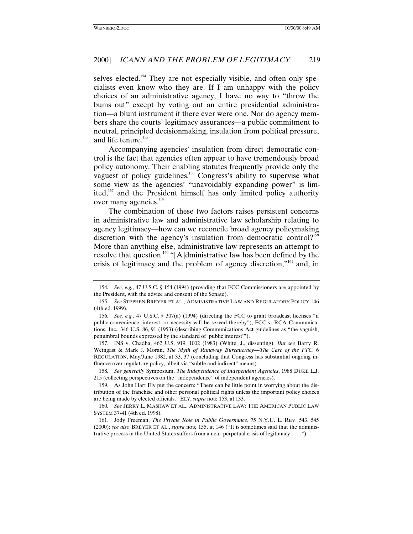selves elected.<sup>154</sup> They are not especially visible, and often only specialists even know who they are. If I am unhappy with the policy choices of an administrative agency, I have no way to "throw the bums out" except by voting out an entire presidential administration—a blunt instrument if there ever were one. Nor do agency members share the courts' legitimacy assurances—a public commitment to neutral, principled decisionmaking, insulation from political pressure, and life tenure.<sup>155</sup>

Accompanying agencies' insulation from direct democratic control is the fact that agencies often appear to have tremendously broad policy autonomy. Their enabling statutes frequently provide only the vaguest of policy guidelines.<sup>156</sup> Congress's ability to supervise what some view as the agencies' "unavoidably expanding power" is limited,<sup>157</sup> and the President himself has only limited policy authority over many agencies.<sup>158</sup>

The combination of these two factors raises persistent concerns in administrative law and administrative law scholarship relating to agency legitimacy—how can we reconcile broad agency policymaking discretion with the agency's insulation from democratic control?<sup>159</sup> More than anything else, administrative law represents an attempt to resolve that question.<sup>160</sup> "[A]dministrative law has been defined by the crisis of legitimacy and the problem of agency discretion,"<sup>161</sup> and, in

157. INS v. Chadha, 462 U.S. 919, 1002 (1983) (White, J., dissenting). *But see* Barry R. Weingast & Mark J. Moran, *The Myth of Runaway Bureaucracy—The Case of the FTC*, 6 REGULATION, May/June 1982, at 33, 37 (concluding that Congress has substantial ongoing influence over regulatory policy, albeit via "subtle and indirect" means).

158*. See generally* Symposium, *The Independence of Independent Agencies*, 1988 DUKE L.J. 215 (collecting perspectives on the "independence" of independent agencies).

159. As John Hart Ely put the concern: "There can be little point in worrying about the distribution of the franchise and other personal political rights unless the important policy choices are being made by elected officials." ELY, *supra* note 153, at 133.

160*. See* JERRY L. MASHAW ET AL., ADMINISTRATIVE LAW: THE AMERICAN PUBLIC LAW SYSTEM 37-41 (4th ed. 1998).

161. Jody Freeman, *The Private Role in Public Governance*, 75 N.Y.U. L. REV. 543, 545 (2000); *see also* BREYER ET AL., *supra* note 155, at 146 ("It is sometimes said that the administrative process in the United States suffers from a near-perpetual crisis of legitimacy . . . .").

<sup>154</sup>*. See, e.g.*, 47 U.S.C. § 154 (1994) (providing that FCC Commissioners are appointed by the President, with the advice and consent of the Senate).

<sup>155</sup>*. See* STEPHEN BREYER ET AL., ADMINISTRATIVE LAW AND REGULATORY POLICY 146 (4th ed. 1999).

<sup>156</sup>*. See, e.g.*, 47 U.S.C. § 307(a) (1994) (directing the FCC to grant broadcast licenses "if public convenience, interest, or necessity will be served thereby"); FCC v. RCA Communications, Inc., 346 U.S. 86, 91 (1953) (describing Communications Act guidelines as "the vaguish, penumbral bounds expressed by the standard of 'public interest'").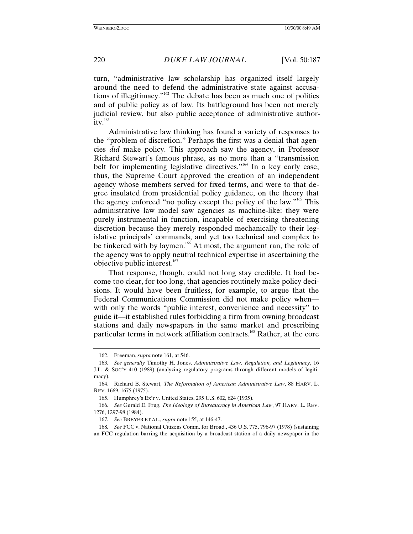turn, "administrative law scholarship has organized itself largely around the need to defend the administrative state against accusations of illegitimacy." 162 The debate has been as much one of politics and of public policy as of law. Its battleground has been not merely judicial review, but also public acceptance of administrative authority. $163$ 

Administrative law thinking has found a variety of responses to the "problem of discretion." Perhaps the first was a denial that agencies *did* make policy. This approach saw the agency, in Professor Richard Stewart's famous phrase, as no more than a "transmission belt for implementing legislative directives."<sup>164</sup> In a key early case, thus, the Supreme Court approved the creation of an independent agency whose members served for fixed terms, and were to that degree insulated from presidential policy guidance, on the theory that the agency enforced "no policy except the policy of the law."<sup>165</sup> This administrative law model saw agencies as machine-like: they were purely instrumental in function, incapable of exercising threatening discretion because they merely responded mechanically to their legislative principals' commands, and yet too technical and complex to be tinkered with by laymen.<sup>166</sup> At most, the argument ran, the role of the agency was to apply neutral technical expertise in ascertaining the objective public interest. $167$ 

That response, though, could not long stay credible. It had become too clear, for too long, that agencies routinely make policy decisions. It would have been fruitless, for example, to argue that the Federal Communications Commission did not make policy when with only the words "public interest, convenience and necessity" to guide it—it established rules forbidding a firm from owning broadcast stations and daily newspapers in the same market and proscribing particular terms in network affiliation contracts.<sup>168</sup> Rather, at the core

<sup>162.</sup> Freeman, *supra* note 161, at 546.

<sup>163</sup>*. See generally* Timothy H. Jones, *Administrative Law, Regulation, and Legitimacy*, 16 J.L. & SOC'Y 410 (1989) (analyzing regulatory programs through different models of legitimacy).

<sup>164.</sup> Richard B. Stewart, *The Reformation of American Administrative Law*, 88 HARV. L. REV. 1669, 1675 (1975).

<sup>165.</sup> Humphrey's Ex'r v. United States, 295 U.S. 602, 624 (1935).

<sup>166</sup>*. See* Gerald E. Frug, *The Ideology of Bureaucracy in American Law*, 97 HARV. L. REV. 1276, 1297-98 (1984).

<sup>167</sup>*. See* BREYER ET AL., *supra* note 155, at 146-47.

<sup>168</sup>*. See* FCC v. National Citizens Comm. for Broad., 436 U.S. 775, 796-97 (1978) (sustaining an FCC regulation barring the acquisition by a broadcast station of a daily newspaper in the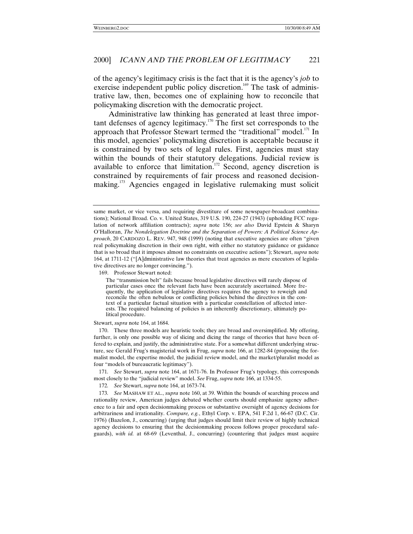of the agency's legitimacy crisis is the fact that it is the agency's *job* to exercise independent public policy discretion.<sup>169</sup> The task of administrative law, then, becomes one of explaining how to reconcile that policymaking discretion with the democratic project.

Administrative law thinking has generated at least three important defenses of agency legitimacy.<sup>170</sup> The first set corresponds to the approach that Professor Stewart termed the "traditional" model.<sup>171</sup> In this model, agencies' policymaking discretion is acceptable because it is constrained by two sets of legal rules. First, agencies must stay within the bounds of their statutory delegations. Judicial review is available to enforce that limitation.<sup>172</sup> Second, agency discretion is constrained by requirements of fair process and reasoned decisionmaking.<sup>173</sup> Agencies engaged in legislative rulemaking must solicit

169. Professor Stewart noted:

Stewart, *supra* note 164, at 1684.

170. These three models are heuristic tools; they are broad and oversimplified. My offering, further, is only one possible way of slicing and dicing the range of theories that have been offered to explain, and justify, the administrative state. For a somewhat different underlying structure, see Gerald Frug's magisterial work in Frug, *supra* note 166, at 1282-84 (proposing the formalist model, the expertise model, the judicial review model, and the market/pluralist model as four "models of bureaucratic legitimacy").

171*. See* Stewart, *supra* note 164, at 1671-76. In Professor Frug's typology, this corresponds most closely to the "judicial review" model. *See* Frug, *supra* note 166, at 1334-55.

172*. See* Stewart, *supra* note 164, at 1673-74.

173*. See* MASHAW ET AL., *supra* note 160, at 39. Within the bounds of searching process and rationality review, American judges debated whether courts should emphasize agency adherence to a fair and open decisionmaking process or substantive oversight of agency decisions for arbitrariness and irrationality. *Compare, e.g.*, Ethyl Corp. v. EPA, 541 F.2d 1, 66-67 (D.C. Cir. 1976) (Bazelon, J., concurring) (urging that judges should limit their review of highly technical agency decisions to ensuring that the decisionmaking process follows proper procedural safeguards), *with id.* at 68-69 (Leventhal, J., concurring) (countering that judges must acquire

same market, or vice versa, and requiring divestiture of some newspaper-broadcast combinations); National Broad. Co. v. United States, 319 U.S. 190, 224-27 (1943) (upholding FCC regulation of network affiliation contracts); *supra* note 156; *see also* David Epstein & Sharyn O'Halloran, *The Nondelegation Doctrine and the Separation of Powers: A Political Science Approach*, 20 CARDOZO L. REV. 947, 948 (1999) (noting that executive agencies are often "given real policymaking discretion in their own right, with either no statutory guidance or guidance that is so broad that it imposes almost no constraints on executive actions"); Stewart, *supra* note 164, at 1711-12 ("[A]dministrative law theories that treat agencies as mere executors of legislative directives are no longer convincing.").

The "transmission belt" fails because broad legislative directives will rarely dispose of particular cases once the relevant facts have been accurately ascertained. More frequently, the application of legislative directives requires the agency to reweigh and reconcile the often nebulous or conflicting policies behind the directives in the context of a particular factual situation with a particular constellation of affected interests. The required balancing of policies is an inherently discretionary, ultimately political procedure.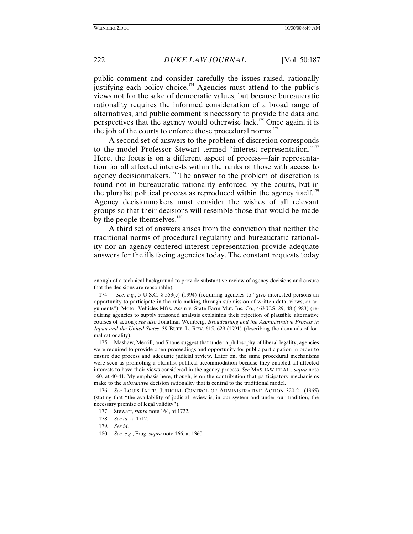public comment and consider carefully the issues raised, rationally justifying each policy choice.<sup>174</sup> Agencies must attend to the public's views not for the sake of democratic values, but because bureaucratic rationality requires the informed consideration of a broad range of alternatives, and public comment is necessary to provide the data and perspectives that the agency would otherwise lack.175 Once again, it is the job of the courts to enforce those procedural norms.<sup>176</sup>

A second set of answers to the problem of discretion corresponds to the model Professor Stewart termed "interest representation."<sup>177</sup> Here, the focus is on a different aspect of process—fair representation for all affected interests within the ranks of those with access to agency decision makers.<sup>178</sup> The answer to the problem of discretion is found not in bureaucratic rationality enforced by the courts, but in the pluralist political process as reproduced within the agency itself.<sup>179</sup> Agency decisionmakers must consider the wishes of all relevant groups so that their decisions will resemble those that would be made by the people themselves.<sup>180</sup>

A third set of answers arises from the conviction that neither the traditional norms of procedural regularity and bureaucratic rationality nor an agency-centered interest representation provide adequate answers for the ills facing agencies today. The constant requests today

enough of a technical background to provide substantive review of agency decisions and ensure that the decisions are reasonable).

<sup>174.</sup> *See, e.g.*, 5 U.S.C. § 553(c) (1994) (requiring agencies to "give interested persons an opportunity to participate in the rule making through submission of written data, views, or arguments"); Motor Vehicles Mfrs. Ass'n v. State Farm Mut. Ins. Co., 463 U.S. 29, 48 (1983) (requiring agencies to supply reasoned analysis explaining their rejection of plausible alternative courses of action); *see also* Jonathan Weinberg, *Broadcasting and the Administrative Process in Japan and the United States*, 39 BUFF. L. REV. 615, 629 (1991) (describing the demands of formal rationality).

<sup>175.</sup> Mashaw, Merrill, and Shane suggest that under a philosophy of liberal legality, agencies were required to provide open proceedings and opportunity for public participation in order to ensure due process and adequate judicial review. Later on, the same procedural mechanisms were seen as promoting a pluralist political accommodation because they enabled all affected interests to have their views considered in the agency process. *See* MASHAW ET AL., *supra* note 160, at 40-41. My emphasis here, though, is on the contribution that participatory mechanisms make to the *substantive* decision rationality that is central to the traditional model.

<sup>176</sup>*. See* LOUIS JAFFE, JUDICIAL CONTROL OF ADMINISTRATIVE ACTION 320-21 (1965) (stating that "the availability of judicial review is, in our system and under our tradition, the necessary premise of legal validity").

<sup>177.</sup> Stewart, *supra* note 164, at 1722.

<sup>178</sup>*. See id.* at 1712.

<sup>179</sup>*. See id.*

<sup>180</sup>*. See, e.g.*, Frug, *supra* note 166, at 1360.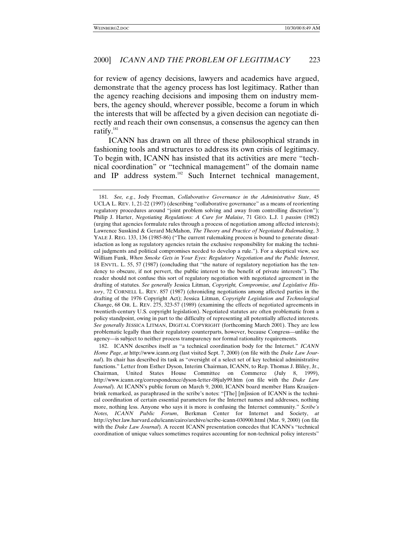for review of agency decisions, lawyers and academics have argued, demonstrate that the agency process has lost legitimacy. Rather than the agency reaching decisions and imposing them on industry members, the agency should, wherever possible, become a forum in which the interests that will be affected by a given decision can negotiate directly and reach their own consensus, a consensus the agency can then ratify. $181$ 

ICANN has drawn on all three of these philosophical strands in fashioning tools and structures to address its own crisis of legitimacy. To begin with, ICANN has insisted that its activities are mere "technical coordination" or "technical management" of the domain name and IP address system.<sup>182</sup> Such Internet technical management,

182. ICANN describes itself as "a technical coordination body for the Internet." *ICANN Home Page*, *at* http://www.icann.org (last visited Sept. 7, 2000) (on file with the *Duke Law Journal*). Its chair has described its task as "oversight of a select set of key technical administrative functions." Letter from Esther Dyson, Interim Chairman, ICANN, to Rep. Thomas J. Bliley, Jr., Chairman, United States House Committee on Commerce (July 8, 1999), http://www.icann.org/correspondence/dyson-letter-08july99.htm (on file with the *Duke Law Journal*). At ICANN's public forum on March 9, 2000, ICANN board member Hans Kraaijenbrink remarked, as paraphrased in the scribe's notes: "[The] [m]ission of ICANN is the technical coordination of certain essential parameters for the Internet names and addresses, nothing more, nothing less. Anyone who says it is more is confusing the Internet community." *Scribe's Notes, ICANN Public Forum*, Berkman Center for Internet and Society, *at* http://cyber.law.harvard.edu/icann/cairo/archive/scribe-icann-030900.html (Mar. 9, 2000) (on file with the *Duke Law Journal*). A recent ICANN presentation concedes that ICANN's "technical coordination of unique values sometimes requires accounting for non-technical policy interests"

<sup>181</sup>*. See, e.g.*, Jody Freeman, *Collaborative Governance in the Administrative State*, 45 UCLA L. REV. 1, 21-22 (1997) (describing "collaborative governance" as a means of reorienting regulatory procedures around "joint problem solving and away from controlling discretion"); Philip J. Harter, *Negotiating Regulations: A Cure for Malaise*, 71 GEO. L.J. 1 *passim* (1982) (urging that agencies formulate rules through a process of negotiation among affected interests); Lawrence Susskind & Gerard McMahon, *The Theory and Practice of Negotiated Rulemaking*, 3 YALE J. REG. 133, 136 (1985-86) ("The current rulemaking process is bound to generate dissatisfaction as long as regulatory agencies retain the exclusive responsibility for making the technical judgments and political compromises needed to develop a rule."). For a skeptical view, see William Funk, *When Smoke Gets in Your Eyes: Regulatory Negotiation and the Public Interest*, 18 ENVTL. L. 55, 57 (1987) (concluding that "the nature of regulatory negotiation has the tendency to obscure, if not pervert, the public interest to the benefit of private interests"). The reader should not confuse this sort of regulatory negotiation with negotiated agreement in the drafting of statutes. *See generally* Jessica Litman, *Copyright, Compromise, and Legislative History*, 72 CORNELL L. REV. 857 (1987) (chronicling negotiations among affected parties in the drafting of the 1976 Copyright Act); Jessica Litman, *Copyright Legislation and Technological Chang*e, 68 OR. L. REV. 275, 323-57 (1989) (examining the effects of negotiated agreements in twentieth-century U.S. copyright legislation). Negotiated statutes are often problematic from a policy standpoint, owing in part to the difficulty of representing all potentially affected interests. *See generally* JESSICA LITMAN, DIGITAL COPYRIGHT (forthcoming March 2001). They are less problematic legally than their regulatory counterparts, however, because Congress—unlike the agency—is subject to neither process transparency nor formal rationality requirements.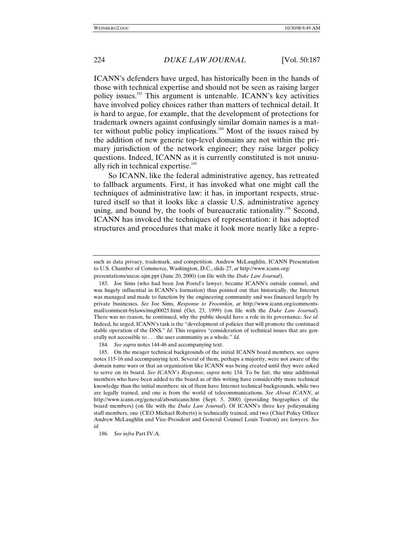ICANN's defenders have urged, has historically been in the hands of those with technical expertise and should not be seen as raising larger policy issues.<sup>183</sup> This argument is untenable. ICANN's key activities have involved policy choices rather than matters of technical detail. It is hard to argue, for example, that the development of protections for trademark owners against confusingly similar domain names is a matter without public policy implications.<sup>184</sup> Most of the issues raised by the addition of new generic top-level domains are not within the primary jurisdiction of the network engineer; they raise larger policy questions. Indeed, ICANN as it is currently constituted is not unusually rich in technical expertise. $185$ 

So ICANN, like the federal administrative agency, has retreated to fallback arguments. First, it has invoked what one might call the techniques of administrative law: it has, in important respects, structured itself so that it looks like a classic U.S. administrative agency using, and bound by, the tools of bureaucratic rationality.<sup>186</sup> Second, ICANN has invoked the techniques of representation: it has adopted structures and procedures that make it look more nearly like a repre-

184*. See supra* notes 144-46 and accompanying text.

such as data privacy, trademark, and competition. Andrew McLaughlin, ICANN Presentation to U.S. Chamber of Commerce, Washington, D.C., slide 27, *at* http://www.icann.org/

presentations/uscoc-ajm.ppt (June 20, 2000) (on file with the *Duke Law Journal*).

<sup>183.</sup> Joe Sims (who had been Jon Postel's lawyer, became ICANN's outside counsel, and was hugely influential in ICANN's formation) thus pointed out that historically, the Internet was managed and made to function by the engineering community and was financed largely by private businesses. *See* Joe Sims, *Response to Froomkin*, *at* http://www.icann.org/commentsmail/comment-bylaws/msg00025.html (Oct. 23, 1999) (on file with the *Duke Law Journal*). There was no reason, he continued, why the public should have a role in its governance. *See id*. Indeed, he urged, ICANN's task is the "development of policies that will promote the continued stable operation of the DNS." *Id*. This requires "consideration of technical issues that are generally not accessible to . . . the user community as a whole." *Id*.

<sup>185.</sup> On the meager technical backgrounds of the initial ICANN board members, see *supra* notes 115-16 and accompanying text. Several of them, perhaps a majority, were not aware of the domain name wars or that an organization like ICANN was being created until they were asked to serve on its board. *See ICANN's Response*, *supra* note 134. To be fair, the nine additional members who have been added to the board as of this writing have considerably more technical knowledge than the initial members: six of them have Internet technical backgrounds, while two are legally trained, and one is from the world of telecommunications. *See About ICANN*, *at* http://www.icann.org/general/abouticann.htm (Sept. 5, 2000) (providing biographies of the board members) (on file with the *Duke Law Journal*). Of ICANN's three key policymaking staff members, one (CEO Michael Roberts) is technically trained, and two (Chief Policy Officer Andrew McLaughlin and Vice-President and General Counsel Louis Touton) are lawyers. *See id.*

<sup>186</sup>*. See infra* Part IV.A.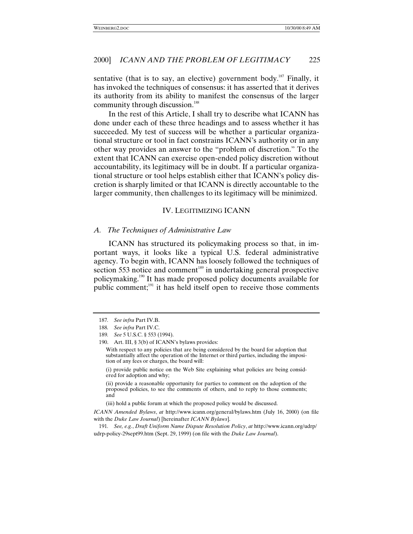sentative (that is to say, an elective) government body.<sup>187</sup> Finally, it has invoked the techniques of consensus: it has asserted that it derives its authority from its ability to manifest the consensus of the larger community through discussion.<sup>188</sup>

In the rest of this Article, I shall try to describe what ICANN has done under each of these three headings and to assess whether it has succeeded. My test of success will be whether a particular organizational structure or tool in fact constrains ICANN's authority or in any other way provides an answer to the "problem of discretion." To the extent that ICANN can exercise open-ended policy discretion without accountability, its legitimacy will be in doubt. If a particular organizational structure or tool helps establish either that ICANN's policy discretion is sharply limited or that ICANN is directly accountable to the larger community, then challenges to its legitimacy will be minimized.

## IV. LEGITIMIZING ICANN

#### *A. The Techniques of Administrative Law*

ICANN has structured its policymaking process so that, in important ways, it looks like a typical U.S. federal administrative agency. To begin with, ICANN has loosely followed the techniques of section 553 notice and comment<sup>189</sup> in undertaking general prospective policymaking.190 It has made proposed policy documents available for public comment; $191$  it has held itself open to receive those comments

(i) provide public notice on the Web Site explaining what policies are being considered for adoption and why;

(ii) provide a reasonable opportunity for parties to comment on the adoption of the proposed policies, to see the comments of others, and to reply to those comments; and

(iii) hold a public forum at which the proposed policy would be discussed.

*ICANN Amended Bylaws*, *at* http://www.icann.org/general/bylaws.htm (July 16, 2000) (on file with the *Duke Law Journal*) [hereinafter *ICANN Bylaws*].

191*. See, e.g.*, *Draft Uniform Name Dispute Resolution Policy*, *at* http://www.icann.org/udrp/ udrp-policy-29sept99.htm (Sept. 29, 1999) (on file with the *Duke Law Journal*).

<sup>187</sup>*. See infra* Part IV.B.

<sup>188</sup>*. See infra* Part IV.C.

<sup>189</sup>*. See* 5 U.S.C. § 553 (1994).

<sup>190.</sup> Art. III, § 3(b) of ICANN's bylaws provides:

With respect to any policies that are being considered by the board for adoption that substantially affect the operation of the Internet or third parties, including the imposition of any fees or charges, the board will: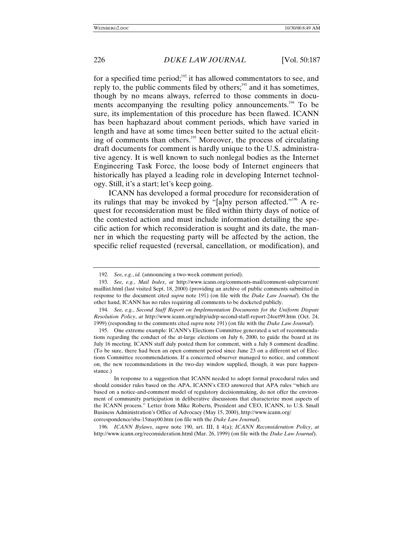for a specified time period; $192$  it has allowed commentators to see, and reply to, the public comments filed by others; $193$  and it has sometimes, though by no means always, referred to those comments in documents accompanying the resulting policy announcements.<sup>194</sup> To be sure, its implementation of this procedure has been flawed. ICANN has been haphazard about comment periods, which have varied in length and have at some times been better suited to the actual eliciting of comments than others.<sup>195</sup> Moreover, the process of circulating draft documents for comment is hardly unique to the U.S. administrative agency. It is well known to such nonlegal bodies as the Internet Engineering Task Force, the loose body of Internet engineers that historically has played a leading role in developing Internet technology. Still, it's a start; let's keep going.

ICANN has developed a formal procedure for reconsideration of its rulings that may be invoked by "[a]ny person affected."<sup>196</sup> A request for reconsideration must be filed within thirty days of notice of the contested action and must include information detailing the specific action for which reconsideration is sought and its date, the manner in which the requesting party will be affected by the action, the specific relief requested (reversal, cancellation, or modification), and

196*. ICANN Bylaws*, *supra* note 190, art. III, § 4(a); *ICANN Reconsideration Policy*, *at* http://www.icann.org/reconsideration.html (Mar. 26, 1999) (on file with the *Duke Law Journal*).

<sup>192</sup>*. See, e.g.*, *id.* (announcing a two-week comment period).

<sup>193</sup>*. See, e.g.*, *Mail Index*, *at* http://www.icann.org/comments-mail/comment-udrp/current/ maillist.html (last visited Sept. 18, 2000) (providing an archive of public comments submitted in response to the document cited *supra* note 191) (on file with the *Duke Law Journal*). On the other hand, ICANN has no rules requiring all comments to be docketed publicly.

<sup>194</sup>*. See, e.g.*, *Second Staff Report on Implementation Documents for the Uniform Dispute Resolution Policy*, *at* http://www.icann.org/udrp/udrp-second-staff-report-24oct99.htm (Oct. 24, 1999) (responding to the comments cited *supra* note 191) (on file with the *Duke Law Journal*).

<sup>195.</sup> One extreme example: ICANN's Elections Committee generated a set of recommendations regarding the conduct of the at-large elections on July 6, 2000, to guide the board at its July 16 meeting. ICANN staff duly posted them for comment, with a July 8 comment deadline. (To be sure, there had been an open comment period since June 23 on a different set of Elections Committee recommendations. If a concerned observer managed to notice, and comment on, the new recommendations in the two-day window supplied, though, it was pure happenstance.)

In response to a suggestion that ICANN needed to adopt formal procedural rules and should consider rules based on the APA, ICANN's CEO answered that APA rules "which are based on a notice-and-comment model of regulatory decisionmaking, do not offer the environment of community participation in deliberative discussions that characterize most aspects of the ICANN process." Letter from Mike Roberts, President and CEO, ICANN, to U.S. Small Business Administration's Office of Advocacy (May 15, 2000), http://www.icann.org/ correspondence/sba-15may00.htm (on file with the *Duke Law Journal*).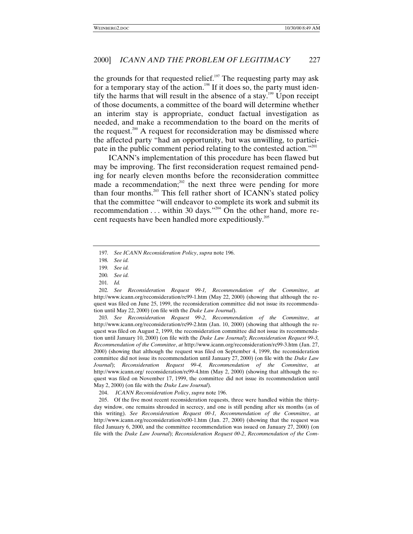the grounds for that requested relief.<sup>197</sup> The requesting party may ask for a temporary stay of the action.<sup>198</sup> If it does so, the party must identify the harms that will result in the absence of a stay.<sup>199</sup> Upon receipt of those documents, a committee of the board will determine whether an interim stay is appropriate, conduct factual investigation as needed, and make a recommendation to the board on the merits of the request.<sup>200</sup> A request for reconsideration may be dismissed where the affected party "had an opportunity, but was unwilling, to participate in the public comment period relating to the contested action."<sup>201</sup>

ICANN's implementation of this procedure has been flawed but may be improving. The first reconsideration request remained pending for nearly eleven months before the reconsideration committee made a recommendation; $^{202}$  the next three were pending for more than four months.<sup>203</sup> This fell rather short of ICANN's stated policy that the committee "will endeavor to complete its work and submit its recommendation  $\dots$  within 30 days."<sup>204</sup> On the other hand, more recent requests have been handled more expeditiously.<sup>205</sup>

203*. See Reconsideration Request 99-2*, *Recommendation of the Committee*, *at* http://www.icann.org/reconsideration/rc99-2.htm (Jan. 10, 2000) (showing that although the request was filed on August 2, 1999, the reconsideration committee did not issue its recommendation until January 10, 2000) (on file with the *Duke Law Journal*); *Reconsideration Request 99-3, Recommendation of the Committee*, *at* http://www.icann.org/reconsideration/rc99-3.htm (Jan. 27, 2000) (showing that although the request was filed on September 4, 1999, the reconsideration committee did not issue its recommendation until January 27, 2000) (on file with the *Duke Law Journal*); *Reconsideration Request 99-4, Recommendation of the Committee*, *at* http://www.icann.org/ reconsideration/rc99-4.htm (May 2, 2000) (showing that although the request was filed on November 17, 1999, the committee did not issue its recommendation until May 2, 2000) (on file with the *Duke Law Journal*).

<sup>197</sup>*. See ICANN Reconsideration Policy*, *supra* note 196.

<sup>198</sup>*. See id.*

<sup>199</sup>*. See id.*

<sup>200</sup>*. See id.*

<sup>201</sup>*. Id.*

<sup>202</sup>*. See Reconsideration Request 99-1, Recommendation of the Committee*, *at* http://www.icann.org/reconsideration/rc99-1.htm (May 22, 2000) (showing that although the request was filed on June 25, 1999, the reconsideration committee did not issue its recommendation until May 22, 2000) (on file with the *Duke Law Journal*).

<sup>204.</sup> *ICANN Reconsideration Policy*, *supra* note 196.

<sup>205.</sup> Of the five most recent reconsideration requests, three were handled within the thirtyday window, one remains shrouded in secrecy, and one is still pending after six months (as of this writing). *See Reconsideration Request 00-1, Recommendation of the Committee*, *at* http://www.icann.org/reconsideration/rc00-1.htm (Jan. 27, 2000) (showing that the request was filed January 6, 2000, and the committee recommendation was issued on January 27, 2000) (on file with the *Duke Law Journal*); *Reconsideration Request 00-2*, *Recommendation of the Com-*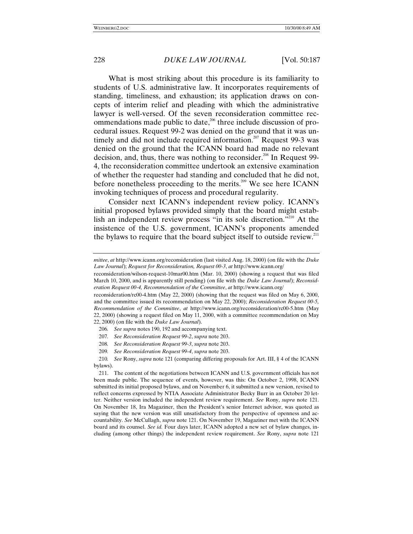What is most striking about this procedure is its familiarity to students of U.S. administrative law. It incorporates requirements of standing, timeliness, and exhaustion; its application draws on concepts of interim relief and pleading with which the administrative lawyer is well-versed. Of the seven reconsideration committee recommendations made public to date, $206$  three include discussion of procedural issues. Request 99-2 was denied on the ground that it was untimely and did not include required information.<sup>207</sup> Request 99-3 was denied on the ground that the ICANN board had made no relevant decision, and, thus, there was nothing to reconsider.<sup>208</sup> In Request 99-4, the reconsideration committee undertook an extensive examination of whether the requester had standing and concluded that he did not, before nonetheless proceeding to the merits.<sup>209</sup> We see here ICANN invoking techniques of process and procedural regularity.

Consider next ICANN's independent review policy. ICANN's initial proposed bylaws provided simply that the board might establish an independent review process "in its sole discretion."<sup>210</sup> At the insistence of the U.S. government, ICANN's proponents amended the bylaws to require that the board subject itself to outside review.<sup>211</sup>

reconsideration/rc00-4.htm (May 22, 2000) (showing that the request was filed on May 6, 2000, and the committee issued its recommendation on May 22, 2000); *Reconsideration Request 00-5, Recommendation of the Committee*, *at* http://www.icann.org/reconsideration/rc00-5.htm (May 22, 2000) (showing a request filed on May 11, 2000, with a committee recommendation on May 22, 2000) (on file with the *Duke Law Journal*).

- 206*. See supra* notes 190, 192 and accompanying text.
- 207*. See Reconsideration Request 99-2*, *supra* note 203.
- 208*. See Reconsideration Request 99-3*, *supra* note 203.
- 209*. See Reconsideration Request 99-4*, *supra* note 203.

*mittee*, *at* http://www.icann.org/reconsideration (last visited Aug. 18, 2000) (on file with the *Duke Law Journal*); *Request for Reconsideration, Request 00-3*, *at* http://www.icann.org/

reconsideration/wilson-request-10mar00.htm (Mar. 10, 2000) (showing a request that was filed March 10, 2000, and is apparently still pending) (on file with the *Duke Law Journal*); *Reconsideration Request 00-4, Recommendation of the Committee*, *at* http://www.icann.org/

<sup>210</sup>*. See* Rony, *supra* note 121 (comparing differing proposals for Art. III, § 4 of the ICANN bylaws).

<sup>211.</sup> The content of the negotiations between ICANN and U.S. government officials has not been made public. The sequence of events, however, was this: On October 2, 1998, ICANN submitted its initial proposed bylaws, and on November 6, it submitted a new version, revised to reflect concerns expressed by NTIA Associate Administrator Becky Burr in an October 20 letter. Neither version included the independent review requirement. *See* Rony, *supra* note 121. On November 18, Ira Magaziner, then the President's senior Internet advisor, was quoted as saying that the new version was still unsatisfactory from the perspective of openness and accountability. *See* McCullagh, *supra* note 121. On November 19, Magaziner met with the ICANN board and its counsel. *See id.* Four days later, ICANN adopted a new set of bylaw changes, including (among other things) the independent review requirement. *See* Rony, *supra* note 121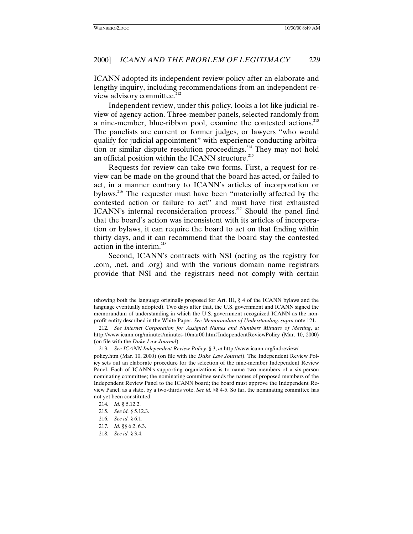ICANN adopted its independent review policy after an elaborate and lengthy inquiry, including recommendations from an independent review advisory committee.<sup>212</sup>

Independent review, under this policy, looks a lot like judicial review of agency action. Three-member panels, selected randomly from a nine-member, blue-ribbon pool, examine the contested actions.<sup>213</sup> The panelists are current or former judges, or lawyers "who would qualify for judicial appointment" with experience conducting arbitration or similar dispute resolution proceedings.<sup>214</sup> They may not hold an official position within the ICANN structure. $^{215}$ 

Requests for review can take two forms. First, a request for review can be made on the ground that the board has acted, or failed to act, in a manner contrary to ICANN's articles of incorporation or bylaws.216 The requester must have been "materially affected by the contested action or failure to act" and must have first exhausted ICANN's internal reconsideration process.<sup>217</sup> Should the panel find that the board's action was inconsistent with its articles of incorporation or bylaws, it can require the board to act on that finding within thirty days, and it can recommend that the board stay the contested action in the interim.<sup>218</sup>

Second, ICANN's contracts with NSI (acting as the registry for .com, .net, and .org) and with the various domain name registrars provide that NSI and the registrars need not comply with certain

<sup>(</sup>showing both the language originally proposed for Art. III, § 4 of the ICANN bylaws and the language eventually adopted). Two days after that, the U.S. government and ICANN signed the memorandum of understanding in which the U.S. government recognized ICANN as the nonprofit entity described in the White Paper. *See Memorandum of Understanding*, *supra* note 121.

<sup>212</sup>*. See Internet Corporation for Assigned Names and Numbers Minutes of Meeting*, *at* http://www.icann.org/minutes/minutes-10mar00.htm#IndependentReviewPolicy (Mar. 10, 2000) (on file with the *Duke Law Journal*).

<sup>213</sup>*. See ICANN Independent Review Policy*, § 3, *at* http://www.icann.org/indreview/

policy.htm (Mar. 10, 2000) (on file with the *Duke Law Journal*). The Independent Review Policy sets out an elaborate procedure for the selection of the nine-member Independent Review Panel. Each of ICANN's supporting organizations is to name two members of a six-person nominating committee; the nominating committee sends the names of proposed members of the Independent Review Panel to the ICANN board; the board must approve the Independent Review Panel, as a slate, by a two-thirds vote. *See id.* §§ 4-5. So far, the nominating committee has not yet been constituted.

<sup>214</sup>*. Id.* § 5.12.2.

<sup>215</sup>*. See id.* § 5.12.3.

<sup>216</sup>*. See id.* § 6.1.

<sup>217</sup>*. Id.* §§ 6.2, 6.3.

<sup>218</sup>*. See id.* § 3.4.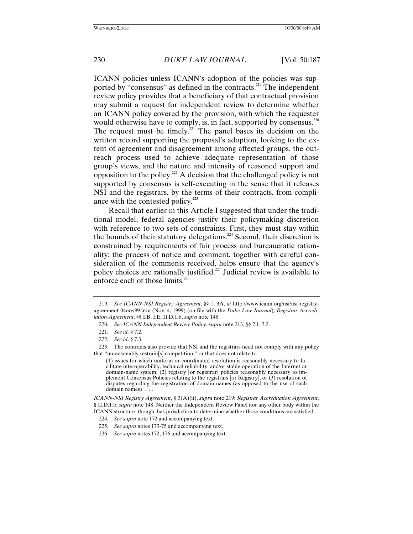ICANN policies unless ICANN's adoption of the policies was supported by "consensus" as defined in the contracts.<sup>219</sup> The independent review policy provides that a beneficiary of that contractual provision may submit a request for independent review to determine whether an ICANN policy covered by the provision, with which the requester would otherwise have to comply, is, in fact, supported by consensus.<sup>220</sup> The request must be timely.<sup>221</sup> The panel bases its decision on the written record supporting the proposal's adoption, looking to the extent of agreement and disagreement among affected groups, the outreach process used to achieve adequate representation of those group's views, and the nature and intensity of reasoned support and opposition to the policy.<sup>222</sup> A decision that the challenged policy is not supported by consensus is self-executing in the sense that it releases NSI and the registrars, by the terms of their contracts, from compliance with the contested policy. $223$ 

Recall that earlier in this Article I suggested that under the traditional model, federal agencies justify their policymaking discretion with reference to two sets of constraints. First, they must stay within the bounds of their statutory delegations.<sup>224</sup> Second, their discretion is constrained by requirements of fair process and bureaucratic rationality: the process of notice and comment, together with careful consideration of the comments received, helps ensure that the agency's policy choices are rationally justified.225 Judicial review is available to enforce each of those limits. $^{22}$ 

*ICANN-NSI Registry Agreement*, § 3(A)(ii), *supra* note 219; *Registrar Accreditation Agreement*, § II.D.1.b, *supra* note 148. Neither the Independent Review Panel nor any other body within the ICANN structure, though, has jurisdiction to determine whether those conditions are satisfied.

<sup>219</sup>*. See ICANN-NSI Registry Agreement*, §§ 1, 3A, *at* http://www.icann.org/nsi/nsi-registryagreement-04nov99.htm (Nov. 4, 1999) (on file with the *Duke Law Journal*); *Registrar Accreditation Agreement*, §§ I.B, I.E, II.D.1.b, *supra* note 148.

<sup>220</sup>*. See ICANN Independent Review Policy*, *supra* note 213, §§ 7.1, 7.2.

<sup>221</sup>*. See id.* § 7.2.

<sup>222</sup>*. See id*. § 7.3.

<sup>223.</sup> The contracts also provide that NSI and the registrars need not comply with any policy that "unreasonably restrain[s] competition," or that does not relate to

<sup>(1)</sup> issues for which uniform or coordinated resolution is reasonably necessary to facilitate interoperability, technical reliability, and/or stable operation of the Internet or domain-name system; (2) registry [or registrar] policies reasonably necessary to implement Consensus Policies relating to the registrars [or Registry], or (3) resolution of disputes regarding the registration of domain names (as opposed to the use of such domain names) . . . .

<sup>224</sup>*. See supra* note 172 and accompanying text.

<sup>225</sup>*. See supra* notes 173-75 and accompanying text.

<sup>226</sup>*. See supra* notes 172, 176 and accompanying text.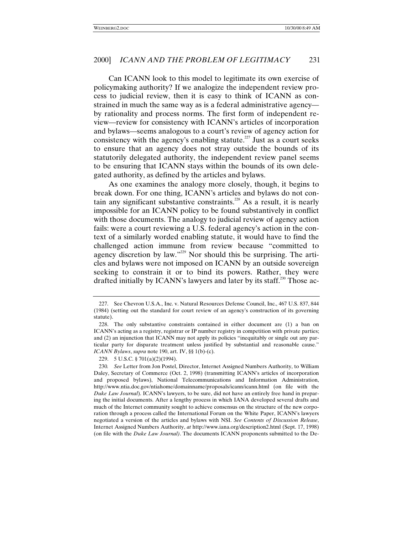Can ICANN look to this model to legitimate its own exercise of policymaking authority? If we analogize the independent review process to judicial review, then it is easy to think of ICANN as constrained in much the same way as is a federal administrative agency by rationality and process norms. The first form of independent review—review for consistency with ICANN's articles of incorporation and bylaws—seems analogous to a court's review of agency action for consistency with the agency's enabling statute.<sup>227</sup> Just as a court seeks to ensure that an agency does not stray outside the bounds of its statutorily delegated authority, the independent review panel seems to be ensuring that ICANN stays within the bounds of its own delegated authority, as defined by the articles and bylaws.

As one examines the analogy more closely, though, it begins to break down. For one thing, ICANN's articles and bylaws do not contain any significant substantive constraints.<sup>228</sup> As a result, it is nearly impossible for an ICANN policy to be found substantively in conflict with those documents. The analogy to judicial review of agency action fails: were a court reviewing a U.S. federal agency's action in the context of a similarly worded enabling statute, it would have to find the challenged action immune from review because "committed to agency discretion by law."<sup>229</sup> Nor should this be surprising. The articles and bylaws were not imposed on ICANN by an outside sovereign seeking to constrain it or to bind its powers. Rather, they were drafted initially by ICANN's lawyers and later by its staff.<sup>230</sup> Those ac-

<sup>227.</sup> See Chevron U.S.A., Inc. v. Natural Resources Defense Council, Inc., 467 U.S. 837, 844 (1984) (setting out the standard for court review of an agency's construction of its governing statute).

<sup>228.</sup> The only substantive constraints contained in either document are (1) a ban on ICANN's acting as a registry, registrar or IP number registry in competition with private parties; and (2) an injunction that ICANN may not apply its policies "inequitably or single out any particular party for disparate treatment unless justified by substantial and reasonable cause." *ICANN Bylaws*, *supra* note 190, art. IV, §§ 1(b)-(c).

<sup>229. 5</sup> U.S.C. § 701(a)(2)(1994).

<sup>230</sup>*. See* Letter from Jon Postel, Director, Internet Assigned Numbers Authority, to William Daley, Secretary of Commerce (Oct. 2, 1998) (transmitting ICANN's articles of incorporation and proposed bylaws), National Telecommunications and Information Administration, http://www.ntia.doc.gov/ntiahome/domainname/proposals/icann/icann.html (on file with the *Duke Law Journal*). ICANN's lawyers, to be sure, did not have an entirely free hand in preparing the initial documents. After a lengthy process in which IANA developed several drafts and much of the Internet community sought to achieve consensus on the structure of the new corporation through a process called the International Forum on the White Paper, ICANN's lawyers negotiated a version of the articles and bylaws with NSI. *See Contents of Discussion Release*, Internet Assigned Numbers Authority, *at* http://www.iana.org/description2.html (Sept. 17, 1998) (on file with the *Duke Law Journal)*. The documents ICANN proponents submitted to the De-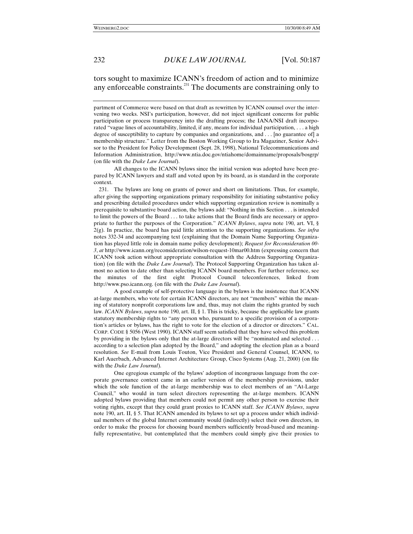tors sought to maximize ICANN's freedom of action and to minimize any enforceable constraints. $^{231}$  The documents are constraining only to

All changes to the ICANN bylaws since the initial version was adopted have been prepared by ICANN lawyers and staff and voted upon by its board, as is standard in the corporate context.

231. The bylaws are long on grants of power and short on limitations. Thus, for example, after giving the supporting organizations primary responsibility for initiating substantive policy and prescribing detailed procedures under which supporting organization review is nominally a prerequisite to substantive board action, the bylaws add: "Nothing in this Section . . . is intended to limit the powers of the Board . . . to take actions that the Board finds are necessary or appropriate to further the purposes of the Corporation." *ICANN Bylaws*, *supra* note 190, art. VI, § 2(g). In practice, the board has paid little attention to the supporting organizations. *See infra* notes 332-34 and accompanying text (explaining that the Domain Name Supporting Organization has played little role in domain name policy development); *Request for Reconsideration 00- 3*, *at* http://www.icann.org/reconsideration/wilson-request-10mar00.htm (expressing concern that ICANN took action without appropriate consultation with the Address Supporting Organization) (on file with the *Duke Law Journal*). The Protocol Supporting Organization has taken almost no action to date other than selecting ICANN board members. For further reference, see the minutes of the first eight Protocol Council teleconferences, linked from http://www.pso.icann.org. (on file with the *Duke Law Journal*).

A good example of self-protective language in the bylaws is the insistence that ICANN at-large members, who vote for certain ICANN directors, are not "members" within the meaning of statutory nonprofit corporations law and, thus, may not claim the rights granted by such law. *ICANN Bylaws*, *supra* note 190, art. II, § 1. This is tricky, because the applicable law grants statutory membership rights to "any person who, pursuant to a specific provision of a corporation's articles or bylaws, has the right to vote for the election of a director or directors." CAL. CORP. CODE § 5056 (West 1990). ICANN staff seem satisfied that they have solved this problem by providing in the bylaws only that the at-large directors will be "nominated and selected . . . according to a selection plan adopted by the Board," and adopting the election plan as a board resolution. *See* E-mail from Louis Touton, Vice President and General Counsel, ICANN, to Karl Auerbach, Advanced Internet Architecture Group, Cisco Systems (Aug. 21, 2000) (on file with the *Duke Law Journal*).

One egregious example of the bylaws' adoption of incongruous language from the corporate governance context came in an earlier version of the membership provisions, under which the sole function of the at-large membership was to elect members of an "At-Large Council," who would in turn select directors representing the at-large members. ICANN adopted bylaws providing that members could not permit any other person to exercise their voting rights, except that they could grant proxies to ICANN staff. *See ICANN Bylaws*, *supra* note 190, art. II, § 5. That ICANN amended its bylaws to set up a process under which individual members of the global Internet community would (indirectly) select their own directors, in order to make the process for choosing board members sufficiently broad-based and meaningfully representative, but contemplated that the members could simply give their proxies to

partment of Commerce were based on that draft as rewritten by ICANN counsel over the intervening two weeks. NSI's participation, however, did not inject significant concerns for public participation or process transparency into the drafting process; the IANA/NSI draft incorporated "vague lines of accountability, limited, if any, means for individual participation, . . . a high degree of susceptibility to capture by companies and organizations, and . . . [no guarantee of] a membership structure." Letter from the Boston Working Group to Ira Magaziner, Senior Advisor to the President for Policy Development (Sept. 28, 1998), National Telecommunications and Information Administration, http://www.ntia.doc.gov/ntiahome/domainname/proposals/bosgrp/ (on file with the *Duke Law Journal*).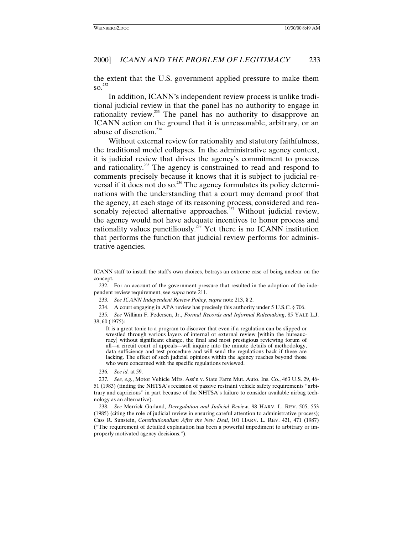the extent that the U.S. government applied pressure to make them  $\mathrm{SO}$ <sup>232</sup>

In addition, ICANN's independent review process is unlike traditional judicial review in that the panel has no authority to engage in rationality review.<sup>233</sup> The panel has no authority to disapprove an ICANN action on the ground that it is unreasonable, arbitrary, or an abuse of discretion.<sup>234</sup>

Without external review for rationality and statutory faithfulness, the traditional model collapses. In the administrative agency context, it is judicial review that drives the agency's commitment to process and rationality.<sup>235</sup> The agency is constrained to read and respond to comments precisely because it knows that it is subject to judicial reversal if it does not do so.<sup>236</sup> The agency formulates its policy determinations with the understanding that a court may demand proof that the agency, at each stage of its reasoning process, considered and reasonably rejected alternative approaches.<sup>237</sup> Without judicial review, the agency would not have adequate incentives to honor process and rationality values punctiliously.<sup>238</sup> Yet there is no ICANN institution that performs the function that judicial review performs for administrative agencies.

It is a great tonic to a program to discover that even if a regulation can be slipped or wrestled through various layers of internal or external review [within the bureaucracy] without significant change, the final and most prestigious reviewing forum of all—a circuit court of appeals—will inquire into the minute details of methodology, data sufficiency and test procedure and will send the regulations back if these are lacking. The effect of such judicial opinions within the agency reaches beyond those who were concerned with the specific regulations reviewed.

236*. See id.* at 59.

238*. See* Merrick Garland, *Deregulation and Judicial Review*, 98 HARV. L. REV. 505, 553 (1985) (citing the role of judicial review in ensuring careful attention to administrative process); Cass R. Sunstein, *Constitutionalism After the New Deal*, 101 HARV. L. REV. 421, 471 (1987) ("The requirement of detailed explanation has been a powerful impediment to arbitrary or improperly motivated agency decisions.").

ICANN staff to install the staff's own choices, betrays an extreme case of being unclear on the concept.

<sup>232.</sup> For an account of the government pressure that resulted in the adoption of the independent review requirement, see *supra* note 211.

<sup>233</sup>*. See ICANN Independent Review Policy*, *supra* note 213, § 2.

<sup>234.</sup> A court engaging in APA review has precisely this authority under 5 U.S.C. § 706.

<sup>235</sup>*. See* William F. Pedersen, Jr., *Formal Records and Informal Rulemaking*, 85 YALE L.J. 38, 60 (1975):

<sup>237</sup>*. See, e.g.*, Motor Vehicle Mfrs. Ass'n v. State Farm Mut. Auto. Ins. Co., 463 U.S. 29, 46- 51 (1983) (finding the NHTSA's recission of passive restraint vehicle safety requirements "arbitrary and capricious" in part because of the NHTSA's failure to consider available airbag technology as an alternative).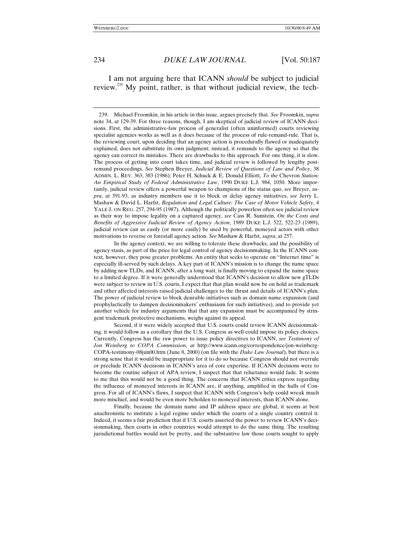I am not arguing here that ICANN *should* be subject to judicial review.<sup>239</sup> My point, rather, is that without judicial review, the tech-

In the agency context, we are willing to tolerate these drawbacks, and the possibility of agency stasis, as part of the price for legal control of agency decisionmaking. In the ICANN context, however, they pose greater problems. An entity that seeks to operate on "Internet time" is especially ill-served by such delays. A key part of ICANN's mission is to change the name space by adding new TLDs, and ICANN, after a long wait, is finally moving to expand the name space to a limited degree. If it were generally understood that ICANN's decision to allow new gTLDs were subject to review in U.S. courts, I expect that that plan would now be on hold as trademark and other affected interests raised judicial challenges to the thrust and details of ICANN's plan. The power of judicial review to block desirable initiatives such as domain name expansion (and prophylactically to dampen decisionmakers' enthusiasm for such initiatives), and to provide yet another vehicle for industry arguments that that any expansion must be accompanied by stringent trademark protective mechanisms, weighs against its appeal.

Second, if it were widely accepted that U.S. courts could review ICANN decisionmaking, it would follow as a corollary that the U.S. Congress as well could impose its policy choices. Currently, Congress has the raw power to issue policy directives to ICANN, *see Testimony of Jon Weinberg to COPA Commission*, *at* http://www.icann.org/correspondence/jon-weinberg-COPA-testimony-08jun00.htm (June 8, 2000) (on file with the *Duke Law Journal*), but there is a strong sense that it would be inappropriate for it to do so because Congress should not overrule or preclude ICANN decisions in ICANN's area of core expertise. If ICANN decisions were to become the routine subject of APA review, I suspect that that reluctance would fade. It seems to me that this would not be a good thing. The concerns that ICANN critics express regarding the influence of moneyed interests in ICANN are, if anything, amplified in the halls of Congress. For all of ICANN's flaws, I suspect that ICANN with Congress's help could wreak much more mischief, and would be even more beholden to moneyed interests, than ICANN alone.

Finally, because the domain name and IP address space are global, it seems at best anachronistic to institute a legal regime under which the courts of a single country control it. Indeed, it seems a fair prediction that if U.S. courts asserted the power to review ICANN's decisionmaking, then courts in other countries would attempt to do the same thing. The resulting jurisdictional battles would not be pretty, and the substantive law those courts sought to apply

<sup>239.</sup> Michael Froomkin, in his article in this issue, argues precisely that. *See* Froomkin, *supra* note 34, at 129-39. For three reasons, though, I am skeptical of judicial review of ICANN decisions. First, the administrative-law process of generalist (often uninformed) courts reviewing specialist agencies works as well as it does because of the process of rule-remand-rule. That is, the reviewing court, upon deciding that an agency action is procedurally flawed or inadequately explained, does not substitute its own judgment; instead, it remands to the agency so that the agency can correct its mistakes. There are drawbacks to this approach. For one thing, it is slow. The process of getting into court takes time, and judicial review is followed by lengthy postremand proceedings. *See* Stephen Breyer, *Judicial Review of Questions of Law and Policy*, 38 ADMIN. L. REV. 363, 383 (1986); Peter H. Schuck & E. Donald Elliott, *To the* Chevron *Station: An Empirical Study of Federal Administrative Law*, 1990 DUKE L.J. 984, 1050. More importantly, judicial review offers a powerful weapon to champions of the status quo, *see* Breyer, *supra*, at 391-93, as industry members use it to block or delay agency initiatives, *see* Jerry L. Mashaw & David L. Harfst, *Regulation and Legal Culture: The Case of Motor Vehicle Safety*, 4 YALE J. ON REG. 257, 294-95 (1987). Although the politically powerless often see judicial review as their way to impose legality on a captured agency, *see* Cass R. Sunstein, *On the Costs and Benefits of Aggressive Judicial Review of Agency Action*, 1989 DUKE L.J. 522, 522-23 (1989), judicial review can as easily (or more easily) be used by powerful, moneyed actors with other motivations to reverse or forestall agency action. *See* Mashaw & Harfst, *supra*, at 257.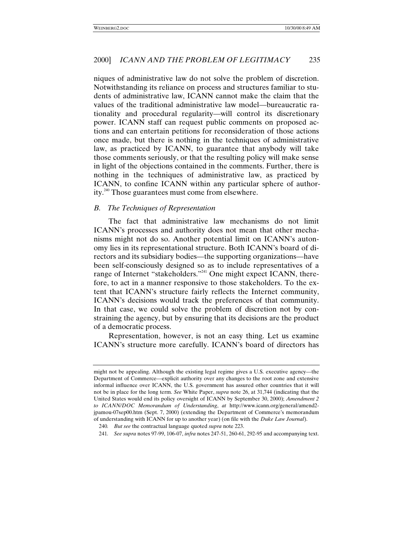niques of administrative law do not solve the problem of discretion. Notwithstanding its reliance on process and structures familiar to students of administrative law, ICANN cannot make the claim that the values of the traditional administrative law model—bureaucratic rationality and procedural regularity—will control its discretionary power. ICANN staff can request public comments on proposed actions and can entertain petitions for reconsideration of those actions once made, but there is nothing in the techniques of administrative law, as practiced by ICANN, to guarantee that anybody will take those comments seriously, or that the resulting policy will make sense in light of the objections contained in the comments. Further, there is nothing in the techniques of administrative law, as practiced by ICANN, to confine ICANN within any particular sphere of authority.240 Those guarantees must come from elsewhere.

# *B. The Techniques of Representation*

The fact that administrative law mechanisms do not limit ICANN's processes and authority does not mean that other mechanisms might not do so. Another potential limit on ICANN's autonomy lies in its representational structure. Both ICANN's board of directors and its subsidiary bodies—the supporting organizations—have been self-consciously designed so as to include representatives of a range of Internet "stakeholders."<sup>241</sup> One might expect ICANN, therefore, to act in a manner responsive to those stakeholders. To the extent that ICANN's structure fairly reflects the Internet community, ICANN's decisions would track the preferences of that community. In that case, we could solve the problem of discretion not by constraining the agency, but by ensuring that its decisions are the product of a democratic process.

Representation, however, is not an easy thing. Let us examine ICANN's structure more carefully. ICANN's board of directors has

might not be appealing. Although the existing legal regime gives a U.S. executive agency—the Department of Commerce—explicit authority over any changes to the root zone and extensive informal influence over ICANN, the U.S. government has assured other countries that it will not be in place for the long term. *See* White Paper, *supra* note 26, at 31,744 (indicating that the United States would end its policy oversight of ICANN by September 30, 2000); *Amendment 2 to ICANN/DOC Memorandum of Understanding*, *at* http://www.icann.org/general/amend2 jpamou-07sep00.htm (Sept. 7, 2000) (extending the Department of Commerce's memorandum of understanding with ICANN for up to another year) (on file with the *Duke Law Journal*).

<sup>240</sup>*. But see* the contractual language quoted *supra* note 223.

<sup>241</sup>*. See supra* notes 97-99, 106-07, *infra* notes 247-51, 260-61, 292-95 and accompanying text.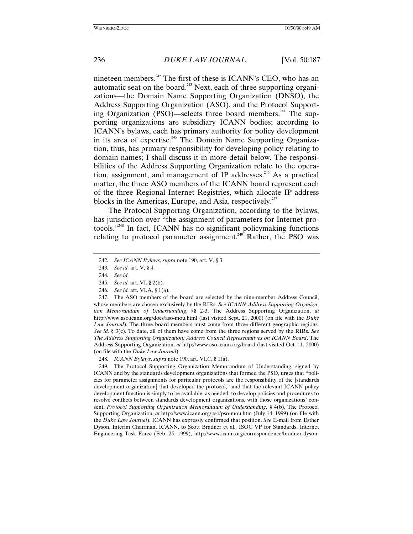nineteen members.<sup>242</sup> The first of these is  $ICANN's CEO$ , who has an automatic seat on the board.<sup>243</sup> Next, each of three supporting organizations—the Domain Name Supporting Organization (DNSO), the Address Supporting Organization (ASO), and the Protocol Supporting Organization (PSO)—selects three board members.<sup>244</sup> The supporting organizations are subsidiary ICANN bodies; according to ICANN's bylaws, each has primary authority for policy development in its area of expertise.<sup>245</sup> The Domain Name Supporting Organization, thus, has primary responsibility for developing policy relating to domain names; I shall discuss it in more detail below. The responsibilities of the Address Supporting Organization relate to the operation, assignment, and management of IP addresses.<sup>246</sup> As a practical matter, the three ASO members of the ICANN board represent each of the three Regional Internet Registries, which allocate IP address blocks in the Americas, Europe, and Asia, respectively.<sup>247</sup>

The Protocol Supporting Organization, according to the bylaws, has jurisdiction over "the assignment of parameters for Internet protocols." 248 In fact, ICANN has no significant policymaking functions relating to protocol parameter assignment.<sup> $249$ </sup> Rather, the PSO was

246*. See id.* art. VI.A, § 1(a).

247. The ASO members of the board are selected by the nine-member Address Council, whose members are chosen exclusively by the RIRs. *See ICANN Address Supporting Organization Memorandum of Understanding*, §§ 2-3, The Address Supporting Organization, *at* http://www.aso.icann.org/docs/aso-mou.html (last visited Sept. 21, 2000) (on file with the *Duke Law Journal*). The three board members must come from three different geographic regions. *See id.* § 3(c). To date, all of them have come from the three regions served by the RIRs. *See The Address Supporting Organization: Address Council Representatives on ICANN Board*, The Address Supporting Organization, *at* http://www.aso.icann.org/board (last visited Oct. 11, 2000) (on file with the *Duke Law Journal*).

248*. ICANN Bylaws*, *supra* note 190, art. VI.C, § 1(a).

249. The Protocol Supporting Organization Memorandum of Understanding, signed by ICANN and by the standards development organizations that formed the PSO, urges that "policies for parameter assignments for particular protocols are the responsibility of the [standards development organization] that developed the protocol," and that the relevant ICANN policy development function is simply to be available, as needed, to develop policies and procedures to resolve conflicts between standards development organizations, with those organizations' consent. *Protocol Supporting Organization Memorandum of Understanding*, § 4(b), The Protocol Supporting Organization, *at* http://www.icann.org/pso/pso-mou.htm (July 14, 1999) (on file with the *Duke Law Journal*). ICANN has expressly confirmed that position. *See* E-mail from Esther Dyson, Interim Chairman, ICANN, to Scott Bradner et al., ISOC VP for Standards, Internet Engineering Task Force (Feb. 25, 1999), http://www.icann.org/correspondence/bradner-dyson-

<sup>242</sup>*. See ICANN Bylaws*, *supra* note 190, art. V, § 3.

<sup>243</sup>*. See id.* art. V, § 4.

<sup>244</sup>*. See id.*

<sup>245</sup>*. See id.* art. VI, § 2(b).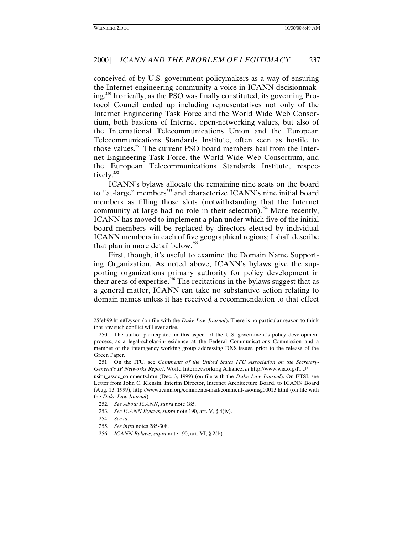conceived of by U.S. government policymakers as a way of ensuring the Internet engineering community a voice in ICANN decisionmaking.250 Ironically, as the PSO was finally constituted, its governing Protocol Council ended up including representatives not only of the Internet Engineering Task Force and the World Wide Web Consortium, both bastions of Internet open-networking values, but also of the International Telecommunications Union and the European Telecommunications Standards Institute, often seen as hostile to those values.<sup>251</sup> The current PSO board members hail from the Internet Engineering Task Force, the World Wide Web Consortium, and the European Telecommunications Standards Institute, respectively.<sup>252</sup>

ICANN's bylaws allocate the remaining nine seats on the board to "at-large" members<sup>253</sup> and characterize ICANN's nine initial board members as filling those slots (notwithstanding that the Internet community at large had no role in their selection).<sup>254</sup> More recently, ICANN has moved to implement a plan under which five of the initial board members will be replaced by directors elected by individual ICANN members in each of five geographical regions; I shall describe that plan in more detail below.<sup>255</sup>

First, though, it's useful to examine the Domain Name Supporting Organization. As noted above, ICANN's bylaws give the supporting organizations primary authority for policy development in their areas of expertise.<sup>256</sup> The recitations in the bylaws suggest that as a general matter, ICANN can take no substantive action relating to domain names unless it has received a recommendation to that effect

- 253*. See ICANN Bylaws*, *supra* note 190, art. V, § 4(iv).
- 254*. See id*.
- 255*. See infra* notes 285-308.
- 256*. ICANN Bylaws*, *supra* note 190, art. VI, § 2(b).

<sup>25</sup>feb99.htm#Dyson (on file with the *Duke Law Journal*). There is no particular reason to think that any such conflict will ever arise.

<sup>250.</sup> The author participated in this aspect of the U.S. government's policy development process, as a legal-scholar-in-residence at the Federal Communications Commission and a member of the interagency working group addressing DNS issues, prior to the release of the Green Paper.

<sup>251.</sup> On the ITU, see *Comments of the United States ITU Association on the Secretary-General's IP Networks Report*, World Internetworking Alliance, *at* http://www.wia.org/ITU/

usitu\_assoc\_comments.htm (Dec. 3, 1999) (on file with the *Duke Law Journal*). On ETSI, see Letter from John C. Klensin, Interim Director, Internet Architecture Board, to ICANN Board (Aug. 13, 1999), http://www.icann.org/comments-mail/comment-aso/msg00013.html (on file with the *Duke Law Journal*).

<sup>252</sup>*. See About ICANN*, *supra* note 185.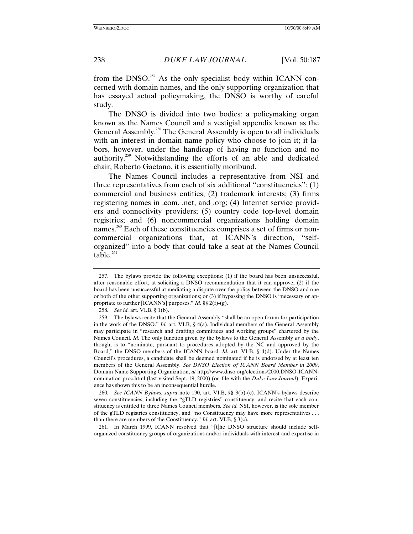from the DNSO.<sup>257</sup> As the only specialist body within ICANN concerned with domain names, and the only supporting organization that has essayed actual policymaking, the DNSO is worthy of careful study.

The DNSO is divided into two bodies: a policymaking organ known as the Names Council and a vestigial appendix known as the General Assembly.<sup>258</sup> The General Assembly is open to all individuals with an interest in domain name policy who choose to join it; it labors, however, under the handicap of having no function and no authority.259 Notwithstanding the efforts of an able and dedicated chair, Roberto Gaetano, it is essentially moribund.

The Names Council includes a representative from NSI and three representatives from each of six additional "constituencies": (1) commercial and business entities; (2) trademark interests; (3) firms registering names in .com, .net, and .org; (4) Internet service providers and connectivity providers; (5) country code top-level domain registries; and (6) noncommercial organizations holding domain names.<sup>260</sup> Each of these constituencies comprises a set of firms or noncommercial organizations that, at ICANN's direction, "selforganized" into a body that could take a seat at the Names Council table. $261$ 

261. In March 1999, ICANN resolved that "[t]he DNSO structure should include selforganized constituency groups of organizations and/or individuals with interest and expertise in

<sup>257.</sup> The bylaws provide the following exceptions: (1) if the board has been unsuccessful, after reasonable effort, at soliciting a DNSO recommendation that it can approve; (2) if the board has been unsuccessful at mediating a dispute over the policy between the DNSO and one or both of the other supporting organizations; or (3) if bypassing the DNSO is "necessary or appropriate to further [ICANN's] purposes." *Id*. §§ 2(f)-(g).

<sup>258</sup>*. See id.* art. VI.B, § 1(b).

<sup>259.</sup> The bylaws recite that the General Assembly "shall be an open forum for participation in the work of the DNSO." *Id.* art. VI.B, § 4(a). Individual members of the General Assembly may participate in "research and drafting committees and working groups" chartered by the Names Council. *Id.* The only function given by the bylaws to the General Assembly *as a body*, though, is to "nominate, pursuant to procedures adopted by the NC and approved by the Board," the DNSO members of the ICANN board. *Id.* art. VI-B, § 4(d). Under the Names Council's procedures, a candidate shall be deemed nominated if he is endorsed by at least ten members of the General Assembly. *See DNSO Election of ICANN Board Member in 2000*, Domain Name Supporting Organization, *at* http://www.dnso.org/elections/2000.DNSO-ICANNnomination-proc.html (last visited Sept. 19, 2000) (on file with the *Duke Law Journal*). Experience has shown this to be an inconsequential hurdle.

<sup>260</sup>*. See ICANN Bylaws*, *supra* note 190, art. VI.B, §§ 3(b)-(c). ICANN's bylaws describe seven constituencies, including the "gTLD registries" constituency, and recite that each constituency is entitled to three Names Council members. *See id.* NSI, however, is the sole member of the gTLD registries constituency, and "no Constituency may have more representatives . . . than there are members of the Constituency." *Id.* art. VI.B, § 3(c).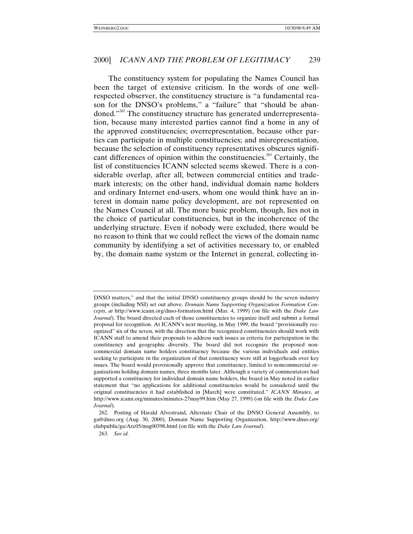The constituency system for populating the Names Council has been the target of extensive criticism. In the words of one wellrespected observer, the constituency structure is "a fundamental reason for the DNSO's problems," a "failure" that "should be abandoned."<sup>262</sup> The constituency structure has generated underrepresentation, because many interested parties cannot find a home in any of the approved constituencies; overrepresentation, because other parties can participate in multiple constituencies; and misrepresentation, because the selection of constituency representatives obscures significant differences of opinion within the constituencies.<sup>263</sup> Certainly, the list of constituencies ICANN selected seems skewed. There is a considerable overlap, after all, between commercial entities and trademark interests; on the other hand, individual domain name holders and ordinary Internet end-users, whom one would think have an interest in domain name policy development, are not represented on the Names Council at all. The more basic problem, though, lies not in the choice of particular constituencies, but in the incoherence of the underlying structure. Even if nobody were excluded, there would be no reason to think that we could reflect the views of the domain name community by identifying a set of activities necessary to, or enabled by, the domain name system or the Internet in general, collecting in-

DNSO matters," and that the initial DNSO constituency groups should be the seven industry groups (including NSI) set out above. *Domain Name Supporting Organization Formation Concepts*, *at* http://www.icann.org/dnso-formation.html (Mar. 4, 1999) (on file with the *Duke Law Journal*). The board directed each of those constituencies to organize itself and submit a formal proposal for recognition. At ICANN's next meeting, in May 1999, the board "provisionally recognized" six of the seven, with the direction that the recognized constituencies should work with ICANN staff to amend their proposals to address such issues as criteria for participation in the constituency and geographic diversity. The board did not recognize the proposed noncommercial domain name holders constituency because the various individuals and entities seeking to participate in the organization of that constituency were still at loggerheads over key issues. The board would provisionally approve that constituency, limited to noncommercial organizations holding domain names, three months later. Although a variety of commentators had supported a constituency for individual domain name holders, the board in May noted its earlier statement that "no applications for additional constituencies would be considered until the original constituencies it had established in [March] were constituted." *ICANN Minutes*, *at* http://www.icann.org/minutes/minutes-27may99.htm (May 27, 1999) (on file with the *Duke Law Journal*).

<sup>262.</sup> Posting of Harald Alvestrand, Alternate Chair of the DNSO General Assembly, to ga@dnso.org (Aug. 30, 2000), Domain Name Supporting Organization, http://www.dnso.org/ clubpublic/ga/Arc05/msg00398.html (on file with the *Duke Law Journal*).

<sup>263</sup>*. See id.*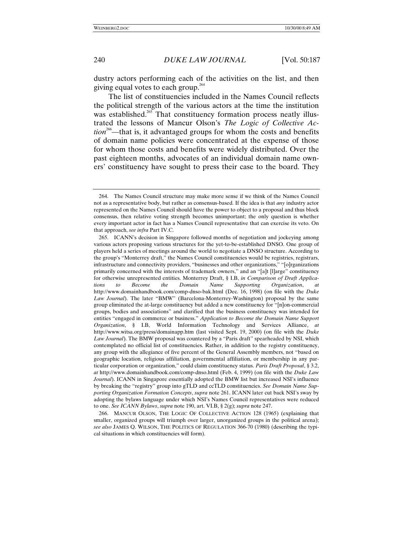dustry actors performing each of the activities on the list, and then giving equal votes to each group.<sup>264</sup>

The list of constituencies included in the Names Council reflects the political strength of the various actors at the time the institution was established.<sup>265</sup> That constituency formation process neatly illustrated the lessons of Mancur Olson's *The Logic of Collective Action*<sup>266</sup>—that is, it advantaged groups for whom the costs and benefits of domain name policies were concentrated at the expense of those for whom those costs and benefits were widely distributed. Over the past eighteen months, advocates of an individual domain name owners' constituency have sought to press their case to the board. They

266. MANCUR OLSON, THE LOGIC OF COLLECTIVE ACTION 128 (1965) (explaining that smaller, organized groups will triumph over larger, unorganized groups in the political arena); *see also* JAMES Q. WILSON, THE POLITICS OF REGULATION 366-70 (1980) (describing the typical situations in which constituencies will form).

<sup>264.</sup> The Names Council structure may make more sense if we think of the Names Council not as a representative body, but rather as consensus-based. If the idea is that *any* industry actor represented on the Names Council should have the power to object to a proposal and thus block consensus, then relative voting strength becomes unimportant; the only question is whether every important actor in fact has a Names Council representative that can exercise its veto. On that approach, *see infra* Part IV.C.

<sup>265.</sup> ICANN's decision in Singapore followed months of negotiation and jockeying among various actors proposing various structures for the yet-to-be-established DNSO. One group of players held a series of meetings around the world to negotiate a DNSO structure. According to the group's "Monterrey draft," the Names Council constituencies would be registries, registrars, infrastructure and connectivity providers, "businesses and other organizations," "[o]rganizations primarily concerned with the interests of trademark owners," and an "[a]t [l]arge" constituency for otherwise unrepresented entities. Monterrey Draft, § I.B, *in Comparison of Draft Applications to Become the Domain Name Supporting Organization*, *at* http://www.domainhandbook.com/comp-dnso-bak.html (Dec. 16, 1998) (on file with the *Duke Law Journal*). The later "BMW" (Barcelona-Monterrey-Washington) proposal by the same group eliminated the at-large constituency but added a new constituency for "[n]on-commercial groups, bodies and associations" and clarified that the business constituency was intended for entities "engaged in commerce or business." *Application to Become the Domain Name Support Organization*, § I.B, World Information Technology and Services Alliance, *at* http://www.witsa.org/press/domainapp.htm (last visited Sept. 19, 2000) (on file with the *Duke Law Journal*). The BMW proposal was countered by a "Paris draft" spearheaded by NSI, which contemplated no official list of constituencies. Rather, in addition to the registry constituency, any group with the allegiance of five percent of the General Assembly members, not "based on geographic location, religious affiliation, governmental affiliation, or membership in any particular corporation or organization," could claim constituency status. *Paris Draft Proposal*, § 3.2, *at* http://www.domainhandbook.com/comp-dnso.html (Feb. 4, 1999) (on file with the *Duke Law Journal*). ICANN in Singapore essentially adopted the BMW list but increased NSI's influence by breaking the "registry" group into gTLD and ccTLD constituencies. *See Domain Name Supporting Organization Formation Concepts*, *supra* note 261. ICANN later cut back NSI's sway by adopting the bylaws language under which NSI's Names Council representatives were reduced to one. *See ICANN Bylaws*, *supra* note 190, art. VI.B, § 2(g); *supra* note 247.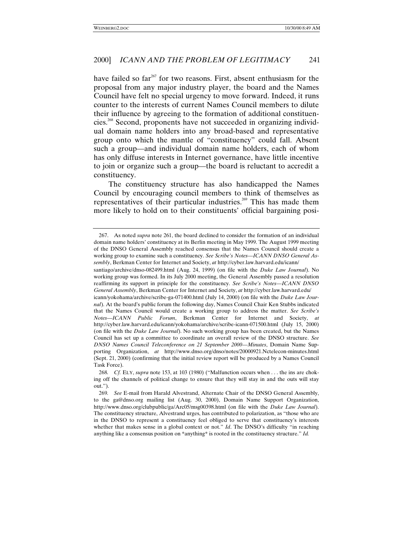have failed so  $far^{267}$  for two reasons. First, absent enthusiasm for the proposal from any major industry player, the board and the Names Council have felt no special urgency to move forward. Indeed, it runs counter to the interests of current Names Council members to dilute their influence by agreeing to the formation of additional constituencies.268 Second, proponents have not succeeded in organizing individual domain name holders into any broad-based and representative group onto which the mantle of "constituency" could fall. Absent such a group—and individual domain name holders, each of whom has only diffuse interests in Internet governance, have little incentive to join or organize such a group—the board is reluctant to accredit a constituency.

The constituency structure has also handicapped the Names Council by encouraging council members to think of themselves as representatives of their particular industries.<sup>269</sup> This has made them more likely to hold on to their constituents' official bargaining posi-

<sup>267.</sup> As noted *supra* note 261, the board declined to consider the formation of an individual domain name holders' constituency at its Berlin meeting in May 1999. The August 1999 meeting of the DNSO General Assembly reached consensus that the Names Council should create a working group to examine such a constituency. *See Scribe's Notes—ICANN DNSO General Assembly*, Berkman Center for Internet and Society, *at* http://cyber.law.harvard.edu/icann/

santiago/archive/dnso-082499.html (Aug. 24, 1999) (on file with the *Duke Law Journal*). No working group was formed. In its July 2000 meeting, the General Assembly passed a resolution reaffirming its support in principle for the constituency. *See Scribe's Notes—ICANN DNSO General Assembly*, Berkman Center for Internet and Society, *at* http://cyber.law.harvard.edu/

icann/yokohama/archive/scribe-ga-071400.html (July 14, 2000) (on file with the *Duke Law Journal*). At the board's public forum the following day, Names Council Chair Ken Stubbs indicated that the Names Council would create a working group to address the matter. *See Scribe's Notes—ICANN Public Forum*, Berkman Center for Internet and Society, *at* http://cyber.law.harvard.edu/icann/yokohama/archive/scribe-icann-071500.html (July 15, 2000) (on file with the *Duke Law Journal*). No such working group has been created, but the Names Council has set up a committee to coordinate an overall review of the DNSO structure. *See DNSO Names Council Teleconference on 21 September 2000—Minutes*, Domain Name Supporting Organization, *at* http://www.dnso.org/dnso/notes/20000921.Nctelecon-minutes.html (Sept. 21, 2000) (confirming that the initial review report will be produced by a Names Council Task Force).

<sup>268</sup>*. Cf.* ELY, *supra* note 153, at 103 (1980) ("Malfunction occurs when . . . the ins are choking off the channels of political change to ensure that they will stay in and the outs will stay out.").

<sup>269</sup>*. See* E-mail from Harald Alvestrand, Alternate Chair of the DNSO General Assembly, to the ga@dnso.org mailing list (Aug. 30, 2000), Domain Name Support Organization, http://www.dnso.org/clubpublic/ga/Arc05/msg00398.html (on file with the *Duke Law Journal*). The constituency structure, Alvestrand urges, has contributed to polarization, as "those who are in the DNSO to represent a constituency feel obliged to serve that constituency's interests whether that makes sense in a global context or not." *Id*. The DNSO's difficulty "in reaching anything like a consensus position on \*anything\* is rooted in the constituency structure." *Id.*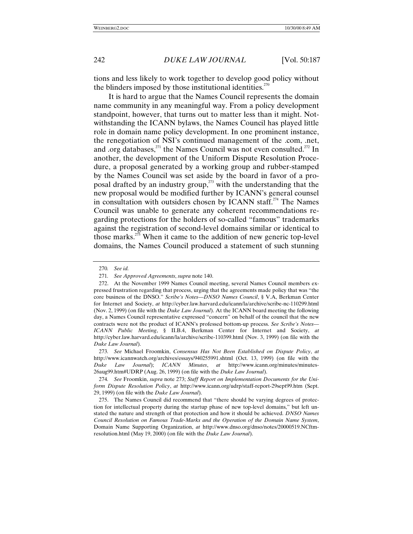tions and less likely to work together to develop good policy without the blinders imposed by those institutional identities.<sup>270</sup>

It is hard to argue that the Names Council represents the domain name community in any meaningful way. From a policy development standpoint, however, that turns out to matter less than it might. Notwithstanding the ICANN bylaws, the Names Council has played little role in domain name policy development. In one prominent instance, the renegotiation of NSI's continued management of the .com, .net, and .org databases,<sup>271</sup> the Names Council was not even consulted.<sup>272</sup> In another, the development of the Uniform Dispute Resolution Procedure, a proposal generated by a working group and rubber-stamped by the Names Council was set aside by the board in favor of a proposal drafted by an industry group,<sup> $273$ </sup> with the understanding that the new proposal would be modified further by ICANN's general counsel in consultation with outsiders chosen by ICANN staff.<sup> $274$ </sup> The Names Council was unable to generate any coherent recommendations regarding protections for the holders of so-called "famous" trademarks against the registration of second-level domains similar or identical to those marks.275 When it came to the addition of new generic top-level domains, the Names Council produced a statement of such stunning

273*. See* Michael Froomkin, *Consensus Has Not Been Established on Dispute Policy*, *at* http://www.icannwatch.org/archives/essays/940255991.shtml (Oct. 13, 1999) (on file with the *Duke Law Journal*); *ICANN Minutes*, *at* http://www.icann.org/minutes/minutes-26aug99.htm#UDRP (Aug. 26, 1999) (on file with the *Duke Law Journal*).

<sup>270</sup>*. See id.*

<sup>271</sup>*. See Approved Agreements*, *supra* note 140.

<sup>272.</sup> At the November 1999 Names Council meeting, several Names Council members expressed frustration regarding that process, urging that the agreements made policy that was "the core business of the DNSO." *Scribe's Notes—DNSO Names Council*, § V.A, Berkman Center for Internet and Society, *at* http://cyber.law.harvard.edu/icann/la/archive/scribe-nc-110299.html (Nov. 2, 1999) (on file with the *Duke Law Journal*). At the ICANN board meeting the following day, a Names Council representative expressed "concern" on behalf of the council that the new contracts were not the product of ICANN's professed bottom-up process. *See Scribe's Notes— ICANN Public Meeting*, § II.B.4, Berkman Center for Internet and Society, *at* http://cyber.law.harvard.edu/icann/la/archive/scribe-110399.html (Nov. 3, 1999) (on file with the *Duke Law Journal*).

<sup>274</sup>*. See* Froomkin, *supra* note 273; *Staff Report on Implementation Documents for the Uniform Dispute Resolution Policy*, *at* http://www.icann.org/udrp/staff-report-29sept99.htm (Sept. 29, 1999) (on file with the *Duke Law Journal*).

<sup>275.</sup> The Names Council did recommend that "there should be varying degrees of protection for intellectual property during the startup phase of new top-level domains," but left unstated the nature and strength of that protection and how it should be achieved. *DNSO Names Council Resolution on Famous Trade-Marks and the Operation of the Domain Name System*, Domain Name Supporting Organization, *at* http://www.dnso.org/dnso/notes/20000519.NCftmresolution.html (May 19, 2000) (on file with the *Duke Law Journal*).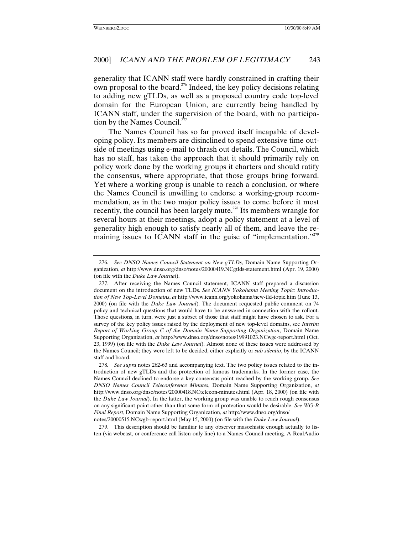generality that ICANN staff were hardly constrained in crafting their own proposal to the board.276 Indeed, the key policy decisions relating to adding new gTLDs, as well as a proposed country code top-level domain for the European Union, are currently being handled by ICANN staff, under the supervision of the board, with no participation by the Names Council.<sup>277</sup>

The Names Council has so far proved itself incapable of developing policy. Its members are disinclined to spend extensive time outside of meetings using e-mail to thrash out details. The Council, which has no staff, has taken the approach that it should primarily rely on policy work done by the working groups it charters and should ratify the consensus, where appropriate, that those groups bring forward. Yet where a working group is unable to reach a conclusion, or where the Names Council is unwilling to endorse a working-group recommendation, as in the two major policy issues to come before it most recently, the council has been largely mute.<sup>278</sup> Its members wrangle for several hours at their meetings, adopt a policy statement at a level of generality high enough to satisfy nearly all of them, and leave the remaining issues to ICANN staff in the guise of "implementation."<sup>279</sup>

279. This description should be familiar to any observer masochistic enough actually to listen (via webcast, or conference call listen-only line) to a Names Council meeting. A RealAudio

<sup>276</sup>*. See DNSO Names Council Statement on New gTLDs*, Domain Name Supporting Organization, *at* http://www.dnso.org/dnso/notes/20000419.NCgtlds-statement.html (Apr. 19, 2000) (on file with the *Duke Law Journal*).

<sup>277.</sup> After receiving the Names Council statement, ICANN staff prepared a discussion document on the introduction of new TLDs. *See ICANN Yokohama Meeting Topic: Introduction of New Top-Level Domains*, *at* http://www.icann.org/yokohama/new-tld-topic.htm (June 13, 2000) (on file with the *Duke Law Journal*). The document requested public comment on 74 policy and technical questions that would have to be answered in connection with the rollout. Those questions, in turn, were just a subset of those that staff might have chosen to ask. For a survey of the key policy issues raised by the deployment of new top-level domains, see *Interim Report of Working Group C of the Domain Name Supporting Organization*, Domain Name Supporting Organization, *at* http://www.dnso.org/dnso/notes/19991023.NCwgc-report.html (Oct. 23, 1999) (on file with the *Duke Law Journal*). Almost none of these issues were addressed by the Names Council; they were left to be decided, either explicitly or *sub silentio*, by the ICANN staff and board.

<sup>278</sup>*. See supra* notes 262-63 and accompanying text. The two policy issues related to the introduction of new gTLDs and the protection of famous trademarks. In the former case, the Names Council declined to endorse a key consensus point reached by the working group. *See DNSO Names Council Teleconference Minutes*, Domain Name Supporting Organization, *at* http://www.dnso.org/dnso/notes/20000418.NCtelecon-minutes.html (Apr. 18, 2000) (on file with the *Duke Law Journal*). In the latter, the working group was unable to reach rough consensus on any significant point other than that some form of protection would be desirable. *See WG-B Final Report*, Domain Name Supporting Organization, *at* http://www.dnso.org/dnso/

notes/20000515.NCwgb-report.html (May 15, 2000) (on file with the *Duke Law Journal*).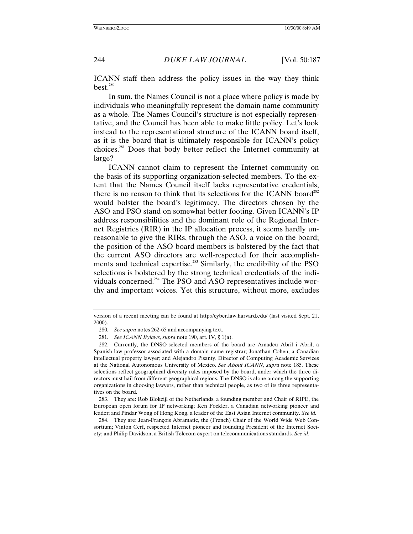ICANN staff then address the policy issues in the way they think  $best.^{280}$ 

In sum, the Names Council is not a place where policy is made by individuals who meaningfully represent the domain name community as a whole. The Names Council's structure is not especially representative, and the Council has been able to make little policy. Let's look instead to the representational structure of the ICANN board itself, as it is the board that is ultimately responsible for ICANN's policy choices.281 Does that body better reflect the Internet community at large?

ICANN cannot claim to represent the Internet community on the basis of its supporting organization-selected members. To the extent that the Names Council itself lacks representative credentials, there is no reason to think that its selections for the ICANN board<sup>282</sup> would bolster the board's legitimacy. The directors chosen by the ASO and PSO stand on somewhat better footing. Given ICANN's IP address responsibilities and the dominant role of the Regional Internet Registries (RIR) in the IP allocation process, it seems hardly unreasonable to give the RIRs, through the ASO, a voice on the board; the position of the ASO board members is bolstered by the fact that the current ASO directors are well-respected for their accomplishments and technical expertise.<sup>283</sup> Similarly, the credibility of the PSO selections is bolstered by the strong technical credentials of the individuals concerned.284 The PSO and ASO representatives include worthy and important voices. Yet this structure, without more, excludes

283. They are: Rob Blokzijl of the Netherlands, a founding member and Chair of RIPE, the European open forum for IP networking; Ken Fockler, a Canadian networking pioneer and leader; and Pindar Wong of Hong Kong, a leader of the East Asian Internet community. *See id.*

284. They are: Jean-François Abramatic, the (French) Chair of the World Wide Web Consortium; Vinton Cerf, respected Internet pioneer and founding President of the Internet Society; and Philip Davidson, a British Telecom expert on telecommunications standards. *See id.*

version of a recent meeting can be found at http://cyber.law.harvard.edu/ (last visited Sept. 21, 2000).

<sup>280</sup>*. See supra* notes 262-65 and accompanying text.

<sup>281</sup>*. See ICANN Bylaws*, *supra* note 190, art. IV, § 1(a).

<sup>282.</sup> Currently, the DNSO-selected members of the board are Amadeu Abril i Abril, a Spanish law professor associated with a domain name registrar; Jonathan Cohen, a Canadian intellectual property lawyer; and Alejandro Pisanty, Director of Computing Academic Services at the National Autonomous University of Mexico. *See About ICANN*, *supra* note 185. These selections reflect geographical diversity rules imposed by the board, under which the three directors must hail from different geographical regions. The DNSO is alone among the supporting organizations in choosing lawyers, rather than technical people, as two of its three representatives on the board.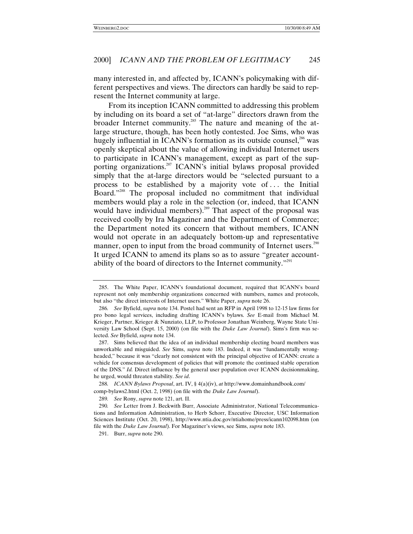many interested in, and affected by, ICANN's policymaking with different perspectives and views. The directors can hardly be said to represent the Internet community at large.

From its inception ICANN committed to addressing this problem by including on its board a set of "at-large" directors drawn from the broader Internet community.<sup>285</sup> The nature and meaning of the atlarge structure, though, has been hotly contested. Joe Sims, who was hugely influential in ICANN's formation as its outside counsel,<sup>286</sup> was openly skeptical about the value of allowing individual Internet users to participate in ICANN's management, except as part of the supporting organizations.<sup>287</sup> ICANN's initial bylaws proposal provided simply that the at-large directors would be "selected pursuant to a process to be established by a majority vote of . . . the Initial Board."<sup>288</sup> The proposal included no commitment that individual members would play a role in the selection (or, indeed, that ICANN would have individual members).<sup>289</sup> That aspect of the proposal was received coolly by Ira Magaziner and the Department of Commerce; the Department noted its concern that without members, ICANN would not operate in an adequately bottom-up and representative manner, open to input from the broad community of Internet users.<sup>290</sup> It urged ICANN to amend its plans so as to assure "greater accountability of the board of directors to the Internet community."<sup>291</sup>

287. Sims believed that the idea of an individual membership electing board members was unworkable and misguided. *See* Sims, *supra* note 183. Indeed, it was "fundamentally wrongheaded," because it was "clearly not consistent with the principal objective of ICANN: create a vehicle for consensus development of policies that will promote the continued stable operation of the DNS." *Id.* Direct influence by the general user population over ICANN decisionmaking, he urged, would threaten stability. *See id*.

288*. ICANN Bylaws Proposal*, art. IV, § 4(a)(iv), *at* http://www.domainhandbook.com/ comp-bylaws2.html (Oct. 2, 1998) (on file with the *Duke Law Journal*).

289*. See* Rony, *supra* note 121, art. II.

290*. See* Letter from J. Beckwith Burr, Associate Administrator, National Telecommunications and Information Administration, to Herb Schorr, Executive Director, USC Information Sciences Institute (Oct. 20, 1998), http://www.ntia.doc.gov/ntiahome/press/icann102098.htm (on file with the *Duke Law Journal*). For Magaziner's views, see Sims, *supra* note 183.

291. Burr, *supra* note 290.

<sup>285.</sup> The White Paper, ICANN's foundational document, required that ICANN's board represent not only membership organizations concerned with numbers, names and protocols, but also "the direct interests of Internet users." White Paper, *supra* note 26.

<sup>286</sup>*. See* Byfield, *supra* note 134. Postel had sent an RFP in April 1998 to 12-15 law firms for pro bono legal services, including drafting ICANN's bylaws. *See* E-mail from Michael M. Krieger, Partner, Krieger & Nunziato, LLP, to Professor Jonathan Weinberg, Wayne State University Law School (Sept. 15, 2000) (on file with the *Duke Law Journal*). Sims's firm was selected. *See* Byfield, *supra* note 134.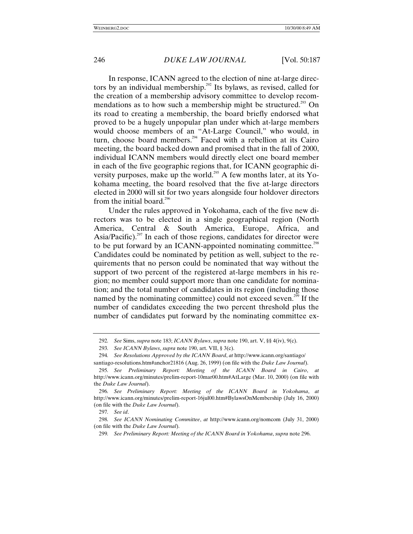In response, ICANN agreed to the election of nine at-large directors by an individual membership.<sup>292</sup> Its bylaws, as revised, called for the creation of a membership advisory committee to develop recommendations as to how such a membership might be structured.<sup>293</sup> On its road to creating a membership, the board briefly endorsed what proved to be a hugely unpopular plan under which at-large members would choose members of an "At-Large Council," who would, in turn, choose board members.<sup>294</sup> Faced with a rebellion at its Cairo meeting, the board backed down and promised that in the fall of 2000, individual ICANN members would directly elect one board member in each of the five geographic regions that, for ICANN geographic diversity purposes, make up the world.<sup>295</sup> A few months later, at its Yokohama meeting, the board resolved that the five at-large directors elected in 2000 will sit for two years alongside four holdover directors from the initial board.<sup>296</sup>

Under the rules approved in Yokohama, each of the five new directors was to be elected in a single geographical region (North America, Central & South America, Europe, Africa, and Asia/Pacific).<sup>297</sup> In each of those regions, candidates for director were to be put forward by an ICANN-appointed nominating committee.<sup>298</sup> Candidates could be nominated by petition as well, subject to the requirements that no person could be nominated that way without the support of two percent of the registered at-large members in his region; no member could support more than one candidate for nomination; and the total number of candidates in its region (including those named by the nominating committee) could not exceed seven.<sup>299</sup> If the number of candidates exceeding the two percent threshold plus the number of candidates put forward by the nominating committee ex-

<sup>292</sup>*. See* Sims, *supra* note 183; *ICANN Bylaws*, *supra* note 190, art. V, §§ 4(iv), 9(c).

<sup>293</sup>*. See ICANN Bylaws*, *supra* note 190, art. VII, § 3(c).

<sup>294</sup>*. See Resolutions Approved by the ICANN Board*, *at* http://www.icann.org/santiago/ santiago-resolutions.htm#anchor21816 (Aug. 26, 1999) (on file with the *Duke Law Journal*).

<sup>295</sup>*. See Preliminary Report: Meeting of the ICANN Board in Cairo*, *at* http://www.icann.org/minutes/prelim-report-10mar00.htm#AtLarge (Mar. 10, 2000) (on file with the *Duke Law Journal*).

<sup>296</sup>*. See Preliminary Report: Meeting of the ICANN Board in Yokohama*, *at* http://www.icann.org/minutes/prelim-report-16jul00.htm#BylawsOnMembership (July 16, 2000) (on file with the *Duke Law Journal*).

<sup>297</sup>*. See id*.

<sup>298</sup>*. See ICANN Nominating Committee*, *at* http://www.icann.org/nomcom (July 31, 2000) (on file with the *Duke Law Journal*).

<sup>299</sup>*. See Preliminary Report: Meeting of the ICANN Board in Yokohama*, *supra* note 296.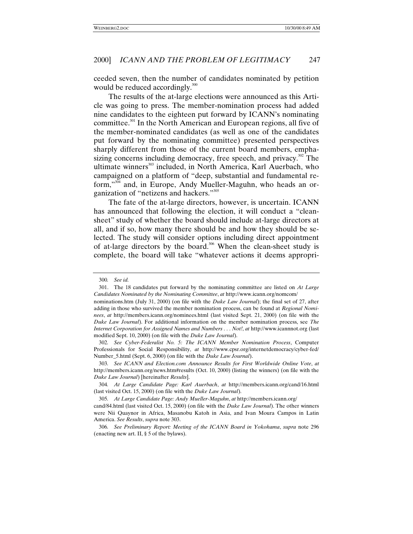ceeded seven, then the number of candidates nominated by petition would be reduced accordingly.<sup>300</sup>

The results of the at-large elections were announced as this Article was going to press. The member-nomination process had added nine candidates to the eighteen put forward by ICANN's nominating committee.301 In the North American and European regions, all five of the member-nominated candidates (as well as one of the candidates put forward by the nominating committee) presented perspectives sharply different from those of the current board members, emphasizing concerns including democracy, free speech, and privacy.<sup>302</sup> The ultimate winners<sup>303</sup> included, in North America, Karl Auerbach, who campaigned on a platform of "deep, substantial and fundamental reform," 304 and, in Europe, Andy Mueller-Maguhn, who heads an organization of "netizens and hackers."<sup>305</sup>

The fate of the at-large directors, however, is uncertain. ICANN has announced that following the election, it will conduct a "cleansheet" study of whether the board should include at-large directors at all, and if so, how many there should be and how they should be selected. The study will consider options including direct appointment of at-large directors by the board.<sup>306</sup> When the clean-sheet study is complete, the board will take "whatever actions it deems appropri-

302*. See Cyber-Federalist No. 5: The ICANN Member Nomination Process*, Computer Professionals for Social Responsibility, *at* http://www.cpsr.org/internetdemocracy/cyber-fed/ Number\_5.html (Sept. 6, 2000) (on file with the *Duke Law Journal*).

<sup>300</sup>*. See id.*

<sup>301.</sup> The 18 candidates put forward by the nominating committee are listed on *At Large Candidates Nominated by the Nominating Committee*, *at* http://www.icann.org/nomcom/

nominations.htm (July 31, 2000) (on file with the *Duke Law Journal*); the final set of 27, after adding in those who survived the member nomination process, can be found at *Regional Nominees*, *at* http://members.icann.org/nominees.html (last visited Sept. 21, 2000) (on file with the *Duke Law Journal*). For additional information on the member nomination process, see *The Internet Corporation for Assigned Names and Numbers . . . Not!*, *at* http://www.icannnot.org (last modified Sept. 10, 2000) (on file with the *Duke Law Journal*).

<sup>303</sup>*. See ICANN and Election.com Announce Results for First Worldwide Online Vote*, *at* http://members.icann.org/news.htm#results (Oct. 10, 2000) (listing the winners) (on file with the *Duke Law Journal*) [hereinafter *Results*].

<sup>304</sup>*. At Large Candidate Page: Karl Auerbach*, *at* http://members.icann.org/cand/16.html (last visited Oct. 15, 2000) (on file with the *Duke Law Journal*).

<sup>305</sup>*. At Large Candidate Page: Andy Mueller-Maguhn*, *at* http://members.icann.org/

cand/84.html (last visited Oct. 15, 2000) (on file with the *Duke Law Journal*). The other winners were Nii Quaynor in Africa, Masanobu Katoh in Asia, and Ivan Moura Campos in Latin America. *See Results*, *supra* note 303.

<sup>306</sup>*. See Preliminary Report: Meeting of the ICANN Board in Yokohama*, *supra* note 296 (enacting new art. II, § 5 of the bylaws).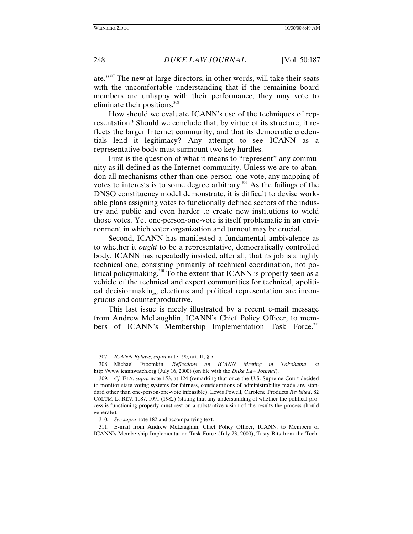ate." 307 The new at-large directors, in other words, will take their seats with the uncomfortable understanding that if the remaining board members are unhappy with their performance, they may vote to eliminate their positions. $308$ 

How should we evaluate ICANN's use of the techniques of representation? Should we conclude that, by virtue of its structure, it reflects the larger Internet community, and that its democratic credentials lend it legitimacy? Any attempt to see ICANN as a representative body must surmount two key hurdles.

First is the question of what it means to "represent" any community as ill-defined as the Internet community. Unless we are to abandon all mechanisms other than one-person–one-vote, any mapping of votes to interests is to some degree arbitrary.<sup>309</sup> As the failings of the DNSO constituency model demonstrate, it is difficult to devise workable plans assigning votes to functionally defined sectors of the industry and public and even harder to create new institutions to wield those votes. Yet one-person-one-vote is itself problematic in an environment in which voter organization and turnout may be crucial.

Second, ICANN has manifested a fundamental ambivalence as to whether it *ought* to be a representative, democratically controlled body. ICANN has repeatedly insisted, after all, that its job is a highly technical one, consisting primarily of technical coordination, not political policymaking.<sup>310</sup> To the extent that ICANN is properly seen as a vehicle of the technical and expert communities for technical, apolitical decisionmaking, elections and political representation are incongruous and counterproductive.

This last issue is nicely illustrated by a recent e-mail message from Andrew McLaughlin, ICANN's Chief Policy Officer, to members of ICANN's Membership Implementation Task Force.<sup>311</sup>

<sup>307</sup>*. ICANN Bylaws*, *supra* note 190, art. II, § 5.

<sup>308.</sup> Michael Froomkin, *Reflections on ICANN Meeting in Yokohama*, *at* http://www.icannwatch.org (July 16, 2000) (on file with the *Duke Law Journal*).

<sup>309</sup>*. Cf.* ELY, *supra* note 153, at 124 (remarking that once the U.S. Supreme Court decided to monitor state voting systems for fairness, considerations of administrability made any standard other than one-person-one-vote infeasible); Lewis Powell, Carolene Products *Revisited*, 82 COLUM. L. REV. 1087, 1091 (1982) (stating that any understanding of whether the political process is functioning properly must rest on a substantive vision of the results the process should generate).

<sup>310</sup>*. See supra* note 182 and accompanying text.

<sup>311.</sup> E-mail from Andrew McLaughlin, Chief Policy Officer, ICANN, to Members of ICANN's Membership Implementation Task Force (July 23, 2000), Tasty Bits from the Tech-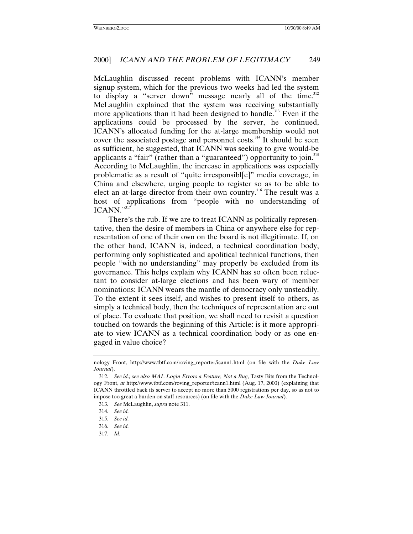McLaughlin discussed recent problems with ICANN's member signup system, which for the previous two weeks had led the system to display a "server down" message nearly all of the time.<sup>312</sup> McLaughlin explained that the system was receiving substantially more applications than it had been designed to handle.<sup>313</sup> Even if the applications could be processed by the server, he continued, ICANN's allocated funding for the at-large membership would not cover the associated postage and personnel costs.<sup>314</sup> It should be seen as sufficient, he suggested, that ICANN was seeking to give would-be applicants a "fair" (rather than a "guaranteed") opportunity to join.<sup>315</sup> According to McLaughlin, the increase in applications was especially problematic as a result of "quite irresponsibl[e]" media coverage, in China and elsewhere, urging people to register so as to be able to elect an at-large director from their own country.<sup>316</sup> The result was a host of applications from "people with no understanding of ICANN."<sup>317</sup>

There's the rub. If we are to treat ICANN as politically representative, then the desire of members in China or anywhere else for representation of one of their own on the board is not illegitimate. If, on the other hand, ICANN is, indeed, a technical coordination body, performing only sophisticated and apolitical technical functions, then people "with no understanding" may properly be excluded from its governance. This helps explain why ICANN has so often been reluctant to consider at-large elections and has been wary of member nominations: ICANN wears the mantle of democracy only unsteadily. To the extent it sees itself, and wishes to present itself to others, as simply a technical body, then the techniques of representation are out of place. To evaluate that position, we shall need to revisit a question touched on towards the beginning of this Article: is it more appropriate to view ICANN as a technical coordination body or as one engaged in value choice?

nology Front, http://www.tbtf.com/roving\_reporter/icann1.html (on file with the *Duke Law Journal*).

<sup>312</sup>*. See id.; see also MAL Login Errors a Feature, Not a Bug*, Tasty Bits from the Technology Front, *at* http://www.tbtf.com/roving\_reporter/icann1.html (Aug. 17, 2000) (explaining that ICANN throttled back its server to accept no more than 5000 registrations per day, so as not to impose too great a burden on staff resources) (on file with the *Duke Law Journal*).

<sup>313</sup>*. See* McLaughlin, *supra* note 311.

<sup>314</sup>*. See id.*

<sup>315</sup>*. See id.*

<sup>316</sup>*. See id.*

<sup>317</sup>*. Id.*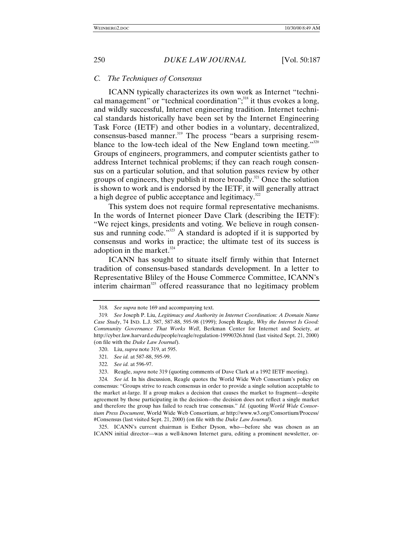## *C. The Techniques of Consensus*

ICANN typically characterizes its own work as Internet "technical management" or "technical coordination",<sup>318</sup> it thus evokes a long, and wildly successful, Internet engineering tradition. Internet technical standards historically have been set by the Internet Engineering Task Force (IETF) and other bodies in a voluntary, decentralized,  $consensus$ -based manner.<sup>319</sup> The process "bears a surprising resemblance to the low-tech ideal of the New England town meeting."320 Groups of engineers, programmers, and computer scientists gather to address Internet technical problems; if they can reach rough consensus on a particular solution, and that solution passes review by other groups of engineers, they publish it more broadly.<sup>321</sup> Once the solution is shown to work and is endorsed by the IETF, it will generally attract a high degree of public acceptance and legitimacy.<sup>322</sup>

This system does not require formal representative mechanisms. In the words of Internet pioneer Dave Clark (describing the IETF): "We reject kings, presidents and voting. We believe in rough consensus and running code."<sup>323</sup> A standard is adopted if it is supported by consensus and works in practice; the ultimate test of its success is adoption in the market. $324$ 

ICANN has sought to situate itself firmly within that Internet tradition of consensus-based standards development. In a letter to Representative Bliley of the House Commerce Committee, ICANN's interim chairman<sup>325</sup> offered reassurance that no legitimacy problem

325. ICANN's current chairman is Esther Dyson, who—before she was chosen as an ICANN initial director—was a well-known Internet guru, editing a prominent newsletter, or-

<sup>318</sup>*. See supra* note 169 and accompanying text.

<sup>319</sup>*. See* Joseph P. Liu, *Legitimacy and Authority in Internet Coordination: A Domain Name Case Study*, 74 IND. L.J. 587, 587-88, 595-98 (1999); Joseph Reagle, *Why the Internet Is Good: Community Governance That Works Well*, Berkman Center for Internet and Society, *at* http://cyber.law.harvard.edu/people/reagle/regulation-19990326.html (last visited Sept. 21, 2000) (on file with the *Duke Law Journal*).

<sup>320.</sup> Liu, *supra* note 319, at 595.

<sup>321</sup>*. See id.* at 587-88, 595-99.

<sup>322</sup>*. See id.* at 596-97.

<sup>323.</sup> Reagle, *supra* note 319 (quoting comments of Dave Clark at a 1992 IETF meeting).

<sup>324</sup>*. See id.* In his discussion, Reagle quotes the World Wide Web Consortium's policy on consensus: "Groups strive to reach consensus in order to provide a single solution acceptable to the market at-large. If a group makes a decision that causes the market to fragment—despite agreement by those participating in the decision—the decision does not reflect a single market and therefore the group has failed to reach true consensus." *Id.* (quoting *World Wide Consortium Press Document*, World Wide Web Consortium, *at* http://www.w3.org/Consortium/Process/ #Consensus (last visited Sept. 21, 2000) (on file with the *Duke Law Journal*).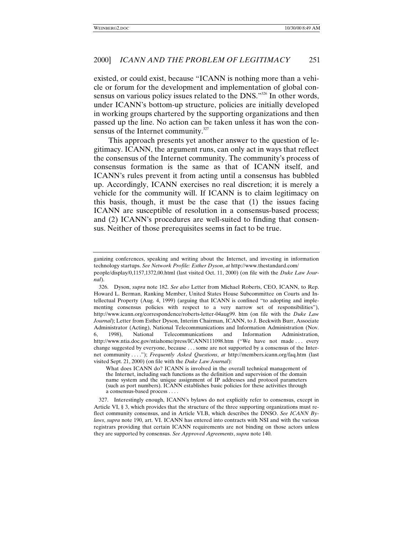existed, or could exist, because "ICANN is nothing more than a vehicle or forum for the development and implementation of global consensus on various policy issues related to the DNS."<sup>326</sup> In other words, under ICANN's bottom-up structure, policies are initially developed in working groups chartered by the supporting organizations and then passed up the line. No action can be taken unless it has won the consensus of the Internet community. $327$ 

This approach presents yet another answer to the question of legitimacy. ICANN, the argument runs, can only act in ways that reflect the consensus of the Internet community. The community's process of consensus formation is the same as that of ICANN itself, and ICANN's rules prevent it from acting until a consensus has bubbled up. Accordingly, ICANN exercises no real discretion; it is merely a vehicle for the community will. If ICANN is to claim legitimacy on this basis, though, it must be the case that (1) the issues facing ICANN are susceptible of resolution in a consensus-based process; and (2) ICANN's procedures are well-suited to finding that consensus. Neither of those prerequisites seems in fact to be true.

ganizing conferences, speaking and writing about the Internet, and investing in information technology startups. *See Network Profile: Esther Dyson*, *at* http://www.thestandard.com/ people/display/0,1157,1372,00.html (last visited Oct. 11, 2000) (on file with the *Duke Law Journal*).

<sup>326.</sup> Dyson, *supra* note 182. *See also* Letter from Michael Roberts, CEO, ICANN, to Rep. Howard L. Berman, Ranking Member, United States House Subcommittee on Courts and Intellectual Property (Aug. 4, 1999) (arguing that ICANN is confined "to adopting and implementing consensus policies with respect to a very narrow set of responsibilities"), http://www.icann.org/correspondence/roberts-letter-04aug99. htm (on file with the *Duke Law Journal*); Letter from Esther Dyson, Interim Chairman, ICANN, to J. Beckwith Burr, Associate Administrator (Acting), National Telecommunications and Information Administration (Nov. 6, 1998), National Telecommunications and Information Administration, http://www.ntia.doc.gov/ntiahome/press/ICANN111098.htm ("We have not made . . . every change suggested by everyone, because . . . some are not supported by a consensus of the Internet community . . . ."); *Frequently Asked Questions*, *at* http://members.icann.org/faq.htm (last visited Sept. 21, 2000) (on file with the *Duke Law Journal*):

What does ICANN do? ICANN is involved in the overall technical management of the Internet, including such functions as the definition and supervision of the domain name system and the unique assignment of IP addresses and protocol parameters (such as port numbers). ICANN establishes basic policies for these activities through a consensus-based process . . . .

<sup>327.</sup> Interestingly enough, ICANN's bylaws do not explicitly refer to consensus, except in Article VI, § 3, which provides that the structure of the three supporting organizations must reflect community consensus, and in Article VI.B, which describes the DNSO. *See ICANN Bylaws*, *supra* note 190, art. VI. ICANN has entered into contracts with NSI and with the various registrars providing that certain ICANN requirements are not binding on those actors unless they are supported by consensus. *See Approved Agreements*, *supra* note 140.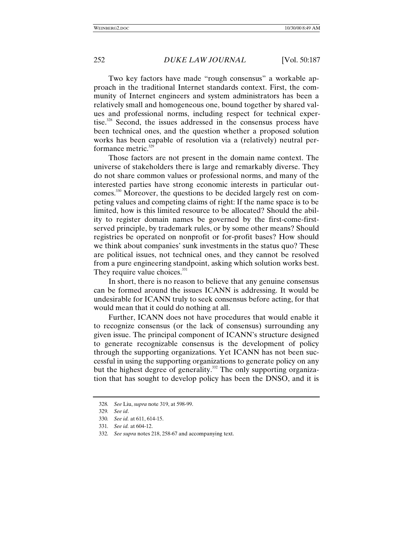Two key factors have made "rough consensus" a workable approach in the traditional Internet standards context. First, the community of Internet engineers and system administrators has been a relatively small and homogeneous one, bound together by shared values and professional norms, including respect for technical expertise.<sup>328</sup> Second, the issues addressed in the consensus process have been technical ones, and the question whether a proposed solution works has been capable of resolution via a (relatively) neutral performance metric. $329$ 

Those factors are not present in the domain name context. The universe of stakeholders there is large and remarkably diverse. They do not share common values or professional norms, and many of the interested parties have strong economic interests in particular outcomes.<sup>330</sup> Moreover, the questions to be decided largely rest on competing values and competing claims of right: If the name space is to be limited, how is this limited resource to be allocated? Should the ability to register domain names be governed by the first-come-firstserved principle, by trademark rules, or by some other means? Should registries be operated on nonprofit or for-profit bases? How should we think about companies' sunk investments in the status quo? These are political issues, not technical ones, and they cannot be resolved from a pure engineering standpoint, asking which solution works best. They require value choices.<sup>331</sup>

In short, there is no reason to believe that any genuine consensus can be formed around the issues ICANN is addressing. It would be undesirable for ICANN truly to seek consensus before acting, for that would mean that it could do nothing at all.

Further, ICANN does not have procedures that would enable it to recognize consensus (or the lack of consensus) surrounding any given issue. The principal component of ICANN's structure designed to generate recognizable consensus is the development of policy through the supporting organizations. Yet ICANN has not been successful in using the supporting organizations to generate policy on any but the highest degree of generality.<sup>332</sup> The only supporting organization that has sought to develop policy has been the DNSO, and it is

<sup>328</sup>*. See* Liu, *supra* note 319, at 598-99.

<sup>329</sup>*. See id*.

<sup>330</sup>*. See id.* at 611, 614-15.

<sup>331</sup>*. See id.* at 604-12.

<sup>332</sup>*. See supra* notes 218, 258-67 and accompanying text.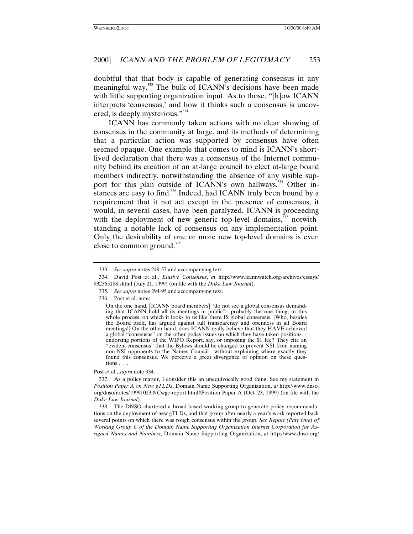doubtful that that body is capable of generating consensus in any meaningful way.<sup>333</sup> The bulk of ICANN's decisions have been made with little supporting organization input. As to those, "[h]ow ICANN interprets 'consensus,' and how it thinks such a consensus is uncovered, is deeply mysterious." 334

ICANN has commonly taken actions with no clear showing of consensus in the community at large, and its methods of determining that a particular action was supported by consensus have often seemed opaque. One example that comes to mind is ICANN's shortlived declaration that there was a consensus of the Internet community behind its creation of an at-large council to elect at-large board members indirectly, notwithstanding the absence of any visible support for this plan outside of ICANN's own hallways.<sup>335</sup> Other instances are easy to find.<sup>336</sup> Indeed, had ICANN truly been bound by a requirement that it not act except in the presence of consensus, it would, in several cases, have been paralyzed. ICANN is proceeding with the deployment of new generic top-level domains, $337$  notwithstanding a notable lack of consensus on any implementation point. Only the desirability of one or more new top-level domains is even close to common ground.<sup>338</sup>

Post et al., *supra* note 334.

338. The DNSO chartered a broad-based working group to generate policy recommendations on the deployment of new gTLDs, and that group after nearly a year's work reported back several points on which there was rough consensus within the group. *See Report (Part One) of Working Group C of the Domain Name Supporting Organization Internet Corporation for Assigned Names and Numbers*, Domain Name Supporting Organization, *at* http://www.dnso.org/

<sup>333</sup>*. See supra* notes 249-57 and accompanying text.

<sup>334.</sup> David Post et al., *Elusive Consensus*, *at* http://www.icannwatch.org/archives/essays/ 932565188.shtml (July 21, 1999) (on file with the *Duke Law Journal*).

<sup>335</sup>*. See supra* notes 294-95 and accompanying text.

<sup>336.</sup> Post et al. note:

On the one hand, [ICANN board members] "do not see a global consensus demanding that ICANN hold all its meetings in public"—probably the one thing, in this whole process, on which it looks to us like there IS global consensus. [Who, besides the Board itself, has argued against full transparency and openness in all Board meetings!] On the other hand, does ICANN really believe that they HAVE achieved a global "consensus" on the other policy issues on which they have taken positions endorsing portions of the WIPO Report, say, or imposing the \$1 fee? They cite an "evident consensus" that the Bylaws should be changed to prevent NSI from naming non-NSI opponents to the Names Council—without explaining where exactly they found this consensus. We perceive a great divergence of opinion on these questions . . . .

<sup>337.</sup> As a policy matter, I consider this an unequivocally good thing. See my statement in *Position Paper A on New gTLDs*, Domain Name Supporting Organization, *at* http://www.dnso. org/dnso/notes/19991023.NCwgc-report.html#Position Paper A (Oct. 23, 1999) (on file with the *Duke Law Journal*).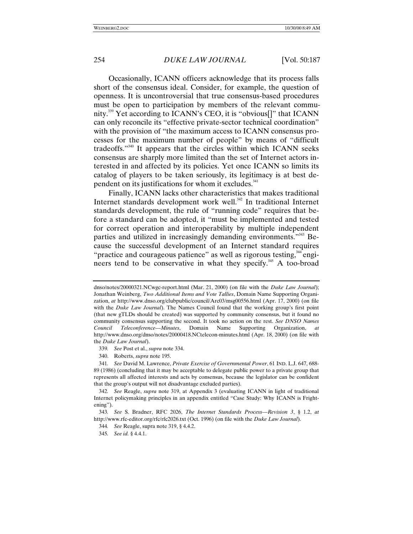Occasionally, ICANN officers acknowledge that its process falls short of the consensus ideal. Consider, for example, the question of openness. It is uncontroversial that true consensus-based procedures must be open to participation by members of the relevant community.339 Yet according to ICANN's CEO, it is "obvious[]" that ICANN can only reconcile its "effective private-sector technical coordination" with the provision of "the maximum access to ICANN consensus processes for the maximum number of people" by means of "difficult tradeoffs."<sup>340</sup> It appears that the circles within which ICANN seeks consensus are sharply more limited than the set of Internet actors interested in and affected by its policies. Yet once ICANN so limits its catalog of players to be taken seriously, its legitimacy is at best dependent on its justifications for whom it excludes.<sup>341</sup>

Finally, ICANN lacks other characteristics that makes traditional Internet standards development work well.<sup>342</sup> In traditional Internet standards development, the rule of "running code" requires that before a standard can be adopted, it "must be implemented and tested for correct operation and interoperability by multiple independent parties and utilized in increasingly demanding environments."<sup>343</sup> Because the successful development of an Internet standard requires "practice and courageous patience" as well as rigorous testing, $344$  engineers tend to be conservative in what they specify.<sup>345</sup> A too-broad

dnso/notes/20000321.NCwgc-report.html (Mar. 21, 2000) (on file with the *Duke Law Journal*); Jonathan Weinberg, *Two Additional Items and Vote Tallies*, Domain Name Supporting Organization, *at* http://www.dnso.org/clubpublic/council/Arc03/msg00556.html (Apr. 17, 2000) (on file with the *Duke Law Journal*). The Names Council found that the working group's first point (that new gTLDs should be created) was supported by community consensus, but it found no community consensus supporting the second. It took no action on the rest. *See DNSO Names Council Teleconference—Minutes*, Domain Name Supporting Organization, *at* http://www.dnso.org/dnso/notes/20000418.NCtelecon-minutes.html (Apr. 18, 2000) (on file with the *Duke Law Journal*).

<sup>339</sup>*. See* Post et al., *supra* note 334.

<sup>340.</sup> Roberts, *supra* note 195.

<sup>341</sup>*. See* David M. Lawrence, *Private Exercise of Governmental Power*, 61 IND. L.J. 647, 688- 89 (1986) (concluding that it may be acceptable to delegate public power to a private group that represents all affected interests and acts by consensus, because the legislator can be confident that the group's output will not disadvantage excluded parties).

<sup>342</sup>*. See* Reagle, *supra* note 319, at Appendix 3 (evaluating ICANN in light of traditional Internet policymaking principles in an appendix entitled "Case Study: Why ICANN is Frightening").

<sup>343</sup>*. See* S. Bradner, RFC 2026, *The Internet Standards Process—Revision 3*, § 1.2, *at* http://www.rfc-editor.org/rfc/rfc2026.txt (Oct. 1996) (on file with the *Duke Law Journal*).

<sup>344</sup>*. See* Reagle, supra note 319, § 4.4.2.

<sup>345</sup>*. See id.* § 4.4.1.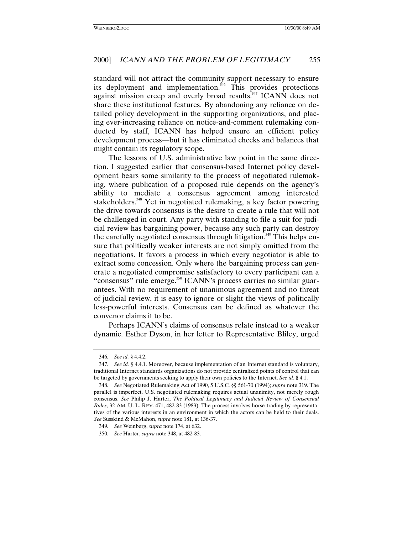standard will not attract the community support necessary to ensure its deployment and implementation.<sup>346</sup> This provides protections against mission creep and overly broad results.<sup>347</sup> ICANN does not share these institutional features. By abandoning any reliance on detailed policy development in the supporting organizations, and placing ever-increasing reliance on notice-and-comment rulemaking conducted by staff, ICANN has helped ensure an efficient policy development process—but it has eliminated checks and balances that might contain its regulatory scope.

The lessons of U.S. administrative law point in the same direction. I suggested earlier that consensus-based Internet policy development bears some similarity to the process of negotiated rulemaking, where publication of a proposed rule depends on the agency's ability to mediate a consensus agreement among interested stakeholders.<sup>348</sup> Yet in negotiated rulemaking, a key factor powering the drive towards consensus is the desire to create a rule that will not be challenged in court. Any party with standing to file a suit for judicial review has bargaining power, because any such party can destroy the carefully negotiated consensus through litigation.<sup>349</sup> This helps ensure that politically weaker interests are not simply omitted from the negotiations. It favors a process in which every negotiator is able to extract some concession. Only where the bargaining process can generate a negotiated compromise satisfactory to every participant can a "consensus" rule emerge.<sup>350</sup> ICANN's process carries no similar guarantees. With no requirement of unanimous agreement and no threat of judicial review, it is easy to ignore or slight the views of politically less-powerful interests. Consensus can be defined as whatever the convenor claims it to be.

Perhaps ICANN's claims of consensus relate instead to a weaker dynamic. Esther Dyson, in her letter to Representative Bliley, urged

<sup>346</sup>*. See id.* § 4.4.2.

<sup>347</sup>*. See id.* § 4.4.1. Moreover, because implementation of an Internet standard is voluntary, traditional Internet standards organizations do not provide centralized points of control that can be targeted by governments seeking to apply their own policies to the Internet. *See id.* § 4.1.

<sup>348</sup>*. See* Negotiated Rulemaking Act of 1990, 5 U.S.C. §§ 561-70 (1994); *supra* note 319. The parallel is imperfect. U.S. negotiated rulemaking requires actual unanimity, not merely rough consensus. *See* Philip J. Harter, *The Political Legitimacy and Judicial Review of Consensual Rules*, 32 AM. U. L. REV. 471, 482-83 (1983). The process involves horse-trading by representatives of the various interests in an environment in which the actors can be held to their deals. *See* Susskind & McMahon, *supra* note 181, at 136-37.

<sup>349</sup>*. See* Weinberg, *supra* note 174, at 632.

<sup>350</sup>*. See* Harter, *supra* note 348, at 482-83.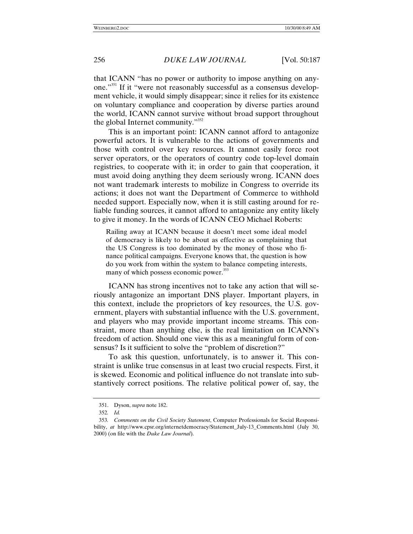that ICANN "has no power or authority to impose anything on anyone."351 If it "were not reasonably successful as a consensus development vehicle, it would simply disappear; since it relies for its existence on voluntary compliance and cooperation by diverse parties around the world, ICANN cannot survive without broad support throughout the global Internet community."<sup>352</sup>

This is an important point: ICANN cannot afford to antagonize powerful actors. It is vulnerable to the actions of governments and those with control over key resources. It cannot easily force root server operators, or the operators of country code top-level domain registries, to cooperate with it; in order to gain that cooperation, it must avoid doing anything they deem seriously wrong. ICANN does not want trademark interests to mobilize in Congress to override its actions; it does not want the Department of Commerce to withhold needed support. Especially now, when it is still casting around for reliable funding sources, it cannot afford to antagonize any entity likely to give it money. In the words of ICANN CEO Michael Roberts:

Railing away at ICANN because it doesn't meet some ideal model of democracy is likely to be about as effective as complaining that the US Congress is too dominated by the money of those who finance political campaigns. Everyone knows that, the question is how do you work from within the system to balance competing interests, many of which possess economic power.<sup>353</sup>

ICANN has strong incentives not to take any action that will seriously antagonize an important DNS player. Important players, in this context, include the proprietors of key resources, the U.S. government, players with substantial influence with the U.S. government, and players who may provide important income streams. This constraint, more than anything else, is the real limitation on ICANN's freedom of action. Should one view this as a meaningful form of consensus? Is it sufficient to solve the "problem of discretion?"

To ask this question, unfortunately, is to answer it. This constraint is unlike true consensus in at least two crucial respects. First, it is skewed. Economic and political influence do not translate into substantively correct positions. The relative political power of, say, the

<sup>351.</sup> Dyson, *supra* note 182.

<sup>352</sup>*. Id.*

<sup>353</sup>*. Comments on the Civil Society Statement*, Computer Professionals for Social Responsibility, *at* http://www.cpsr.org/internetdemocracy/Statement July-13 Comments.html (July 30, 2000) (on file with the *Duke Law Journal*).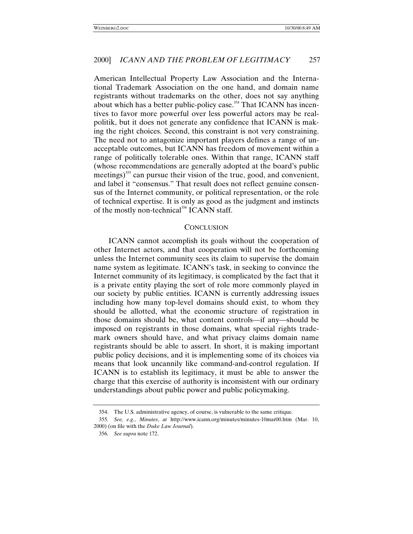American Intellectual Property Law Association and the International Trademark Association on the one hand, and domain name registrants without trademarks on the other, does not say anything about which has a better public-policy case.<sup>354</sup> That ICANN has incentives to favor more powerful over less powerful actors may be realpolitik, but it does not generate any confidence that ICANN is making the right choices. Second, this constraint is not very constraining. The need not to antagonize important players defines a range of unacceptable outcomes, but ICANN has freedom of movement within a range of politically tolerable ones. Within that range, ICANN staff (whose recommendations are generally adopted at the board's public meetings)<sup>355</sup> can pursue their vision of the true, good, and convenient, and label it "consensus." That result does not reflect genuine consensus of the Internet community, or political representation, or the role of technical expertise. It is only as good as the judgment and instincts of the mostly non-technical<sup>356</sup> ICANN staff.

### **CONCLUSION**

ICANN cannot accomplish its goals without the cooperation of other Internet actors, and that cooperation will not be forthcoming unless the Internet community sees its claim to supervise the domain name system as legitimate. ICANN's task, in seeking to convince the Internet community of its legitimacy, is complicated by the fact that it is a private entity playing the sort of role more commonly played in our society by public entities. ICANN is currently addressing issues including how many top-level domains should exist, to whom they should be allotted, what the economic structure of registration in those domains should be, what content controls—if any—should be imposed on registrants in those domains, what special rights trademark owners should have, and what privacy claims domain name registrants should be able to assert. In short, it is making important public policy decisions, and it is implementing some of its choices via means that look uncannily like command-and-control regulation. If ICANN is to establish its legitimacy, it must be able to answer the charge that this exercise of authority is inconsistent with our ordinary understandings about public power and public policymaking.

<sup>354.</sup> The U.S. administrative agency, of course, is vulnerable to the same critique.

<sup>355</sup>*. See, e.g.*, *Minutes*, *at* http://www.icann.org/minutes/minutes-10mar00.htm (Mar. 10, 2000) (on file with the *Duke Law Journal*).

<sup>356</sup>*. See supra* note 172.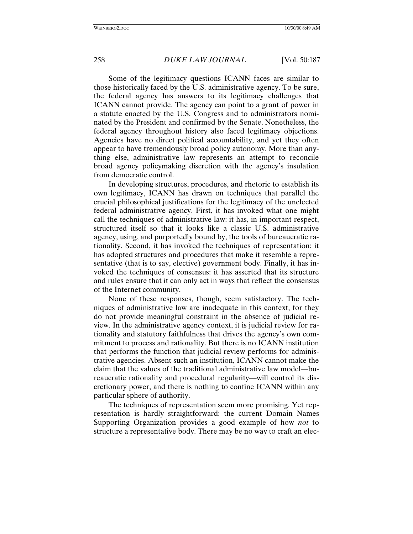Some of the legitimacy questions ICANN faces are similar to those historically faced by the U.S. administrative agency. To be sure, the federal agency has answers to its legitimacy challenges that ICANN cannot provide. The agency can point to a grant of power in a statute enacted by the U.S. Congress and to administrators nominated by the President and confirmed by the Senate. Nonetheless, the federal agency throughout history also faced legitimacy objections. Agencies have no direct political accountability, and yet they often appear to have tremendously broad policy autonomy. More than anything else, administrative law represents an attempt to reconcile broad agency policymaking discretion with the agency's insulation from democratic control.

In developing structures, procedures, and rhetoric to establish its own legitimacy, ICANN has drawn on techniques that parallel the crucial philosophical justifications for the legitimacy of the unelected federal administrative agency. First, it has invoked what one might call the techniques of administrative law: it has, in important respect, structured itself so that it looks like a classic U.S. administrative agency, using, and purportedly bound by, the tools of bureaucratic rationality. Second, it has invoked the techniques of representation: it has adopted structures and procedures that make it resemble a representative (that is to say, elective) government body. Finally, it has invoked the techniques of consensus: it has asserted that its structure and rules ensure that it can only act in ways that reflect the consensus of the Internet community.

None of these responses, though, seem satisfactory. The techniques of administrative law are inadequate in this context, for they do not provide meaningful constraint in the absence of judicial review. In the administrative agency context, it is judicial review for rationality and statutory faithfulness that drives the agency's own commitment to process and rationality. But there is no ICANN institution that performs the function that judicial review performs for administrative agencies. Absent such an institution, ICANN cannot make the claim that the values of the traditional administrative law model—bureaucratic rationality and procedural regularity—will control its discretionary power, and there is nothing to confine ICANN within any particular sphere of authority.

The techniques of representation seem more promising. Yet representation is hardly straightforward: the current Domain Names Supporting Organization provides a good example of how *not* to structure a representative body. There may be no way to craft an elec-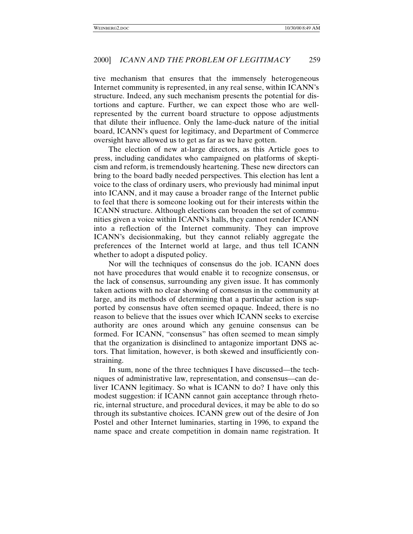tive mechanism that ensures that the immensely heterogeneous Internet community is represented, in any real sense, within ICANN's structure. Indeed, any such mechanism presents the potential for distortions and capture. Further, we can expect those who are wellrepresented by the current board structure to oppose adjustments that dilute their influence. Only the lame-duck nature of the initial board, ICANN's quest for legitimacy, and Department of Commerce oversight have allowed us to get as far as we have gotten.

The election of new at-large directors, as this Article goes to press, including candidates who campaigned on platforms of skepticism and reform, is tremendously heartening. These new directors can bring to the board badly needed perspectives. This election has lent a voice to the class of ordinary users, who previously had minimal input into ICANN, and it may cause a broader range of the Internet public to feel that there is someone looking out for their interests within the ICANN structure. Although elections can broaden the set of communities given a voice within ICANN's halls, they cannot render ICANN into a reflection of the Internet community. They can improve ICANN's decisionmaking, but they cannot reliably aggregate the preferences of the Internet world at large, and thus tell ICANN whether to adopt a disputed policy.

Nor will the techniques of consensus do the job. ICANN does not have procedures that would enable it to recognize consensus, or the lack of consensus, surrounding any given issue. It has commonly taken actions with no clear showing of consensus in the community at large, and its methods of determining that a particular action is supported by consensus have often seemed opaque. Indeed, there is no reason to believe that the issues over which ICANN seeks to exercise authority are ones around which any genuine consensus can be formed. For ICANN, "consensus" has often seemed to mean simply that the organization is disinclined to antagonize important DNS actors. That limitation, however, is both skewed and insufficiently constraining.

In sum, none of the three techniques I have discussed—the techniques of administrative law, representation, and consensus—can deliver ICANN legitimacy. So what is ICANN to do? I have only this modest suggestion: if ICANN cannot gain acceptance through rhetoric, internal structure, and procedural devices, it may be able to do so through its substantive choices. ICANN grew out of the desire of Jon Postel and other Internet luminaries, starting in 1996, to expand the name space and create competition in domain name registration. It